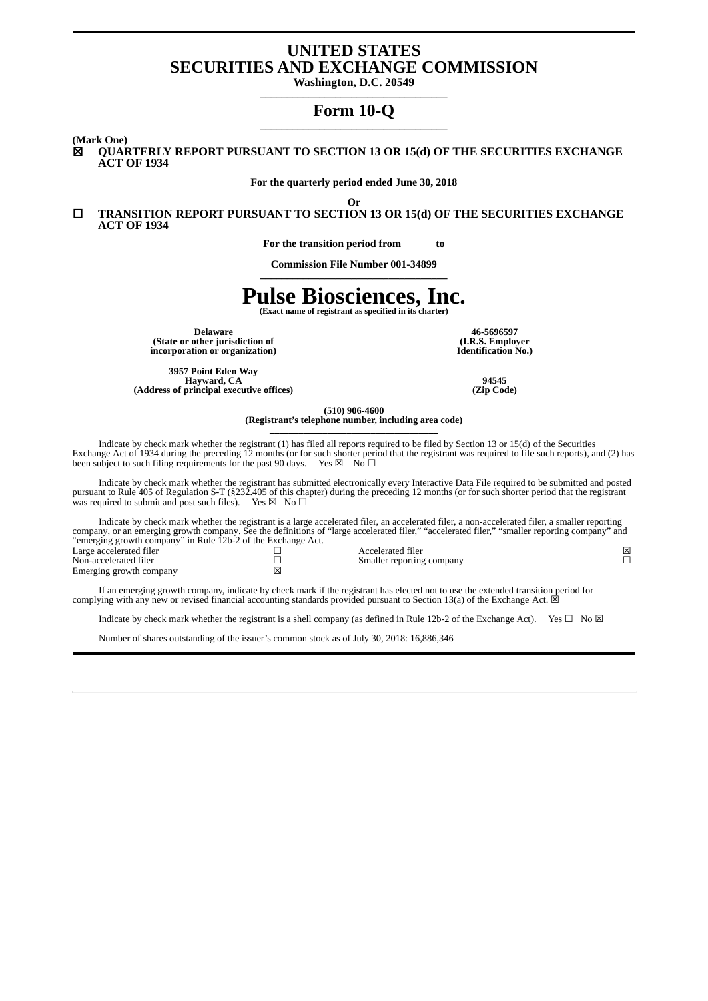# **UNITED STATES SECURITIES AND EXCHANGE COMMISSION**

**Washington, D.C. 20549 \_\_\_\_\_\_\_\_\_\_\_\_\_\_\_\_\_\_\_\_\_\_\_\_\_\_\_\_\_\_\_\_\_\_\_**

# **Form 10-Q \_\_\_\_\_\_\_\_\_\_\_\_\_\_\_\_\_\_\_\_\_\_\_\_\_\_\_\_\_\_\_\_\_\_\_**

**(Mark One)**

☒ **QUARTERLY REPORT PURSUANT TO SECTION 13 OR 15(d) OF THE SECURITIES EXCHANGE ACT OF 1934**

> **For the quarterly period ended June 30, 2018 Or**

☐ **TRANSITION REPORT PURSUANT TO SECTION 13 OR 15(d) OF THE SECURITIES EXCHANGE ACT OF 1934**

**For the transition period from to**

**Commission File Number 001-34899 \_\_\_\_\_\_\_\_\_\_\_\_\_\_\_\_\_\_\_\_\_\_\_\_\_\_\_\_\_\_\_\_\_\_\_**

# **Pulse Biosciences, Inc.**

**(Exact name of registrant as specified in its charter)**

**(State or other jurisdiction of incorporation or organization)**

**3957 Point Eden Way Hayward, CA 94545 (Address of principal executive offices) (Zip Code)**

**Delaware 46-5696597 (I.R.S. Employer Identification No.)**

**(510) 906-4600**

**(Registrant's telephone number, including area code) \_\_\_\_\_\_\_\_\_\_\_\_\_\_\_\_\_\_\_\_\_\_\_\_\_\_\_\_\_\_\_\_\_\_\_**

Indicate by check mark whether the registrant (1) has filed all reports required to be filed by Section 13 or 15(d) of the Securities Exchange Act of 1934 during the preceding 12 months (or for such shorter period that the registrant was required to file such reports), and (2) has been subject to such filing requirements for the past 90 days. Yes  $\boxtimes \quad$  No  $\Box$ 

Indicate by check mark whether the registrant has submitted electronically every Interactive Data File required to be submitted and posted pursuant to Rule 405 of Regulation S-T (§232.405 of this chapter) during the preceding 12 months (or for such shorter period that the registrant was required to submit and post such files). Yes  $\boxtimes$  No  $\Box$ 

Indicate by check mark whether the registrant is a large accelerated filer, an accelerated filer, a non-accelerated filer, a smaller reporting company, or an emerging growth company. See the definitions of "large accelerated filer," "accelerated filer," "smaller reporting company" and "emerging growth company" in Rule 12b-2 of the Exchange Act.<br>Large accelerated filer  $\Box$ Large accelerated filer ☐ Accelerated filer ☒  $\square$ <br>Smaller reporting company  $\square$ Emerging growth company

If an emerging growth company, indicate by check mark if the registrant has elected not to use the extended transition period for complying with any new or revised financial accounting standards provided pursuant to Section 13(a) of the Exchange Act.  $\vec{E}$ 

Indicate by check mark whether the registrant is a shell company (as defined in Rule 12b-2 of the Exchange Act). Yes  $\Box$  No  $\boxtimes$ 

Number of shares outstanding of the issuer's common stock as of July 30, 2018: 16,886,346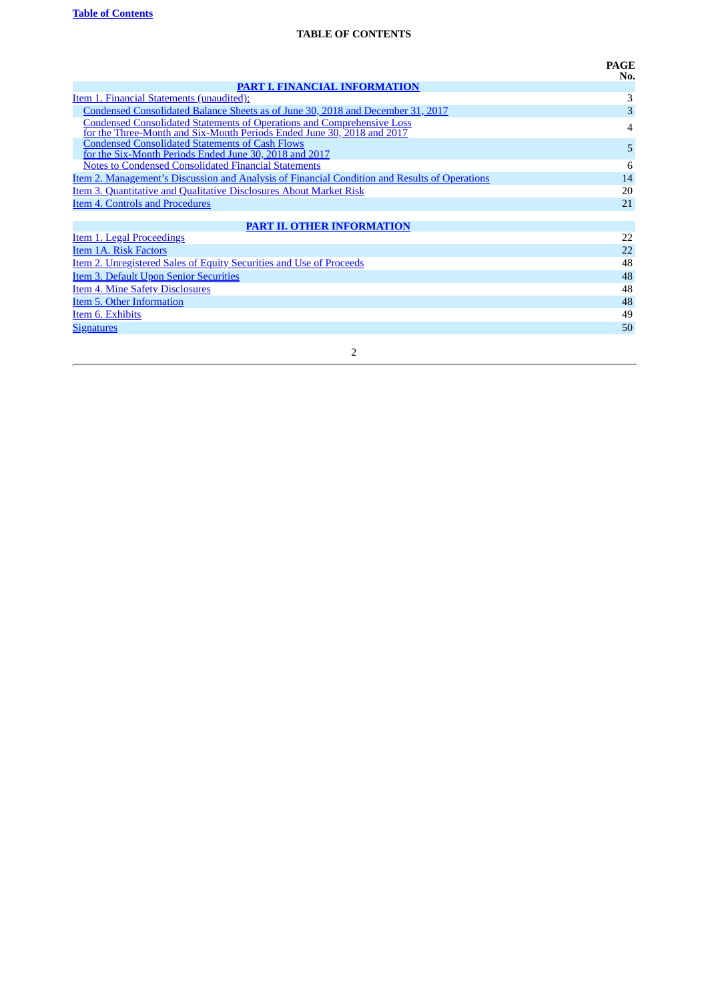# <span id="page-1-0"></span>**TABLE OF CONTENTS**

|                                                                                                                                                  | <b>PAGE</b><br>No. |
|--------------------------------------------------------------------------------------------------------------------------------------------------|--------------------|
| <b>PART I. FINANCIAL INFORMATION</b>                                                                                                             |                    |
| <b>Item 1. Financial Statements (unaudited):</b>                                                                                                 | 3                  |
| Condensed Consolidated Balance Sheets as of June 30, 2018 and December 31, 2017                                                                  | 3                  |
| Condensed Consolidated Statements of Operations and Comprehensive Loss<br>for the Three-Month and Six-Month Periods Ended June 30, 2018 and 2017 | 4                  |
| <b>Condensed Consolidated Statements of Cash Flows</b><br>for the Six-Month Periods Ended June 30, 2018 and 2017                                 | 5                  |
| <b>Notes to Condensed Consolidated Financial Statements</b>                                                                                      | 6                  |
| <u>Item 2. Management's Discussion and Analysis of Financial Condition and Results of Operations</u>                                             | 14                 |
| <b>Item 3. Quantitative and Qualitative Disclosures About Market Risk</b>                                                                        | 20                 |
| Item 4. Controls and Procedures                                                                                                                  | 21                 |
|                                                                                                                                                  |                    |
| <b>PART II. OTHER INFORMATION</b>                                                                                                                |                    |
| Item 1. Legal Proceedings                                                                                                                        | 22                 |
| Item 1A. Risk Factors                                                                                                                            | 22                 |
| Item 2. Unregistered Sales of Equity Securities and Use of Proceeds                                                                              | 48                 |
| <b>Item 3. Default Upon Senior Securities</b>                                                                                                    | 48                 |
| <b>Item 4. Mine Safety Disclosures</b>                                                                                                           | 48                 |
| Item 5. Other Information                                                                                                                        | 48                 |
| Item 6. Exhibits                                                                                                                                 | 49                 |
| <b>Signatures</b>                                                                                                                                | 50                 |
|                                                                                                                                                  |                    |
| 2                                                                                                                                                |                    |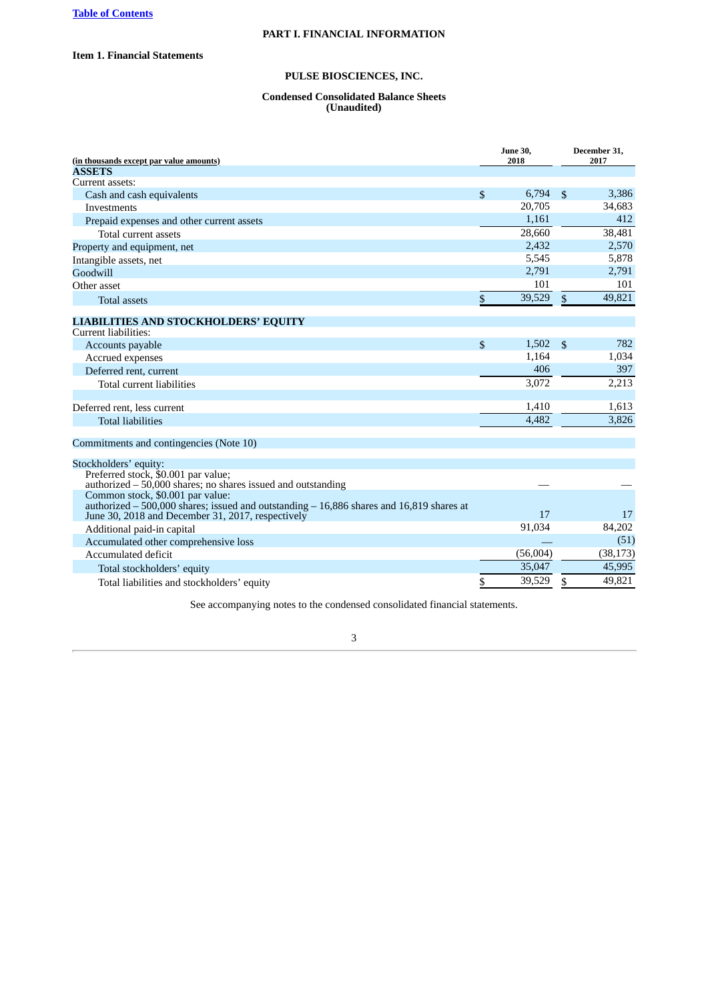# <span id="page-2-0"></span>**PART I. FINANCIAL INFORMATION**

# <span id="page-2-1"></span>**Item 1. Financial Statements**

# <span id="page-2-2"></span>**PULSE BIOSCIENCES, INC.**

#### **Condensed Consolidated Balance Sheets (Unaudited)**

| (in thousands except par value amounts)                                                                                                         | <b>June 30,</b><br>2018 |               | December 31,<br>2017 |
|-------------------------------------------------------------------------------------------------------------------------------------------------|-------------------------|---------------|----------------------|
| <b>ASSETS</b>                                                                                                                                   |                         |               |                      |
| Current assets:                                                                                                                                 |                         |               |                      |
| Cash and cash equivalents                                                                                                                       | \$<br>6,794             | $\mathcal{S}$ | 3,386                |
| <b>Investments</b>                                                                                                                              | 20,705                  |               | 34,683               |
| Prepaid expenses and other current assets                                                                                                       | 1,161                   |               | 412                  |
| Total current assets                                                                                                                            | 28,660                  |               | 38,481               |
| Property and equipment, net                                                                                                                     | 2,432                   |               | 2,570                |
| Intangible assets, net                                                                                                                          | 5,545                   |               | 5,878                |
| Goodwill                                                                                                                                        | 2,791                   |               | 2,791                |
| Other asset                                                                                                                                     | 101                     |               | 101                  |
| <b>Total assets</b>                                                                                                                             | \$<br>39,529            | $\mathbf{\$}$ | 49,821               |
| <b>LIABILITIES AND STOCKHOLDERS' EQUITY</b><br>Current liabilities:                                                                             |                         |               |                      |
| Accounts payable                                                                                                                                | \$<br>1,502             | $\mathbf{\$}$ | 782                  |
| Accrued expenses                                                                                                                                | 1,164                   |               | 1,034                |
| Deferred rent, current                                                                                                                          | 406                     |               | 397                  |
| Total current liabilities                                                                                                                       | 3,072                   |               | 2,213                |
|                                                                                                                                                 |                         |               |                      |
| Deferred rent, less current                                                                                                                     | 1,410                   |               | 1,613                |
| <b>Total liabilities</b>                                                                                                                        | 4,482                   |               | 3,826                |
| Commitments and contingencies (Note 10)                                                                                                         |                         |               |                      |
| Stockholders' equity:                                                                                                                           |                         |               |                      |
| Preferred stock, \$0.001 par value;                                                                                                             |                         |               |                      |
| authorized $-50,000$ shares; no shares issued and outstanding                                                                                   |                         |               |                      |
| Common stock, \$0.001 par value:                                                                                                                |                         |               |                      |
| authorized $-500,000$ shares; issued and outstanding $-16,886$ shares and 16,819 shares at<br>June 30, 2018 and December 31, 2017, respectively | 17                      |               | 17                   |
| Additional paid-in capital                                                                                                                      | 91,034                  |               | 84,202               |
| Accumulated other comprehensive loss                                                                                                            |                         |               | (51)                 |
| Accumulated deficit                                                                                                                             | (56,004)                |               | (38, 173)            |
| Total stockholders' equity                                                                                                                      | 35,047                  |               | 45,995               |
|                                                                                                                                                 | \$<br>39,529            | \$            | 49,821               |
| Total liabilities and stockholders' equity                                                                                                      |                         |               |                      |

See accompanying notes to the condensed consolidated financial statements.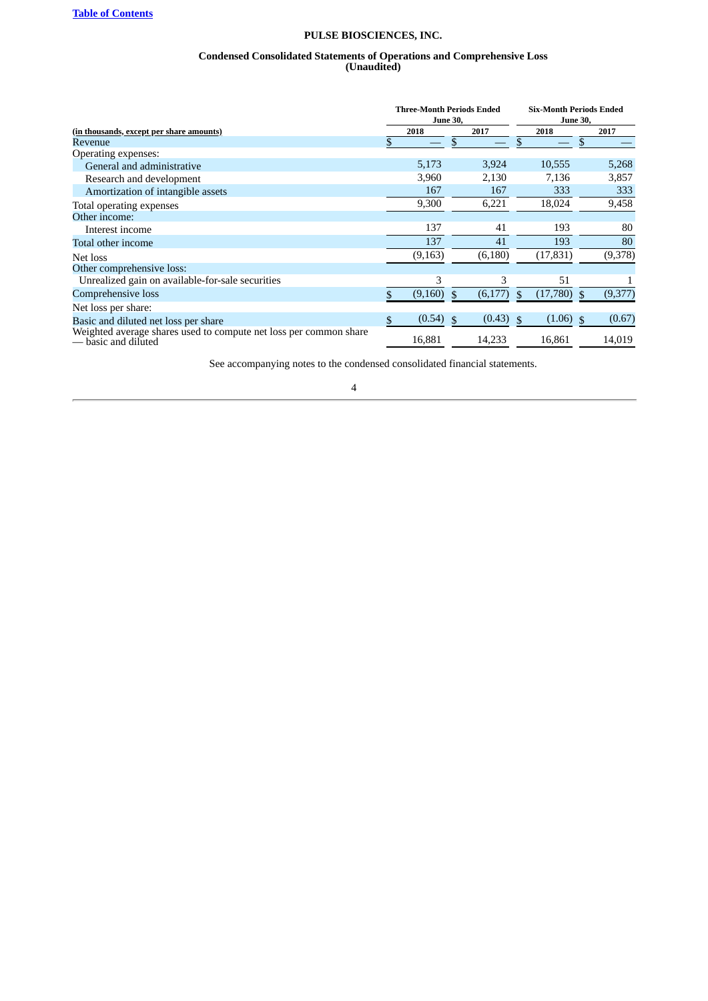# <span id="page-3-0"></span>**PULSE BIOSCIENCES, INC.**

#### **Condensed Consolidated Statements of Operations and Comprehensive Loss (Unaudited)**

|                                                                                          | <b>Three-Month Periods Ended</b><br><b>June 30,</b> |             |    |         | <b>Six-Month Periods Ended</b><br><b>June 30,</b> |               |     |         |  |
|------------------------------------------------------------------------------------------|-----------------------------------------------------|-------------|----|---------|---------------------------------------------------|---------------|-----|---------|--|
| (in thousands, except per share amounts)                                                 |                                                     | 2018        |    | 2017    |                                                   | 2018          |     | 2017    |  |
| Revenue                                                                                  |                                                     |             | \$ |         |                                                   |               | \$. |         |  |
| Operating expenses:                                                                      |                                                     |             |    |         |                                                   |               |     |         |  |
| General and administrative                                                               |                                                     | 5,173       |    | 3,924   |                                                   | 10,555        |     | 5,268   |  |
| Research and development                                                                 |                                                     | 3,960       |    | 2,130   |                                                   | 7,136         |     | 3,857   |  |
| Amortization of intangible assets                                                        |                                                     | 167         |    | 167     |                                                   | 333           |     | 333     |  |
| Total operating expenses                                                                 |                                                     | 9,300       |    | 6,221   |                                                   | 18,024        |     | 9,458   |  |
| Other income:                                                                            |                                                     |             |    |         |                                                   |               |     |         |  |
| Interest income                                                                          |                                                     | 137         |    | 41      |                                                   | 193           |     | 80      |  |
| Total other income                                                                       |                                                     | 137         |    | 41      |                                                   | 193           |     | 80      |  |
| Net loss                                                                                 |                                                     | (9, 163)    |    | (6,180) |                                                   | (17, 831)     |     | (9,378) |  |
| Other comprehensive loss:                                                                |                                                     |             |    |         |                                                   |               |     |         |  |
| Unrealized gain on available-for-sale securities                                         |                                                     | 3           |    | 3       |                                                   | 51            |     |         |  |
| Comprehensive loss                                                                       |                                                     | (9,160)     | -S | (6,177) | \$.                                               | $(17,780)$ \$ |     | (9,377) |  |
| Net loss per share:                                                                      |                                                     |             |    |         |                                                   |               |     |         |  |
| Basic and diluted net loss per share                                                     |                                                     | $(0.54)$ \$ |    | (0.43)  | -\$                                               | $(1.06)$ \$   |     | (0.67)  |  |
| Weighted average shares used to compute net loss per common share<br>— basic and diluted |                                                     | 16,881      |    | 14,233  |                                                   | 16,861        |     | 14,019  |  |

See accompanying notes to the condensed consolidated financial statements.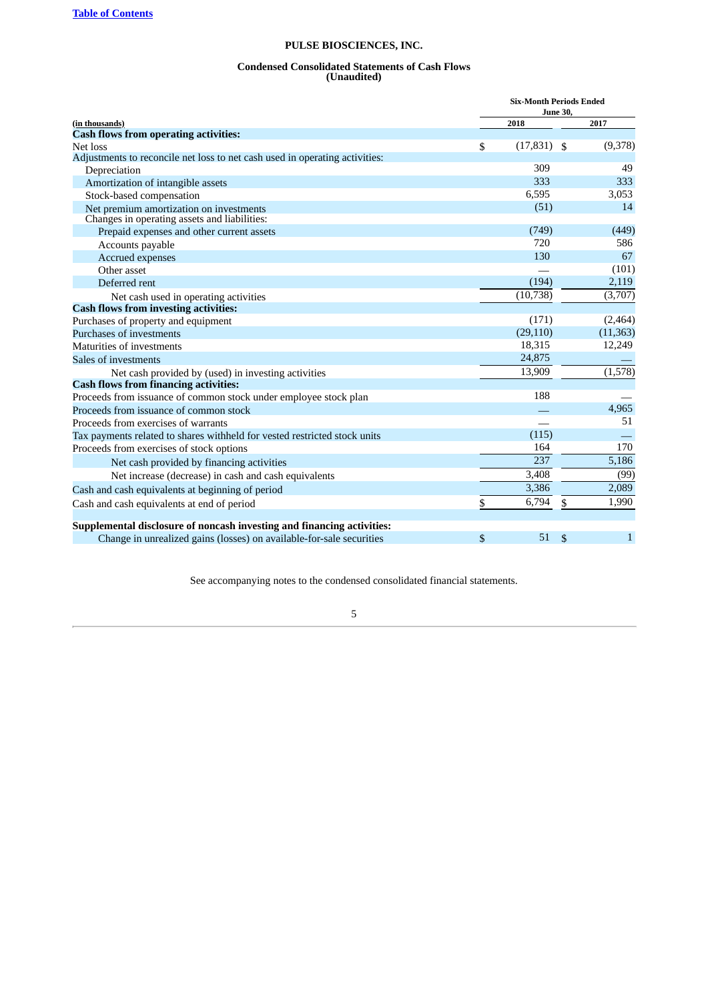# <span id="page-4-0"></span>**PULSE BIOSCIENCES, INC.**

#### **Condensed Consolidated Statements of Cash Flows (Unaudited)**

|                                                                             |    | <b>Six-Month Periods Ended</b><br>June 30, |                |              |  |  |  |
|-----------------------------------------------------------------------------|----|--------------------------------------------|----------------|--------------|--|--|--|
| (in thousands)                                                              |    | 2018                                       |                | 2017         |  |  |  |
| <b>Cash flows from operating activities:</b>                                |    |                                            |                |              |  |  |  |
| Net loss                                                                    | \$ | $(17,831)$ \$                              |                | (9,378)      |  |  |  |
| Adjustments to reconcile net loss to net cash used in operating activities: |    |                                            |                |              |  |  |  |
| Depreciation                                                                |    | 309                                        |                | 49           |  |  |  |
| Amortization of intangible assets                                           |    | 333                                        |                | 333          |  |  |  |
| Stock-based compensation                                                    |    | 6,595                                      |                | 3,053        |  |  |  |
| Net premium amortization on investments                                     |    | (51)                                       |                | 14           |  |  |  |
| Changes in operating assets and liabilities:                                |    |                                            |                |              |  |  |  |
| Prepaid expenses and other current assets                                   |    | (749)                                      |                | (449)        |  |  |  |
| Accounts payable                                                            |    | 720                                        |                | 586          |  |  |  |
| Accrued expenses                                                            |    | 130                                        |                | 67           |  |  |  |
| Other asset                                                                 |    |                                            |                | (101)        |  |  |  |
| Deferred rent                                                               |    | (194)                                      |                | 2,119        |  |  |  |
| Net cash used in operating activities                                       |    | (10, 738)                                  |                | (3,707)      |  |  |  |
| <b>Cash flows from investing activities:</b>                                |    |                                            |                |              |  |  |  |
| Purchases of property and equipment                                         |    | (171)                                      |                | (2,464)      |  |  |  |
| Purchases of investments                                                    |    | (29, 110)                                  |                | (11, 363)    |  |  |  |
| Maturities of investments                                                   |    | 18,315                                     |                | 12,249       |  |  |  |
| Sales of investments                                                        |    | 24,875                                     |                |              |  |  |  |
| Net cash provided by (used) in investing activities                         |    | 13,909                                     |                | (1,578)      |  |  |  |
| <b>Cash flows from financing activities:</b>                                |    |                                            |                |              |  |  |  |
| Proceeds from issuance of common stock under employee stock plan            |    | 188                                        |                |              |  |  |  |
| Proceeds from issuance of common stock                                      |    |                                            |                | 4,965        |  |  |  |
| Proceeds from exercises of warrants                                         |    |                                            |                | 51           |  |  |  |
| Tax payments related to shares withheld for vested restricted stock units   |    | (115)                                      |                |              |  |  |  |
| Proceeds from exercises of stock options                                    |    | 164                                        |                | 170          |  |  |  |
| Net cash provided by financing activities                                   |    | 237                                        |                | 5,186        |  |  |  |
| Net increase (decrease) in cash and cash equivalents                        |    | 3,408                                      |                | (99)         |  |  |  |
| Cash and cash equivalents at beginning of period                            |    | 3,386                                      |                | 2,089        |  |  |  |
| Cash and cash equivalents at end of period                                  | \$ | 6,794                                      | \$             | 1,990        |  |  |  |
|                                                                             |    |                                            |                |              |  |  |  |
| Supplemental disclosure of noncash investing and financing activities:      |    |                                            |                |              |  |  |  |
| Change in unrealized gains (losses) on available-for-sale securities        | \$ | 51                                         | $\mathfrak{F}$ | $\mathbf{1}$ |  |  |  |

See accompanying notes to the condensed consolidated financial statements.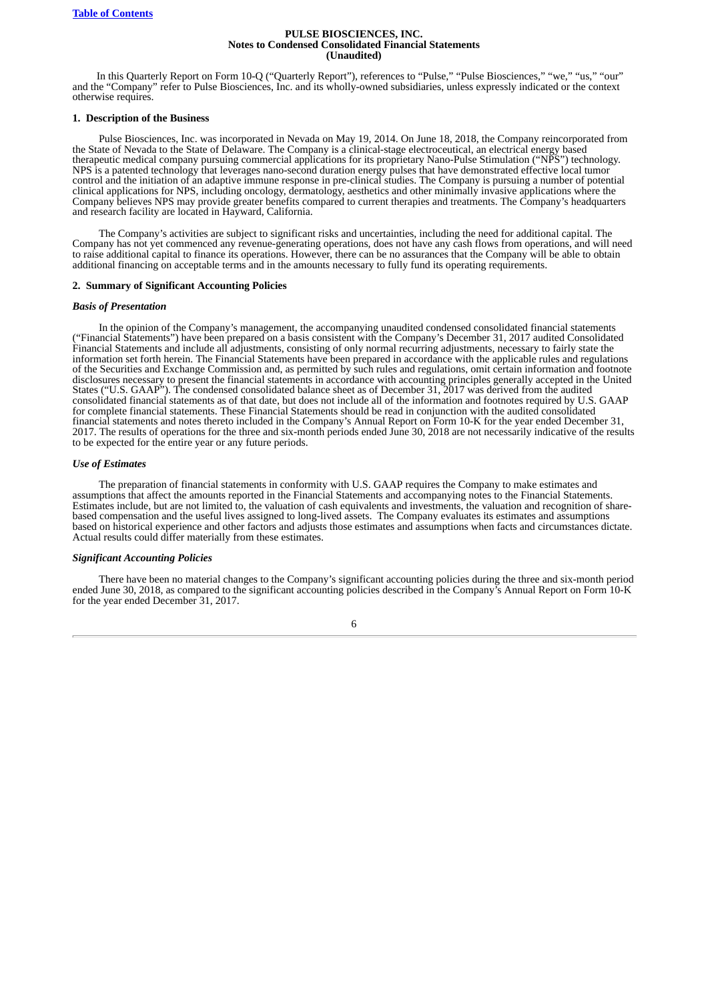#### <span id="page-5-0"></span>**PULSE BIOSCIENCES, INC. Notes to Condensed Consolidated Financial Statements (Unaudited)**

In this Quarterly Report on Form 10-Q ("Quarterly Report"), references to "Pulse," "Pulse Biosciences," "we," "us," "our" and the "Company" refer to Pulse Biosciences, Inc. and its wholly-owned subsidiaries, unless expressly indicated or the context otherwise requires.

#### **1. Description of the Business**

Pulse Biosciences, Inc. was incorporated in Nevada on May 19, 2014. On June 18, 2018, the Company reincorporated from the State of Nevada to the State of Delaware. The Company is a clinical-stage electroceutical, an electrical energy based therapeutic medical company pursuing commercial applications for its proprietary Nano-Pulse Stimulation ("NPS") technology. NPS is a patented technology that leverages nano-second duration energy pulses that have demonstrated effective local tumor control and the initiation of an adaptive immune response in pre-clinical studies. The Company is pursuing a number of potential clinical applications for NPS, including oncology, dermatology, aesthetics and other minimally invasive applications where the Company believes NPS may provide greater benefits compared to current therapies and treatments. The Company's headquarters and research facility are located in Hayward, California.

The Company's activities are subject to significant risks and uncertainties, including the need for additional capital. The Company has not yet commenced any revenue-generating operations, does not have any cash flows from operations, and will need to raise additional capital to finance its operations. However, there can be no assurances that the Company will be able to obtain additional financing on acceptable terms and in the amounts necessary to fully fund its operating requirements.

#### **2. Summary of Significant Accounting Policies**

#### *Basis of Presentation*

In the opinion of the Company's management, the accompanying unaudited condensed consolidated financial statements ("Financial Statements") have been prepared on a basis consistent with the Company's December 31, 2017 audited Consolidated Financial Statements and include all adjustments, consisting of only normal recurring adjustments, necessary to fairly state the information set forth herein. The Financial Statements have been prepared in accordance with the applicable rules and regulations of the Securities and Exchange Commission and, as permitted by such rules and regulations, omit certain information and footnote disclosures necessary to present the financial statements in accordance with accounting principles generally accepted in the United States ("U.S. GAAP"). The condensed consolidated balance sheet as of December 31, 2017 was derived from the audited consolidated financial statements as of that date, but does not include all of the information and footnotes required by U.S. GAAP for complete financial statements. These Financial Statements should be read in conjunction with the audited consolidated financial statements and notes thereto included in the Company's Annual Report on Form 10-K for the year ended December 31, 2017. The results of operations for the three and six-month periods ended June 30, 2018 are not necessarily indicative of the results to be expected for the entire year or any future periods.

#### *Use of Estimates*

The preparation of financial statements in conformity with U.S. GAAP requires the Company to make estimates and assumptions that affect the amounts reported in the Financial Statements and accompanying notes to the Financial Statements. Estimates include, but are not limited to, the valuation of cash equivalents and investments, the valuation and recognition of sharebased compensation and the useful lives assigned to long-lived assets. The Company evaluates its estimates and assumptions based on historical experience and other factors and adjusts those estimates and assumptions when facts and circumstances dictate. Actual results could differ materially from these estimates.

#### *Significant Accounting Policies*

There have been no material changes to the Company's significant accounting policies during the three and six-month period ended June 30, 2018, as compared to the significant accounting policies described in the Company's Annual Report on Form 10-K for the year ended December 31, 2017.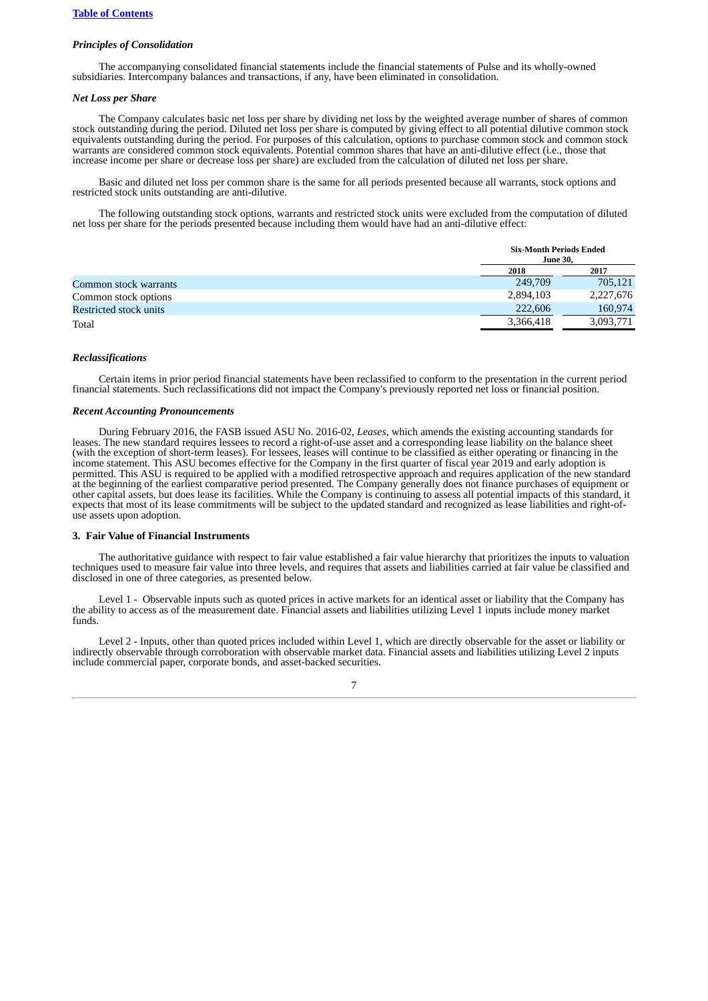### *Principles of Consolidation*

The accompanying consolidated financial statements include the financial statements of Pulse and its wholly-owned subsidiaries. Intercompany balances and transactions, if any, have been eliminated in consolidation.

#### *Net Loss per Share*

The Company calculates basic net loss per share by dividing net loss by the weighted average number of shares of common stock outstanding during the period. Diluted net loss per share is computed by giving effect to all potential dilutive common stock equivalents outstanding during the period. For purposes of this calculation, options to purchase common stock and common stock warrants are considered common stock equivalents. Potential common shares that have an anti-dilutive effect (i.e., those that increase income per share or decrease loss per share) are excluded from the calculation of diluted net loss per share.

Basic and diluted net loss per common share is the same for all periods presented because all warrants, stock options and restricted stock units outstanding are anti-dilutive.

The following outstanding stock options, warrants and restricted stock units were excluded from the computation of diluted net loss per share for the periods presented because including them would have had an anti-dilutive effect:

|                        | <b>Six-Month Periods Ended</b><br><b>June 30,</b> |           |  |
|------------------------|---------------------------------------------------|-----------|--|
|                        | 2018                                              | 2017      |  |
| Common stock warrants  | 249,709                                           | 705,121   |  |
| Common stock options   | 2,894,103                                         | 2,227,676 |  |
| Restricted stock units | 222,606                                           | 160,974   |  |
| Total                  | 3,366,418                                         | 3,093,771 |  |

#### *Reclassifications*

Certain items in prior period financial statements have been reclassified to conform to the presentation in the current period financial statements. Such reclassifications did not impact the Company's previously reported net loss or financial position.

#### *Recent Accounting Pronouncements*

During February 2016, the FASB issued ASU No. 2016-02, *Leases*, which amends the existing accounting standards for leases. The new standard requires lessees to record a right-of-use asset and a corresponding lease liability on the balance sheet (with the exception of short-term leases). For lessees, leases will continue to be classified as either operating or financing in the income statement. This ASU becomes effective for the Company in the first quarter of fiscal year 2019 and early adoption is permitted. This ASU is required to be applied with a modified retrospective approach and requires application of the new standard at the beginning of the earliest comparative period presented. The Company generally does not finance purchases of equipment or other capital assets, but does lease its facilities. While the Company is continuing to assess all potential impacts of this standard, it expects that most of its lease commitments will be subject to the updated standard and recognized as lease liabilities and right-ofuse assets upon adoption.

#### **3. Fair Value of Financial Instruments**

The authoritative guidance with respect to fair value established a fair value hierarchy that prioritizes the inputs to valuation techniques used to measure fair value into three levels, and requires that assets and liabilities carried at fair value be classified and disclosed in one of three categories, as presented below.

Level 1 - Observable inputs such as quoted prices in active markets for an identical asset or liability that the Company has the ability to access as of the measurement date. Financial assets and liabilities utilizing Level 1 inputs include money market funds.

Level 2 - Inputs, other than quoted prices included within Level 1, which are directly observable for the asset or liability or indirectly observable through corroboration with observable market data. Financial assets and liabilities utilizing Level 2 inputs include commercial paper, corporate bonds, and asset-backed securities.

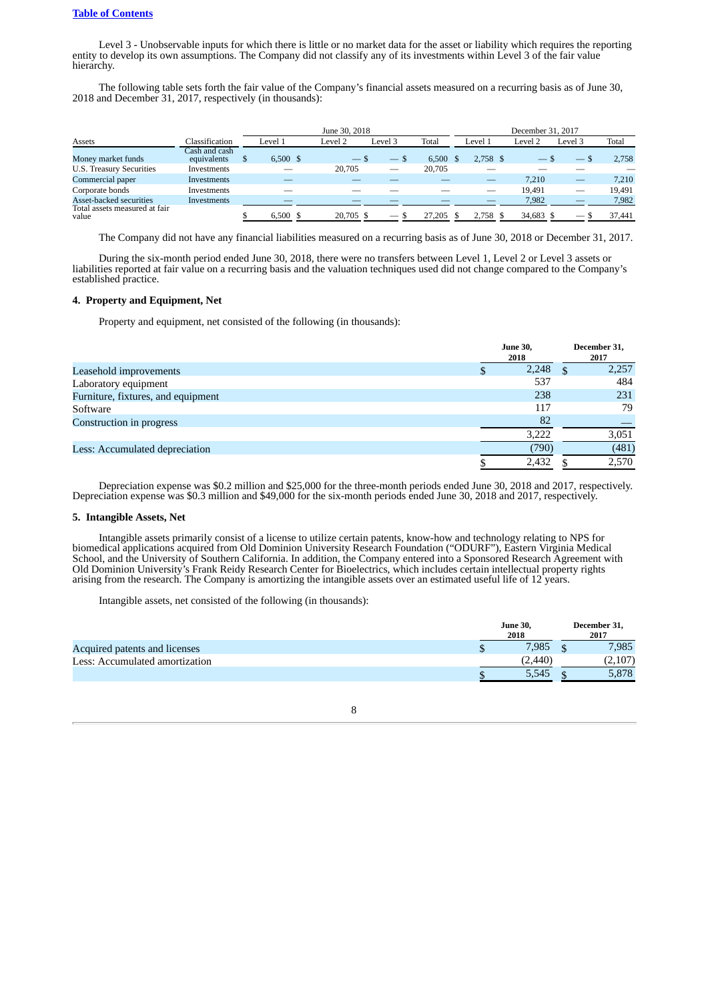Level 3 - Unobservable inputs for which there is little or no market data for the asset or liability which requires the reporting entity to develop its own assumptions. The Company did not classify any of its investments within Level 3 of the fair value hierarchy.

The following table sets forth the fair value of the Company's financial assets measured on a recurring basis as of June 30, 2018 and December 31, 2017, respectively (in thousands):

|                                        |                              | June 30, 2018 |            |           |         |  | December 31, 2017 |  |            |           |         |  |        |
|----------------------------------------|------------------------------|---------------|------------|-----------|---------|--|-------------------|--|------------|-----------|---------|--|--------|
| Assets                                 | Classification               |               | Level 1    | Level 2   | Level 3 |  | Total             |  | Level 1    | Level 2   | Level 3 |  | Total  |
| Money market funds                     | Cash and cash<br>equivalents |               | $6,500$ \$ | $-$ 5     | —       |  | $6,500$ \$        |  | $2.758$ \$ |           |         |  | 2,758  |
| U.S. Treasury Securities               | Investments                  |               |            | 20,705    |         |  | 20,705            |  |            |           |         |  |        |
| Commercial paper                       | Investments                  |               |            |           |         |  |                   |  |            | 7.210     |         |  | 7.210  |
| Corporate bonds                        | Investments                  |               |            |           |         |  |                   |  |            | 19.491    |         |  | 19.491 |
| Asset-backed securities                | Investments                  |               |            |           |         |  |                   |  |            | 7,982     |         |  | 7,982  |
| Total assets measured at fair<br>value |                              |               | $6,500$ \$ | 20.705 \$ |         |  | 27,205            |  | 2.758 \$   | 34,683 \$ |         |  | 37,441 |

The Company did not have any financial liabilities measured on a recurring basis as of June 30, 2018 or December 31, 2017.

During the six-month period ended June 30, 2018, there were no transfers between Level 1, Level 2 or Level 3 assets or liabilities reported at fair value on a recurring basis and the valuation techniques used did not change compared to the Company's established practice.

#### **4. Property and Equipment, Net**

Property and equipment, net consisted of the following (in thousands):

|                                    |   | <b>June 30,</b><br>2018 |  | December 31,<br>2017 |
|------------------------------------|---|-------------------------|--|----------------------|
| Leasehold improvements             | D | 2,248                   |  | 2,257                |
| Laboratory equipment               |   | 537                     |  | 484                  |
| Furniture, fixtures, and equipment |   | 238                     |  | 231                  |
| Software                           |   | 117                     |  | 79                   |
| Construction in progress           |   | 82                      |  |                      |
|                                    |   | 3,222                   |  | 3,051                |
| Less: Accumulated depreciation     |   | (790)                   |  | (481)                |
|                                    |   | 2,432                   |  | 2,570                |
|                                    |   |                         |  |                      |

Depreciation expense was \$0.2 million and \$25,000 for the three-month periods ended June 30, 2018 and 2017, respectively. Depreciation expense was \$0.3 million and \$49,000 for the six-month periods ended June 30, 2018 and 2017, respectively.

#### **5. Intangible Assets, Net**

Intangible assets primarily consist of a license to utilize certain patents, know-how and technology relating to NPS for biomedical applications acquired from Old Dominion University Research Foundation ("ODURF"), Eastern Virginia Medical School, and the University of Southern California. In addition, the Company entered into a Sponsored Research Agreement with Old Dominion University's Frank Reidy Research Center for Bioelectrics, which includes certain intellectual property rights arising from the research. The Company is amortizing the intangible assets over an estimated useful life of 12 years.

Intangible assets, net consisted of the following (in thousands):

|                                | <b>June 30,</b><br>2018 | December 31,<br>2017 |
|--------------------------------|-------------------------|----------------------|
| Acquired patents and licenses  | 7,985                   | 7,985                |
| Less: Accumulated amortization | (2.440)                 | (2,107)              |
|                                | 5.545                   | 5,878                |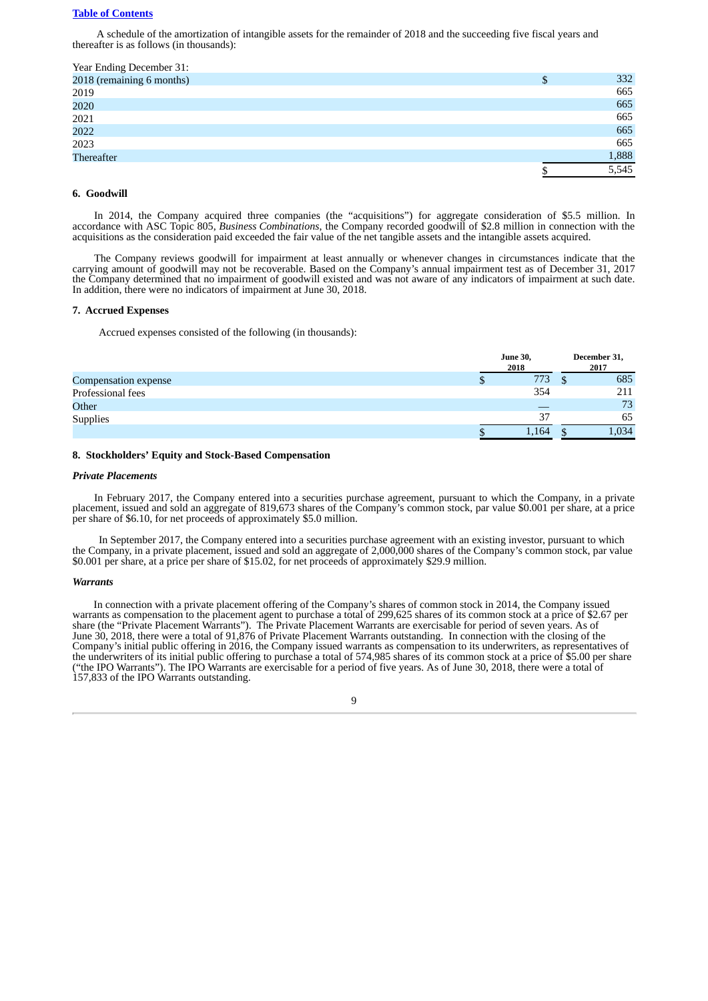A schedule of the amortization of intangible assets for the remainder of 2018 and the succeeding five fiscal years and thereafter is as follows (in thousands):

| Year Ending December 31:  |    |       |
|---------------------------|----|-------|
| 2018 (remaining 6 months) | ۰D | 332   |
| 2019                      |    | 665   |
| 2020                      |    | 665   |
| 2021                      |    | 665   |
| 2022                      |    | 665   |
| 2023                      |    | 665   |
| Thereafter                |    | 1,888 |
|                           |    | 5,545 |

### **6. Goodwill**

In 2014, the Company acquired three companies (the "acquisitions") for aggregate consideration of \$5.5 million. In accordance with ASC Topic 805, *Business Combinations*, the Company recorded goodwill of \$2.8 million in connection with the acquisitions as the consideration paid exceeded the fair value of the net tangible assets and the intangible assets acquired.

The Company reviews goodwill for impairment at least annually or whenever changes in circumstances indicate that the carrying amount of goodwill may not be recoverable. Based on the Company's annual impairment test as of December 31, 2017 the Company determined that no impairment of goodwill existed and was not aware of any indicators of impairment at such date. In addition, there were no indicators of impairment at June 30, 2018.

#### **7. Accrued Expenses**

Accrued expenses consisted of the following (in thousands):

|                      |  | <b>June 30,</b><br>2018 | December 31,<br>2017 |
|----------------------|--|-------------------------|----------------------|
| Compensation expense |  | 773                     | 685                  |
| Professional fees    |  | 354                     | 211                  |
| Other                |  |                         | 73                   |
| Supplies             |  | 37                      | 65                   |
|                      |  | 1,164                   | 1,034                |

### **8. Stockholders' Equity and Stock-Based Compensation**

#### *Private Placements*

In February 2017, the Company entered into a securities purchase agreement, pursuant to which the Company, in a private placement, issued and sold an aggregate of 819,673 shares of the Company's common stock, par value \$0.001 per share, at a price per share of \$6.10, for net proceeds of approximately \$5.0 million.

In September 2017, the Company entered into a securities purchase agreement with an existing investor, pursuant to which the Company, in a private placement, issued and sold an aggregate of 2,000,000 shares of the Company's common stock, par value \$0.001 per share, at a price per share of \$15.02, for net proceeds of approximately \$29.9 million.

#### *Warrants*

In connection with a private placement offering of the Company's shares of common stock in 2014, the Company issued warrants as compensation to the placement agent to purchase a total of 299,625 shares of its common stock at a price of \$2.67 per share (the "Private Placement Warrants"). The Private Placement Warrants are exercisable for period of seven years. As of June 30, 2018, there were a total of 91,876 of Private Placement Warrants outstanding. In connection with the closing of the Company's initial public offering in 2016, the Company issued warrants as compensation to its underwriters, as representatives of the underwriters of its initial public offering to purchase a total of 574,985 shares of its common stock at a price of \$5.00 per share ("the IPO Warrants"). The IPO Warrants are exercisable for a period of five years. As of June 30, 2018, there were a total of 157,833 of the IPO Warrants outstanding.

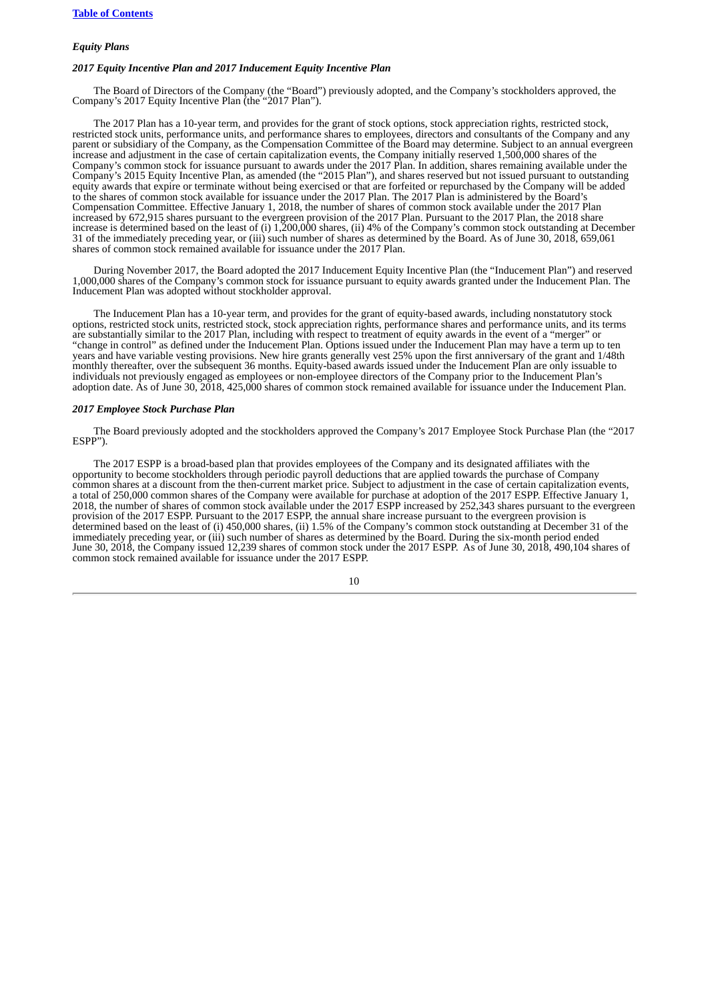### *Equity Plans*

#### *2017 Equity Incentive Plan and 2017 Inducement Equity Incentive Plan*

The Board of Directors of the Company (the "Board") previously adopted, and the Company's stockholders approved, the Company's 2017 Equity Incentive Plan (the "2017 Plan").

The 2017 Plan has a 10-year term, and provides for the grant of stock options, stock appreciation rights, restricted stock, restricted stock units, performance units, and performance shares to employees, directors and consultants of the Company and any parent or subsidiary of the Company, as the Compensation Committee of the Board may determine. Subject to an annual evergreen increase and adjustment in the case of certain capitalization events, the Company initially reserved 1,500,000 shares of the Company's common stock for issuance pursuant to awards under the 2017 Plan. In addition, shares remaining available under the Company's 2015 Equity Incentive Plan, as amended (the "2015 Plan"), and shares reserved but not issued pursuant to outstanding equity awards that expire or terminate without being exercised or that are forfeited or repurchased by the Company will be added to the shares of common stock available for issuance under the 2017 Plan. The 2017 Plan is administered by the Board's Compensation Committee. Effective January 1, 2018, the number of shares of common stock available under the 2017 Plan increased by 672,915 shares pursuant to the evergreen provision of the 2017 Plan. Pursuant to the 2017 Plan, the 2018 share increase is determined based on the least of (i) 1,200,000 shares, (ii) 4% of the Company's common stock outstanding at December 31 of the immediately preceding year, or (iii) such number of shares as determined by the Board. As of June 30, 2018, 659,061 shares of common stock remained available for issuance under the 2017 Plan.

During November 2017, the Board adopted the 2017 Inducement Equity Incentive Plan (the "Inducement Plan") and reserved 1,000,000 shares of the Company's common stock for issuance pursuant to equity awards granted under the Inducement Plan. The Inducement Plan was adopted without stockholder approval.

The Inducement Plan has a 10-year term, and provides for the grant of equity-based awards, including nonstatutory stock options, restricted stock units, restricted stock, stock appreciation rights, performance shares and performance units, and its terms are substantially similar to the 2017 Plan, including with respect to treatment of equity awards in the event of a "merger" or "change in control" as defined under the Inducement Plan. Options issued under the Inducement Plan may have a term up to ten years and have variable vesting provisions. New hire grants generally vest 25% upon the first anniversary of the grant and 1/48th monthly thereafter, over the subsequent 36 months. Equity-based awards issued under the Inducement Plan are only issuable to individuals not previously engaged as employees or non-employee directors of the Company prior to the Inducement Plan's adoption date. As of June 30, 2018, 425,000 shares of common stock remained available for issuance under the Inducement Plan.

#### *2017 Employee Stock Purchase Plan*

The Board previously adopted and the stockholders approved the Company's 2017 Employee Stock Purchase Plan (the "2017 ESPP").

The 2017 ESPP is a broad-based plan that provides employees of the Company and its designated affiliates with the opportunity to become stockholders through periodic payroll deductions that are applied towards the purchase of Company common shares at a discount from the then-current market price. Subject to adjustment in the case of certain capitalization events, a total of 250,000 common shares of the Company were available for purchase at adoption of the 2017 ESPP. Effective January 1, 2018, the number of shares of common stock available under the 2017 ESPP increased by 252,343 shares pursuant to the evergreen provision of the 2017 ESPP. Pursuant to the 2017 ESPP, the annual share increase pursuant to the evergreen provision is determined based on the least of (i) 450,000 shares, (ii) 1.5% of the Company's common stock outstanding at December 31 of the immediately preceding year, or (iii) such number of shares as determined by the Board. During the six-month period ended June 30, 2018, the Company issued 12,239 shares of common stock under the 2017 ESPP. As of June 30, 2018, 490,104 shares of common stock remained available for issuance under the 2017 ESPP.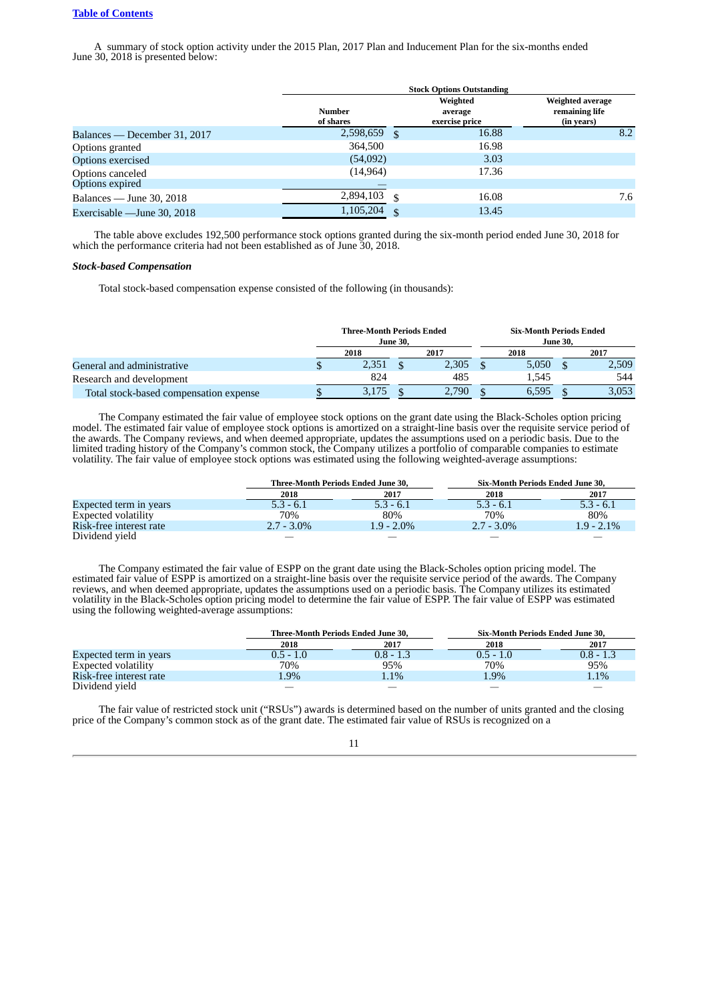A summary of stock option activity under the 2015 Plan, 2017 Plan and Inducement Plan for the six-months ended June 30, 2018 is presented below:

|                                     | <b>Stock Options Outstanding</b> |    |                                       |                                                  |  |  |  |  |
|-------------------------------------|----------------------------------|----|---------------------------------------|--------------------------------------------------|--|--|--|--|
|                                     | <b>Number</b><br>of shares       |    | Weighted<br>average<br>exercise price | Weighted average<br>remaining life<br>(in years) |  |  |  |  |
| Balances — December 31, 2017        | 2,598,659                        | -S | 16.88                                 | 8.2                                              |  |  |  |  |
| Options granted                     | 364,500                          |    | 16.98                                 |                                                  |  |  |  |  |
| <b>Options exercised</b>            | (54,092)                         |    | 3.03                                  |                                                  |  |  |  |  |
| Options canceled<br>Options expired | (14,964)                         |    | 17.36                                 |                                                  |  |  |  |  |
| Balances — June 30, 2018            | 2,894,103                        |    | 16.08                                 | 7.6                                              |  |  |  |  |
| Exercisable - June 30, 2018         | 1,105,204                        |    | 13.45                                 |                                                  |  |  |  |  |

The table above excludes 192,500 performance stock options granted during the six-month period ended June 30, 2018 for which the performance criteria had not been established as of June 30, 2018.

#### *Stock-based Compensation*

Total stock-based compensation expense consisted of the following (in thousands):

|                                        | <b>Three-Month Periods Ended</b><br><b>June 30,</b> |  |       | <b>Six-Month Periods Ended</b><br><b>June 30.</b> |       |  |       |
|----------------------------------------|-----------------------------------------------------|--|-------|---------------------------------------------------|-------|--|-------|
|                                        | 2018                                                |  | 2017  |                                                   | 2018  |  | 2017  |
| General and administrative             | 2,351                                               |  | 2,305 |                                                   | 5,050 |  | 2,509 |
| Research and development               | 824                                                 |  | 485   |                                                   | 1.545 |  | 544   |
| Total stock-based compensation expense | 3,175                                               |  | 2,790 |                                                   | 6,595 |  | 3,053 |

The Company estimated the fair value of employee stock options on the grant date using the Black-Scholes option pricing model. The estimated fair value of employee stock options is amortized on a straight-line basis over the requisite service period of the awards. The Company reviews, and when deemed appropriate, updates the assumptions used on a periodic basis. Due to the limited trading history of the Company's common stock, the Company utilizes a portfolio of comparable companies to estimate volatility. The fair value of employee stock options was estimated using the following weighted-average assumptions:

|                            | <b>Three-Month Periods Ended June 30.</b> |               | <b>Six-Month Periods Ended June 30.</b> |               |
|----------------------------|-------------------------------------------|---------------|-----------------------------------------|---------------|
|                            | 2018                                      | 2017          | 2018                                    | 2017          |
| Expected term in years     | $5.3 - 6.1$                               | $5.3 - 6.1$   | $5.3 - 6.1$                             | $5.3 - 6.1$   |
| <b>Expected volatility</b> | 70%                                       | 80%           | 70%                                     | 80%           |
| Risk-free interest rate    | $2.7 - 3.0\%$                             | $1.9 - 2.0\%$ | $2.7 - 3.0\%$                           | $1.9 - 2.1\%$ |
| Dividend yield             |                                           |               |                                         |               |

The Company estimated the fair value of ESPP on the grant date using the Black-Scholes option pricing model. The estimated fair value of ESPP is amortized on a straight-line basis over the requisite service period of the awards. The Company reviews, and when deemed appropriate, updates the assumptions used on a periodic basis. The Company utilizes its estimated volatility in the Black-Scholes option pricing model to determine the fair value of ESPP. The fair value of ESPP was estimated using the following weighted-average assumptions:

|                         | <b>Three-Month Periods Ended June 30.</b> |             | <b>Six-Month Periods Ended June 30.</b> |             |  |  |
|-------------------------|-------------------------------------------|-------------|-----------------------------------------|-------------|--|--|
|                         | 2018                                      | 2017        | 2018                                    | 2017        |  |  |
| Expected term in years  | $0.5 - 1.0$                               | $0.8 - 1.3$ | $0.5 - 1.0$                             | $0.8 - 1.3$ |  |  |
| Expected volatility     | 70%                                       | 95%         | 70%                                     | 95%         |  |  |
| Risk-free interest rate | $1.9\%$                                   | 1.1%        | 1.9%                                    | 1.1%        |  |  |
| Dividend yield          |                                           |             |                                         |             |  |  |

The fair value of restricted stock unit ("RSUs") awards is determined based on the number of units granted and the closing price of the Company's common stock as of the grant date. The estimated fair value of RSUs is recognized on a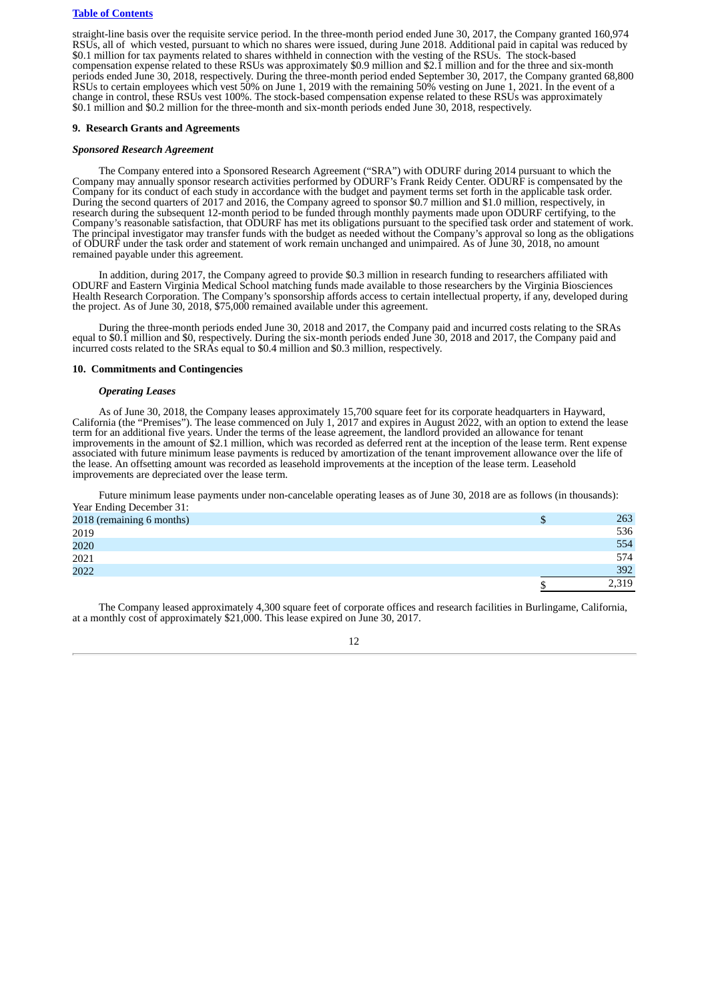straight-line basis over the requisite service period. In the three-month period ended June 30, 2017, the Company granted 160,974 RSUs, all of which vested, pursuant to which no shares were issued, during June 2018. Additional paid in capital was reduced by \$0.1 million for tax payments related to shares withheld in connection with the vesting of the RSUs. The stock-based compensation expense related to these RSUs was approximately \$0.9 million and \$2.1 million and for the three and six-month periods ended June 30, 2018, respectively. During the three-month period ended September 30, 2017, the Company granted 68,800 RSUs to certain employees which vest 50% on June 1, 2019 with the remaining 50% vesting on June 1, 2021. In the event of a change in control, these RSUs vest 100%. The stock-based compensation expense related to these RSUs was approximately \$0.1 million and \$0.2 million for the three-month and six-month periods ended June 30, 2018, respectively.

### **9. Research Grants and Agreements**

#### *Sponsored Research Agreement*

The Company entered into a Sponsored Research Agreement ("SRA") with ODURF during 2014 pursuant to which the Company may annually sponsor research activities performed by ODURF's Frank Reidy Center. ODURF is compensated by the Company for its conduct of each study in accordance with the budget and payment terms set forth in the applicable task order. During the second quarters of 2017 and 2016, the Company agreed to sponsor \$0.7 million and \$1.0 million, respectively, in research during the subsequent 12-month period to be funded through monthly payments made upon ODURF certifying, to the Company's reasonable satisfaction, that ODURF has met its obligations pursuant to the specified task order and statement of work. The principal investigator may transfer funds with the budget as needed without the Company's approval so long as the obligations of ODURF under the task order and statement of work remain unchanged and unimpaired. As of June 30, 2018, no amount remained payable under this agreement.

In addition, during 2017, the Company agreed to provide \$0.3 million in research funding to researchers affiliated with ODURF and Eastern Virginia Medical School matching funds made available to those researchers by the Virginia Biosciences Health Research Corporation. The Company's sponsorship affords access to certain intellectual property, if any, developed during the project. As of June 30, 2018, \$75,000 remained available under this agreement.

During the three-month periods ended June 30, 2018 and 2017, the Company paid and incurred costs relating to the SRAs equal to \$0.1 million and \$0, respectively. During the six-month periods ended June 30, 2018 and 2017, the Company paid and incurred costs related to the SRAs equal to \$0.4 million and \$0.3 million, respectively.

#### **10. Commitments and Contingencies**

#### *Operating Leases*

As of June 30, 2018, the Company leases approximately 15,700 square feet for its corporate headquarters in Hayward, California (the "Premises"). The lease commenced on July 1, 2017 and expires in August 2022, with an option to extend the lease term for an additional five years. Under the terms of the lease agreement, the landlord provided an allowance for tenant improvements in the amount of \$2.1 million, which was recorded as deferred rent at the inception of the lease term. Rent expense associated with future minimum lease payments is reduced by amortization of the tenant improvement allowance over the life of the lease. An offsetting amount was recorded as leasehold improvements at the inception of the lease term. Leasehold improvements are depreciated over the lease term.

Future minimum lease payments under non-cancelable operating leases as of June 30, 2018 are as follows (in thousands): Year Ending December 31:

| . .<br>2018 (remaining 6 months) | 263  |
|----------------------------------|------|
| 2019                             | 536  |
| 2020                             | 554  |
| 2021                             | 574  |
| 2022                             | 392  |
|                                  | ,319 |
|                                  |      |

The Company leased approximately 4,300 square feet of corporate offices and research facilities in Burlingame, California, at a monthly cost of approximately \$21,000. This lease expired on June 30, 2017.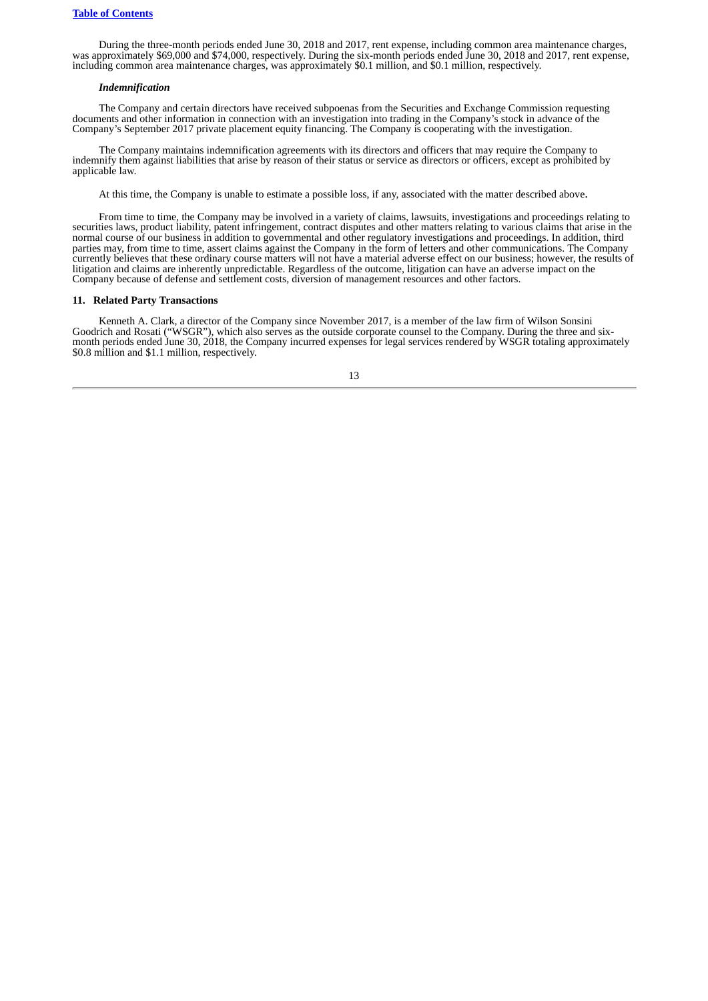During the three-month periods ended June 30, 2018 and 2017, rent expense, including common area maintenance charges, was approximately \$69,000 and \$74,000, respectively. During the six-month periods ended June 30, 2018 and 2017, rent expense, including common area maintenance charges, was approximately \$0.1 million, and \$0.1 million, respectively.

#### *Indemnification*

The Company and certain directors have received subpoenas from the Securities and Exchange Commission requesting documents and other information in connection with an investigation into trading in the Company's stock in advance of the Company's September 2017 private placement equity financing. The Company is cooperating with the investigation.

The Company maintains indemnification agreements with its directors and officers that may require the Company to indemnify them against liabilities that arise by reason of their status or service as directors or officers, except as prohibited by applicable law.

At this time, the Company is unable to estimate a possible loss, if any, associated with the matter described above.

From time to time, the Company may be involved in a variety of claims, lawsuits, investigations and proceedings relating to securities laws, product liability, patent infringement, contract disputes and other matters relating to various claims that arise in the normal course of our business in addition to governmental and other regulatory investigations and proceedings. In addition, third parties may, from time to time, assert claims against the Company in the form of letters and other communications. The Company currently believes that these ordinary course matters will not have a material adverse effect on our business; however, the results of litigation and claims are inherently unpredictable. Regardless of the outcome, litigation can have an adverse impact on the Company because of defense and settlement costs, diversion of management resources and other factors.

#### **11. Related Party Transactions**

Kenneth A. Clark, a director of the Company since November 2017, is a member of the law firm of Wilson Sonsini Goodrich and Rosati ("WSGR"), which also serves as the outside corporate counsel to the Company. During the three and sixmonth periods ended June 30, 2018, the Company incurred expenses for legal services rendered by WSGR totaling approximately \$0.8 million and \$1.1 million, respectively.

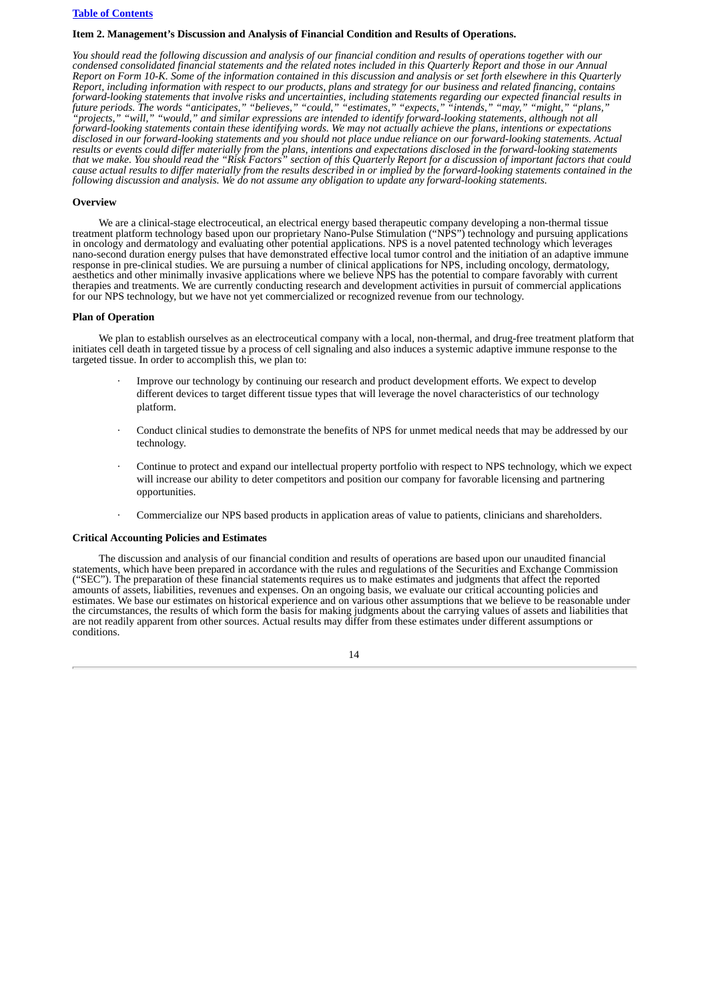### <span id="page-13-0"></span>**Item 2. Management's Discussion and Analysis of Financial Condition and Results of Operations.**

You should read the following discussion and analysis of our financial condition and results of operations together with our condensed consolidated financial statements and the related notes included in this Quarterly Report and those in our Annual Report on Form 10-K. Some of the information contained in this discussion and analysis or set forth elsewhere in this Quarterly Report, including information with respect to our products, plans and strategy for our business and related financing, contains forward-looking statements that involve risks and uncertainties, including statements regarding our expected financial results in *future periods. The words "anticipates," "believes," "could," "estimates," "expects," "intends," "may," "might," "plans,"* "projects," "will," "would," and similar expressions are intended to identify forward-looking statements, although not all forward-looking statements contain these identifying words. We may not actually achieve the plans, intentions or expectations disclosed in our forward-looking statements and you should not place undue reliance on our forward-looking statements. Actual results or events could differ materially from the plans, intentions and expectations disclosed in the forward-looking statements that we make. You should read the "Risk Factors" section of this Quarterly Report for a discussion of important factors that could cause actual results to differ materially from the results described in or implied by the forward-looking statements contained in the *following discussion and analysis. We do not assume any obligation to update any forward-looking statements.*

#### **Overview**

We are a clinical-stage electroceutical, an electrical energy based therapeutic company developing a non-thermal tissue treatment platform technology based upon our proprietary Nano-Pulse Stimulation ("NPS") technology and pursuing applications in oncology and dermatology and evaluating other potential applications. NPS is a novel patented technology which leverages nano-second duration energy pulses that have demonstrated effective local tumor control and the initiation of an adaptive immune response in pre-clinical studies. We are pursuing a number of clinical applications for NPS, including oncology, dermatology, aesthetics and other minimally invasive applications where we believe NPS has the potential to compare favorably with current therapies and treatments. We are currently conducting research and development activities in pursuit of commercial applications for our NPS technology, but we have not yet commercialized or recognized revenue from our technology.

### **Plan of Operation**

We plan to establish ourselves as an electroceutical company with a local, non-thermal, and drug-free treatment platform that initiates cell death in targeted tissue by a process of cell signaling and also induces a systemic adaptive immune response to the targeted tissue. In order to accomplish this, we plan to:

- Improve our technology by continuing our research and product development efforts. We expect to develop different devices to target different tissue types that will leverage the novel characteristics of our technology platform.
- Conduct clinical studies to demonstrate the benefits of NPS for unmet medical needs that may be addressed by our technology.
- · Continue to protect and expand our intellectual property portfolio with respect to NPS technology, which we expect will increase our ability to deter competitors and position our company for favorable licensing and partnering opportunities.
- · Commercialize our NPS based products in application areas of value to patients, clinicians and shareholders.

#### **Critical Accounting Policies and Estimates**

The discussion and analysis of our financial condition and results of operations are based upon our unaudited financial statements, which have been prepared in accordance with the rules and regulations of the Securities and Exchange Commission ("SEC"). The preparation of these financial statements requires us to make estimates and judgments that affect the reported amounts of assets, liabilities, revenues and expenses. On an ongoing basis, we evaluate our critical accounting policies and estimates. We base our estimates on historical experience and on various other assumptions that we believe to be reasonable under the circumstances, the results of which form the basis for making judgments about the carrying values of assets and liabilities that are not readily apparent from other sources. Actual results may differ from these estimates under different assumptions or conditions.

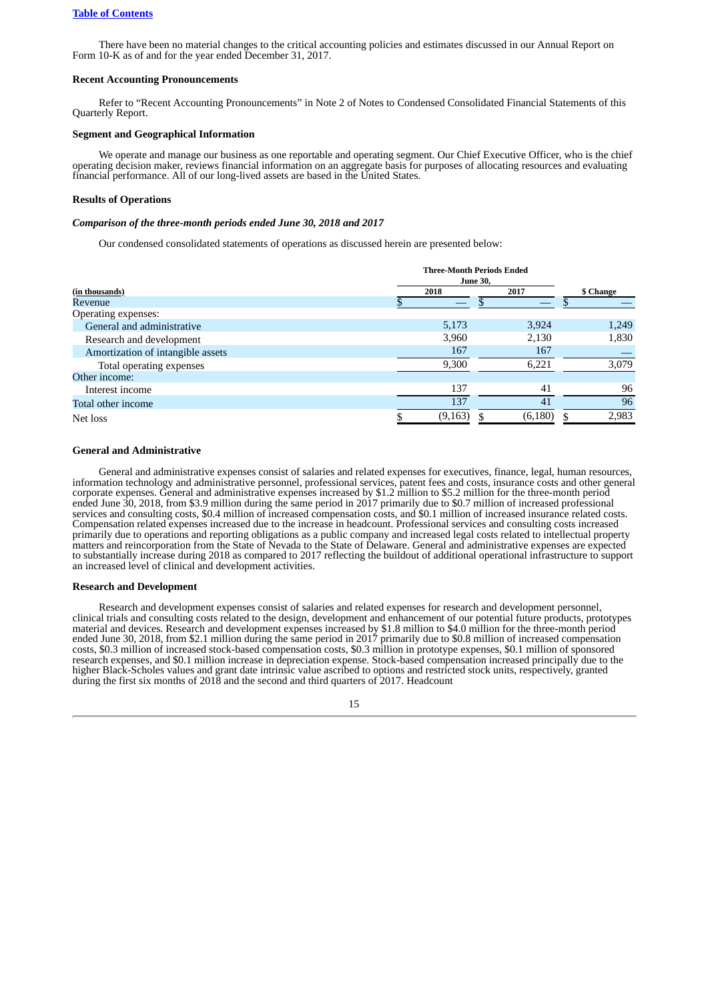There have been no material changes to the critical accounting policies and estimates discussed in our Annual Report on Form 10-K as of and for the year ended December 31, 2017.

#### **Recent Accounting Pronouncements**

Refer to "Recent Accounting Pronouncements" in Note 2 of Notes to Condensed Consolidated Financial Statements of this Quarterly Report.

#### **Segment and Geographical Information**

We operate and manage our business as one reportable and operating segment. Our Chief Executive Officer, who is the chief operating decision maker, reviews financial information on an aggregate basis for purposes of allocating resources and evaluating financial performance. All of our long-lived assets are based in the United States.

#### **Results of Operations**

#### *Comparison of the three-month periods ended June 30, 2018 and 2017*

Our condensed consolidated statements of operations as discussed herein are presented below:

|                                   | <b>Three-Month Periods Ended</b><br><b>June 30,</b> |         |           |
|-----------------------------------|-----------------------------------------------------|---------|-----------|
| (in thousands)                    | 2018                                                | 2017    | \$ Change |
| Revenue                           |                                                     |         |           |
| Operating expenses:               |                                                     |         |           |
| General and administrative        | 5,173                                               | 3,924   | 1,249     |
| Research and development          | 3,960                                               | 2,130   | 1,830     |
| Amortization of intangible assets | 167                                                 | 167     |           |
| Total operating expenses          | 9,300                                               | 6,221   | 3,079     |
| Other income:                     |                                                     |         |           |
| Interest income                   | 137                                                 | 41      | 96        |
| Total other income                | 137                                                 | 41      | 96        |
| Net loss                          | (9, 163)                                            | (6,180) | 2,983     |

### **General and Administrative**

General and administrative expenses consist of salaries and related expenses for executives, finance, legal, human resources, information technology and administrative personnel, professional services, patent fees and costs, insurance costs and other general corporate expenses. General and administrative expenses increased by \$1.2 million to \$5.2 million for the three-month period ended June 30, 2018, from \$3.9 million during the same period in 2017 primarily due to \$0.7 million of increased professional services and consulting costs, \$0.4 million of increased compensation costs, and \$0.1 million of increased insurance related costs. Compensation related expenses increased due to the increase in headcount. Professional services and consulting costs increased primarily due to operations and reporting obligations as a public company and increased legal costs related to intellectual property matters and reincorporation from the State of Nevada to the State of Delaware. General and administrative expenses are expected to substantially increase during 2018 as compared to 2017 reflecting the buildout of additional operational infrastructure to support an increased level of clinical and development activities.

#### **Research and Development**

Research and development expenses consist of salaries and related expenses for research and development personnel, clinical trials and consulting costs related to the design, development and enhancement of our potential future products, prototypes material and devices. Research and development expenses increased by \$1.8 million to \$4.0 million for the three-month period ended June 30, 2018, from \$2.1 million during the same period in 2017 primarily due to \$0.8 million of increased compensation costs, \$0.3 million of increased stock-based compensation costs, \$0.3 million in prototype expenses, \$0.1 million of sponsored research expenses, and \$0.1 million increase in depreciation expense. Stock-based compensation increased principally due to the higher Black-Scholes values and grant date intrinsic value ascribed to options and restricted stock units, respectively, granted during the first six months of 2018 and the second and third quarters of 2017. Headcount

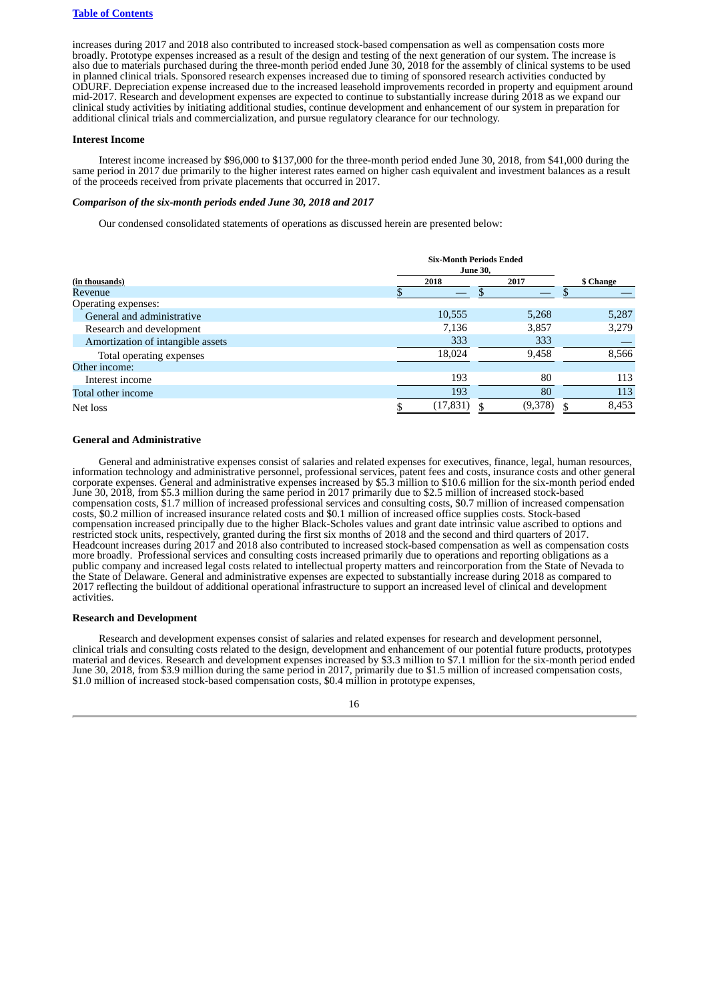increases during 2017 and 2018 also contributed to increased stock-based compensation as well as compensation costs more broadly. Prototype expenses increased as a result of the design and testing of the next generation of our system. The increase is also due to materials purchased during the three-month period ended June 30, 2018 for the assembly of clinical systems to be used in planned clinical trials. Sponsored research expenses increased due to timing of sponsored research activities conducted by ODURF. Depreciation expense increased due to the increased leasehold improvements recorded in property and equipment around mid-2017. Research and development expenses are expected to continue to substantially increase during 2018 as we expand our clinical study activities by initiating additional studies, continue development and enhancement of our system in preparation for additional clinical trials and commercialization, and pursue regulatory clearance for our technology.

#### **Interest Income**

Interest income increased by \$96,000 to \$137,000 for the three-month period ended June 30, 2018, from \$41,000 during the same period in 2017 due primarily to the higher interest rates earned on higher cash equivalent and investment balances as a result of the proceeds received from private placements that occurred in 2017.

#### *Comparison of the six-month periods ended June 30, 2018 and 2017*

Our condensed consolidated statements of operations as discussed herein are presented below:

|                                   | <b>Six-Month Periods Ended</b><br><b>June 30,</b> |           |           |         |       |
|-----------------------------------|---------------------------------------------------|-----------|-----------|---------|-------|
| (in thousands)                    | 2017<br>2018                                      |           | \$ Change |         |       |
| Revenue                           |                                                   |           |           |         |       |
| Operating expenses:               |                                                   |           |           |         |       |
| General and administrative        |                                                   | 10,555    |           | 5,268   | 5,287 |
| Research and development          |                                                   | 7,136     |           | 3,857   | 3,279 |
| Amortization of intangible assets |                                                   | 333       |           | 333     |       |
| Total operating expenses          |                                                   | 18,024    |           | 9,458   | 8,566 |
| Other income:                     |                                                   |           |           |         |       |
| Interest income                   |                                                   | 193       |           | 80      | 113   |
| Total other income                |                                                   | 193       |           | 80      | 113   |
| Net loss                          |                                                   | (17, 831) |           | (9,378) | 8,453 |

### **General and Administrative**

General and administrative expenses consist of salaries and related expenses for executives, finance, legal, human resources, information technology and administrative personnel, professional services, patent fees and costs, insurance costs and other general corporate expenses. General and administrative expenses increased by \$5.3 million to \$10.6 million for the six-month period ended June 30, 2018, from \$5.3 million during the same period in 2017 primarily due to \$2.5 million of increased stock-based compensation costs, \$1.7 million of increased professional services and consulting costs, \$0.7 million of increased compensation costs, \$0.2 million of increased insurance related costs and \$0.1 million of increased office supplies costs. Stock-based compensation increased principally due to the higher Black-Scholes values and grant date intrinsic value ascribed to options and restricted stock units, respectively, granted during the first six months of 2018 and the second and third quarters of 2017. Headcount increases during 2017 and 2018 also contributed to increased stock-based compensation as well as compensation costs more broadly. Professional services and consulting costs increased primarily due to operations and reporting obligations as a public company and increased legal costs related to intellectual property matters and reincorporation from the State of Nevada to the State of Delaware. General and administrative expenses are expected to substantially increase during 2018 as compared to 2017 reflecting the buildout of additional operational infrastructure to support an increased level of clinical and development activities.

### **Research and Development**

Research and development expenses consist of salaries and related expenses for research and development personnel, clinical trials and consulting costs related to the design, development and enhancement of our potential future products, prototypes material and devices. Research and development expenses increased by \$3.3 million to \$7.1 million for the six-month period ended June 30, 2018, from \$3.9 million during the same period in 2017, primarily due to \$1.5 million of increased compensation costs, \$1.0 million of increased stock-based compensation costs, \$0.4 million in prototype expenses,

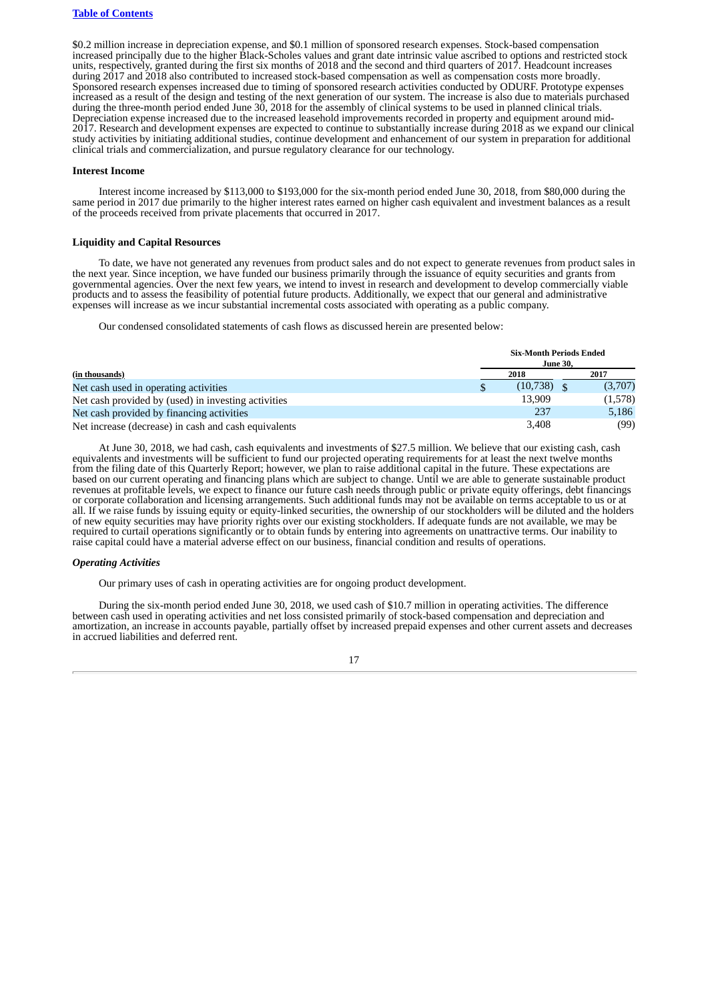\$0.2 million increase in depreciation expense, and \$0.1 million of sponsored research expenses. Stock-based compensation increased principally due to the higher Black-Scholes values and grant date intrinsic value ascribed to options and restricted stock units, respectively, granted during the first six months of 2018 and the second and third quarters of 2017. Headcount increases during 2017 and 2018 also contributed to increased stock-based compensation as well as compensation costs more broadly. Sponsored research expenses increased due to timing of sponsored research activities conducted by ODURF. Prototype expenses increased as a result of the design and testing of the next generation of our system. The increase is also due to materials purchased during the three-month period ended June 30, 2018 for the assembly of clinical systems to be used in planned clinical trials. Depreciation expense increased due to the increased leasehold improvements recorded in property and equipment around mid-2017. Research and development expenses are expected to continue to substantially increase during 2018 as we expand our clinical study activities by initiating additional studies, continue development and enhancement of our system in preparation for additional clinical trials and commercialization, and pursue regulatory clearance for our technology.

#### **Interest Income**

Interest income increased by \$113,000 to \$193,000 for the six-month period ended June 30, 2018, from \$80,000 during the same period in 2017 due primarily to the higher interest rates earned on higher cash equivalent and investment balances as a result of the proceeds received from private placements that occurred in 2017.

#### **Liquidity and Capital Resources**

To date, we have not generated any revenues from product sales and do not expect to generate revenues from product sales in the next year. Since inception, we have funded our business primarily through the issuance of equity securities and grants from governmental agencies. Over the next few years, we intend to invest in research and development to develop commercially viable products and to assess the feasibility of potential future products. Additionally, we expect that our general and administrative expenses will increase as we incur substantial incremental costs associated with operating as a public company.

Our condensed consolidated statements of cash flows as discussed herein are presented below:

|                                                      | <b>Six-Month Periods Ended</b><br><b>June 30,</b> |          |  |         |
|------------------------------------------------------|---------------------------------------------------|----------|--|---------|
| (in thousands)                                       |                                                   | 2018     |  | 2017    |
| Net cash used in operating activities                |                                                   | (10,738) |  | (3,707) |
| Net cash provided by (used) in investing activities  |                                                   | 13.909   |  | (1,578) |
| Net cash provided by financing activities            |                                                   | 237      |  | 5,186   |
| Net increase (decrease) in cash and cash equivalents |                                                   | 3,408    |  | (99)    |

At June 30, 2018, we had cash, cash equivalents and investments of \$27.5 million. We believe that our existing cash, cash equivalents and investments will be sufficient to fund our projected operating requirements for at least the next twelve months from the filing date of this Quarterly Report; however, we plan to raise additional capital in the future. These expectations are based on our current operating and financing plans which are subject to change. Until we are able to generate sustainable product revenues at profitable levels, we expect to finance our future cash needs through public or private equity offerings, debt financings or corporate collaboration and licensing arrangements. Such additional funds may not be available on terms acceptable to us or at all. If we raise funds by issuing equity or equity-linked securities, the ownership of our stockholders will be diluted and the holders of new equity securities may have priority rights over our existing stockholders. If adequate funds are not available, we may be required to curtail operations significantly or to obtain funds by entering into agreements on unattractive terms. Our inability to raise capital could have a material adverse effect on our business, financial condition and results of operations.

#### *Operating Activities*

Our primary uses of cash in operating activities are for ongoing product development.

During the six-month period ended June 30, 2018, we used cash of \$10.7 million in operating activities. The difference between cash used in operating activities and net loss consisted primarily of stock-based compensation and depreciation and amortization, an increase in accounts payable, partially offset by increased prepaid expenses and other current assets and decreases in accrued liabilities and deferred rent.

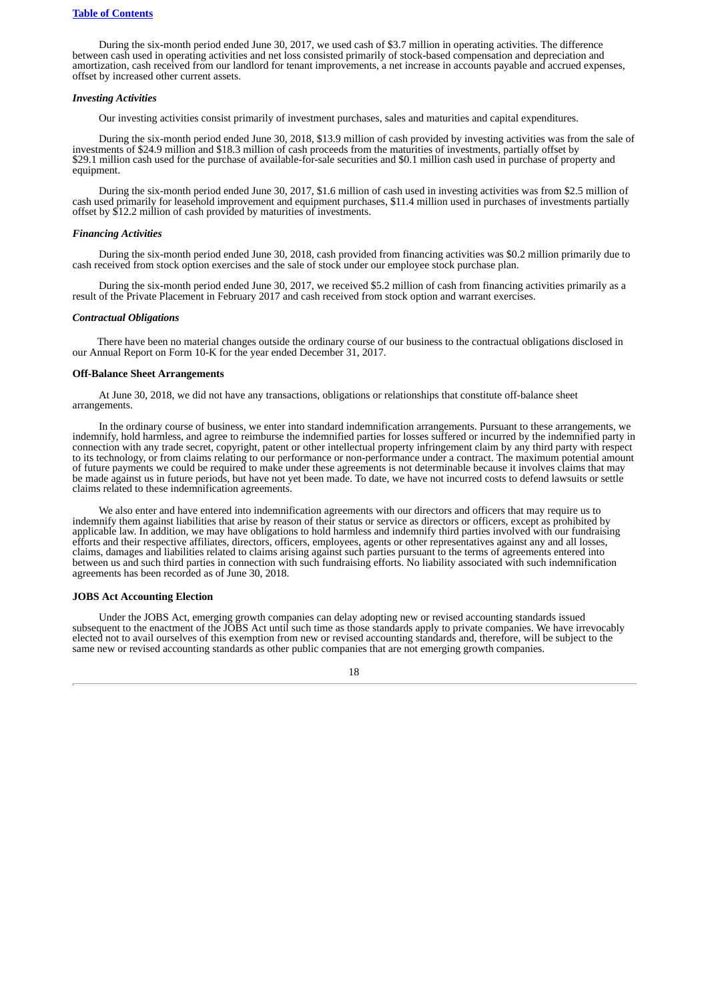During the six-month period ended June 30, 2017, we used cash of \$3.7 million in operating activities. The difference between cash used in operating activities and net loss consisted primarily of stock-based compensation and depreciation and amortization, cash received from our landlord for tenant improvements, a net increase in accounts payable and accrued expenses, offset by increased other current assets.

#### *Investing Activities*

Our investing activities consist primarily of investment purchases, sales and maturities and capital expenditures.

During the six-month period ended June 30, 2018, \$13.9 million of cash provided by investing activities was from the sale of investments of \$24.9 million and \$18.3 million of cash proceeds from the maturities of investments, partially offset by \$29.1 million cash used for the purchase of available-for-sale securities and \$0.1 million cash used in purchase of property and equipment.

During the six-month period ended June 30, 2017, \$1.6 million of cash used in investing activities was from \$2.5 million of cash used primarily for leasehold improvement and equipment purchases, \$11.4 million used in purchases of investments partially offset by \$12.2 million of cash provided by maturities of investments.

#### *Financing Activities*

During the six-month period ended June 30, 2018, cash provided from financing activities was \$0.2 million primarily due to cash received from stock option exercises and the sale of stock under our employee stock purchase plan.

During the six-month period ended June 30, 2017, we received \$5.2 million of cash from financing activities primarily as a result of the Private Placement in February 2017 and cash received from stock option and warrant exercises.

#### *Contractual Obligations*

There have been no material changes outside the ordinary course of our business to the contractual obligations disclosed in our Annual Report on Form 10-K for the year ended December 31, 2017.

#### **Off-Balance Sheet Arrangements**

At June 30, 2018, we did not have any transactions, obligations or relationships that constitute off-balance sheet arrangements.

In the ordinary course of business, we enter into standard indemnification arrangements. Pursuant to these arrangements, we indemnify, hold harmless, and agree to reimburse the indemnified parties for losses suffered or incurred by the indemnified party in connection with any trade secret, copyright, patent or other intellectual property infringement claim by any third party with respect to its technology, or from claims relating to our performance or non-performance under a contract. The maximum potential amount of future payments we could be required to make under these agreements is not determinable because it involves claims that may be made against us in future periods, but have not yet been made. To date, we have not incurred costs to defend lawsuits or settle claims related to these indemnification agreements.

We also enter and have entered into indemnification agreements with our directors and officers that may require us to indemnify them against liabilities that arise by reason of their status or service as directors or officers, except as prohibited by applicable law. In addition, we may have obligations to hold harmless and indemnify third parties involved with our fundraising efforts and their respective affiliates, directors, officers, employees, agents or other representatives against any and all losses, claims, damages and liabilities related to claims arising against such parties pursuant to the terms of agreements entered into between us and such third parties in connection with such fundraising efforts. No liability associated with such indemnification agreements has been recorded as of June 30, 2018.

#### **JOBS Act Accounting Election**

Under the JOBS Act, emerging growth companies can delay adopting new or revised accounting standards issued subsequent to the enactment of the JOBS Act until such time as those standards apply to private companies. We have irrevocably elected not to avail ourselves of this exemption from new or revised accounting standards and, therefore, will be subject to the same new or revised accounting standards as other public companies that are not emerging growth companies.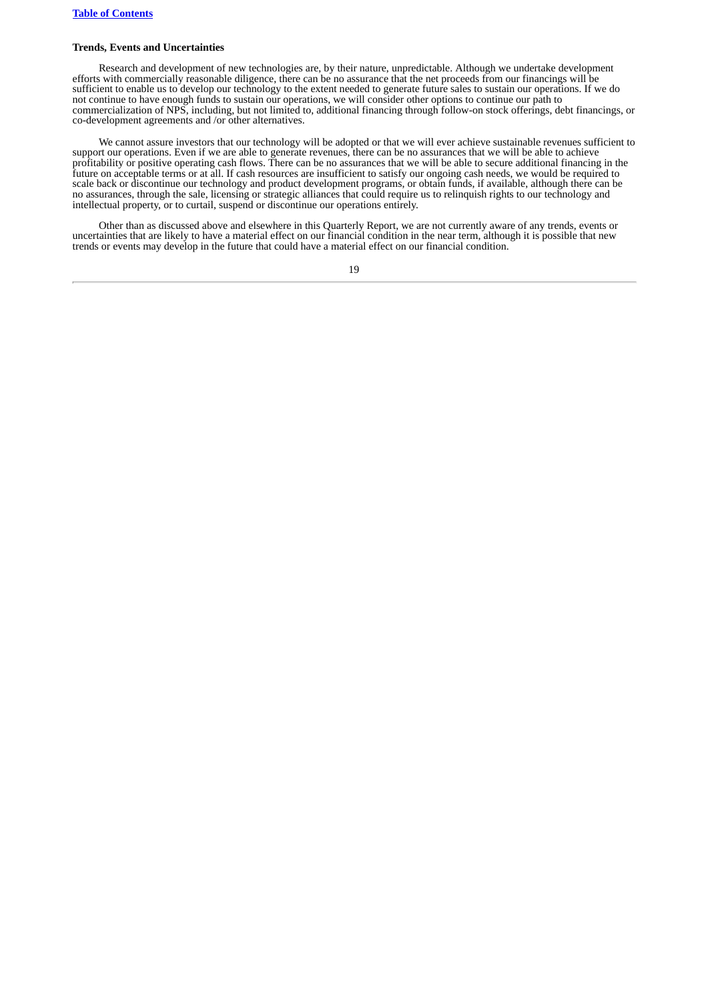### **Trends, Events and Uncertainties**

Research and development of new technologies are, by their nature, unpredictable. Although we undertake development efforts with commercially reasonable diligence, there can be no assurance that the net proceeds from our financings will be sufficient to enable us to develop our technology to the extent needed to generate future sales to sustain our operations. If we do not continue to have enough funds to sustain our operations, we will consider other options to continue our path to commercialization of NPS, including, but not limited to, additional financing through follow-on stock offerings, debt financings, or co-development agreements and /or other alternatives.

We cannot assure investors that our technology will be adopted or that we will ever achieve sustainable revenues sufficient to support our operations. Even if we are able to generate revenues, there can be no assurances that we will be able to achieve profitability or positive operating cash flows. There can be no assurances that we will be able to secure additional financing in the future on acceptable terms or at all. If cash resources are insufficient to satisfy our ongoing cash needs, we would be required to scale back or discontinue our technology and product development programs, or obtain funds, if available, although there can be no assurances, through the sale, licensing or strategic alliances that could require us to relinquish rights to our technology and intellectual property, or to curtail, suspend or discontinue our operations entirely.

Other than as discussed above and elsewhere in this Quarterly Report, we are not currently aware of any trends, events or uncertainties that are likely to have a material effect on our financial condition in the near term, although it is possible that new trends or events may develop in the future that could have a material effect on our financial condition.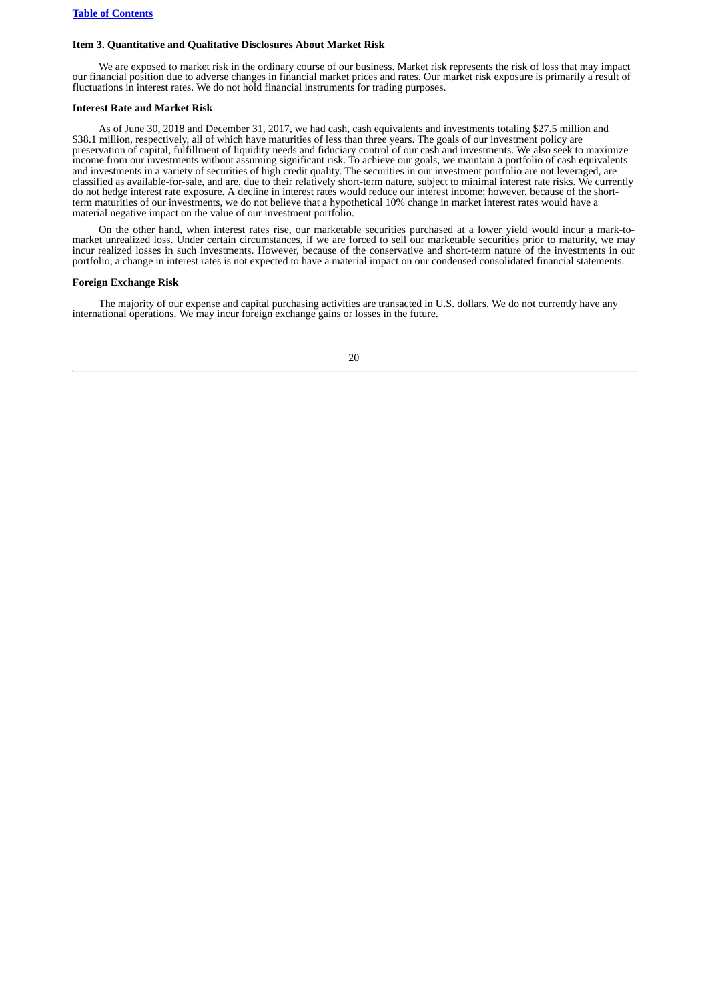### <span id="page-19-0"></span>**Item 3. Quantitative and Qualitative Disclosures About Market Risk**

We are exposed to market risk in the ordinary course of our business. Market risk represents the risk of loss that may impact our financial position due to adverse changes in financial market prices and rates. Our market risk exposure is primarily a result of fluctuations in interest rates. We do not hold financial instruments for trading purposes.

#### **Interest Rate and Market Risk**

As of June 30, 2018 and December 31, 2017, we had cash, cash equivalents and investments totaling \$27.5 million and \$38.1 million, respectively, all of which have maturities of less than three years. The goals of our investment policy are preservation of capital, fulfillment of liquidity needs and fiduciary control of our cash and investments. We also seek to maximize income from our investments without assuming significant risk. To achieve our goals, we maintain a portfolio of cash equivalents and investments in a variety of securities of high credit quality. The securities in our investment portfolio are not leveraged, are classified as available-for-sale, and are, due to their relatively short-term nature, subject to minimal interest rate risks. We currently do not hedge interest rate exposure. A decline in interest rates would reduce our interest income; however, because of the shortterm maturities of our investments, we do not believe that a hypothetical 10% change in market interest rates would have a material negative impact on the value of our investment portfolio.

On the other hand, when interest rates rise, our marketable securities purchased at a lower yield would incur a mark-tomarket unrealized loss. Under certain circumstances, if we are forced to sell our marketable securities prior to maturity, we may incur realized losses in such investments. However, because of the conservative and short-term nature of the investments in our portfolio, a change in interest rates is not expected to have a material impact on our condensed consolidated financial statements.

#### **Foreign Exchange Risk**

The majority of our expense and capital purchasing activities are transacted in U.S. dollars. We do not currently have any international operations. We may incur foreign exchange gains or losses in the future.

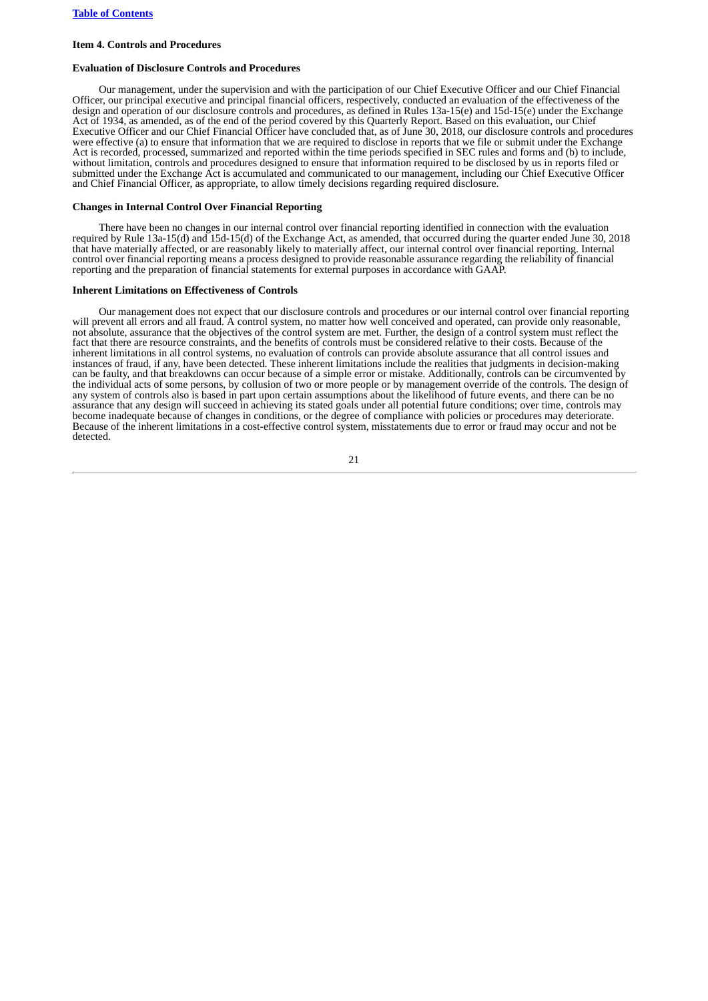#### <span id="page-20-0"></span>**Item 4. Controls and Procedures**

#### **Evaluation of Disclosure Controls and Procedures**

Our management, under the supervision and with the participation of our Chief Executive Officer and our Chief Financial Officer, our principal executive and principal financial officers, respectively, conducted an evaluation of the effectiveness of the design and operation of our disclosure controls and procedures, as defined in Rules 13a-15(e) and 15d-15(e) under the Exchange Act of 1934, as amended, as of the end of the period covered by this Quarterly Report. Based on this evaluation, our Chief Executive Officer and our Chief Financial Officer have concluded that, as of June 30, 2018, our disclosure controls and procedures were effective (a) to ensure that information that we are required to disclose in reports that we file or submit under the Exchange Act is recorded, processed, summarized and reported within the time periods specified in SEC rules and forms and (b) to include, without limitation, controls and procedures designed to ensure that information required to be disclosed by us in reports filed or submitted under the Exchange Act is accumulated and communicated to our management, including our Chief Executive Officer and Chief Financial Officer, as appropriate, to allow timely decisions regarding required disclosure.

#### **Changes in Internal Control Over Financial Reporting**

There have been no changes in our internal control over financial reporting identified in connection with the evaluation required by Rule 13a-15(d) and 15d-15(d) of the Exchange Act, as amended, that occurred during the quarter ended June 30, 2018 that have materially affected, or are reasonably likely to materially affect, our internal control over financial reporting. Internal control over financial reporting means a process designed to provide reasonable assurance regarding the reliability of financial reporting and the preparation of financial statements for external purposes in accordance with GAAP.

### **Inherent Limitations on Effectiveness of Controls**

Our management does not expect that our disclosure controls and procedures or our internal control over financial reporting will prevent all errors and all fraud. A control system, no matter how well conceived and operated, can provide only reasonable, not absolute, assurance that the objectives of the control system are met. Further, the design of a control system must reflect the fact that there are resource constraints, and the benefits of controls must be considered relative to their costs. Because of the inherent limitations in all control systems, no evaluation of controls can provide absolute assurance that all control issues and instances of fraud, if any, have been detected. These inherent limitations include the realities that judgments in decision-making can be faulty, and that breakdowns can occur because of a simple error or mistake. Additionally, controls can be circumvented by the individual acts of some persons, by collusion of two or more people or by management override of the controls. The design of any system of controls also is based in part upon certain assumptions about the likelihood of future events, and there can be no assurance that any design will succeed in achieving its stated goals under all potential future conditions; over time, controls may become inadequate because of changes in conditions, or the degree of compliance with policies or procedures may deteriorate. Because of the inherent limitations in a cost-effective control system, misstatements due to error or fraud may occur and not be detected.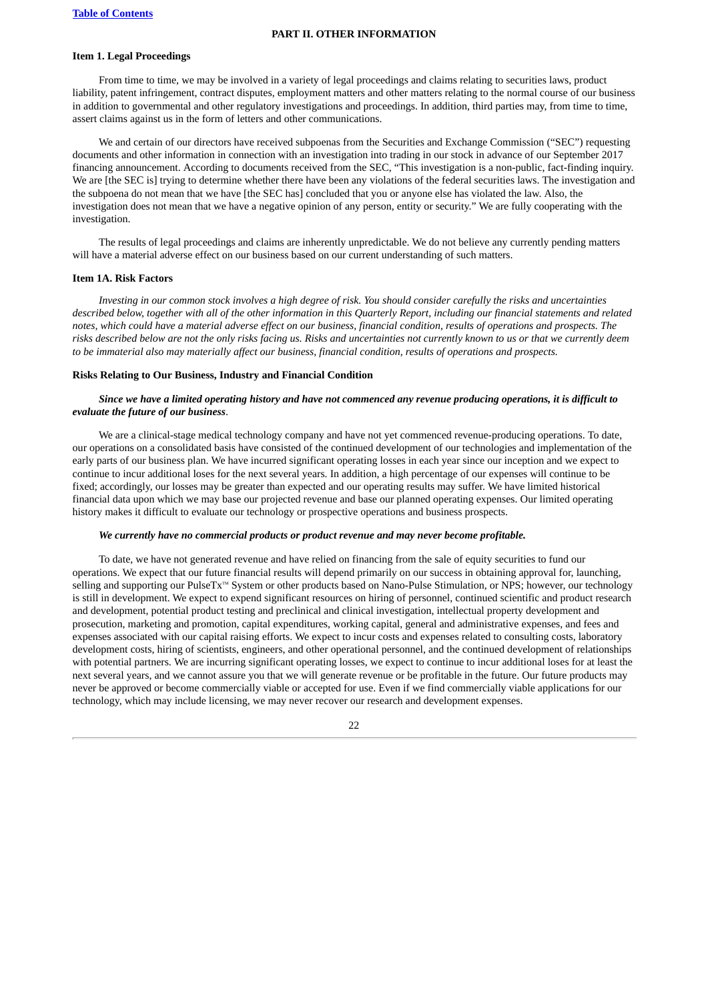# <span id="page-21-1"></span><span id="page-21-0"></span>**PART II. OTHER INFORMATION**

#### **Item 1. Legal Proceedings**

From time to time, we may be involved in a variety of legal proceedings and claims relating to securities laws, product liability, patent infringement, contract disputes, employment matters and other matters relating to the normal course of our business in addition to governmental and other regulatory investigations and proceedings. In addition, third parties may, from time to time, assert claims against us in the form of letters and other communications.

We and certain of our directors have received subpoenas from the Securities and Exchange Commission ("SEC") requesting documents and other information in connection with an investigation into trading in our stock in advance of our September 2017 financing announcement. According to documents received from the SEC, "This investigation is a non-public, fact-finding inquiry. We are [the SEC is] trying to determine whether there have been any violations of the federal securities laws. The investigation and the subpoena do not mean that we have [the SEC has] concluded that you or anyone else has violated the law. Also, the investigation does not mean that we have a negative opinion of any person, entity or security." We are fully cooperating with the investigation.

The results of legal proceedings and claims are inherently unpredictable. We do not believe any currently pending matters will have a material adverse effect on our business based on our current understanding of such matters.

### <span id="page-21-2"></span>**Item 1A. Risk Factors**

Investing in our common stock involves a high degree of risk. You should consider carefully the risks and uncertainties described below, together with all of the other information in this Quarterly Report, including our financial statements and related notes, which could have a material adverse effect on our business, financial condition, results of operations and prospects. The risks described below are not the only risks facing us. Risks and uncertainties not currently known to us or that we currently deem to be immaterial also may materially affect our business, financial condition, results of operations and prospects.

#### **Risks Relating to Our Business, Industry and Financial Condition**

### Since we have a limited operating history and have not commenced any revenue producing operations, it is difficult to *evaluate the future of our business*.

We are a clinical-stage medical technology company and have not yet commenced revenue-producing operations. To date, our operations on a consolidated basis have consisted of the continued development of our technologies and implementation of the early parts of our business plan. We have incurred significant operating losses in each year since our inception and we expect to continue to incur additional loses for the next several years. In addition, a high percentage of our expenses will continue to be fixed; accordingly, our losses may be greater than expected and our operating results may suffer. We have limited historical financial data upon which we may base our projected revenue and base our planned operating expenses. Our limited operating history makes it difficult to evaluate our technology or prospective operations and business prospects.

#### *We currently have no commercial products or product revenue and may never become profitable.*

To date, we have not generated revenue and have relied on financing from the sale of equity securities to fund our operations. We expect that our future financial results will depend primarily on our success in obtaining approval for, launching, selling and supporting our PulseTx<sup>™</sup> System or other products based on Nano-Pulse Stimulation, or NPS; however, our technology is still in development. We expect to expend significant resources on hiring of personnel, continued scientific and product research and development, potential product testing and preclinical and clinical investigation, intellectual property development and prosecution, marketing and promotion, capital expenditures, working capital, general and administrative expenses, and fees and expenses associated with our capital raising efforts. We expect to incur costs and expenses related to consulting costs, laboratory development costs, hiring of scientists, engineers, and other operational personnel, and the continued development of relationships with potential partners. We are incurring significant operating losses, we expect to continue to incur additional loses for at least the next several years, and we cannot assure you that we will generate revenue or be profitable in the future. Our future products may never be approved or become commercially viable or accepted for use. Even if we find commercially viable applications for our technology, which may include licensing, we may never recover our research and development expenses.

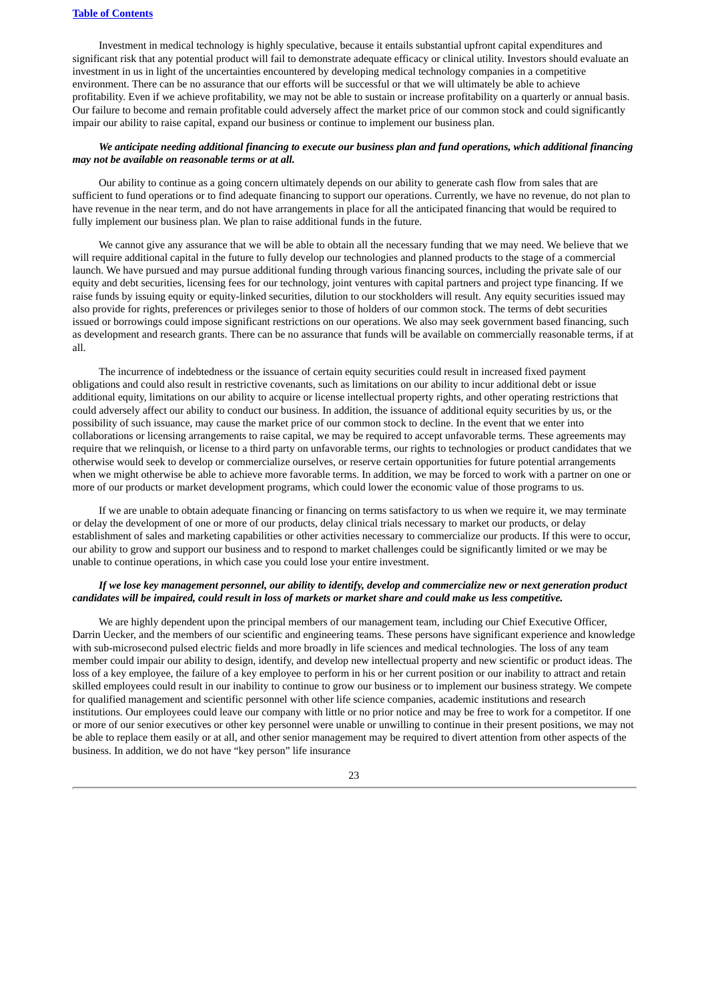Investment in medical technology is highly speculative, because it entails substantial upfront capital expenditures and significant risk that any potential product will fail to demonstrate adequate efficacy or clinical utility. Investors should evaluate an investment in us in light of the uncertainties encountered by developing medical technology companies in a competitive environment. There can be no assurance that our efforts will be successful or that we will ultimately be able to achieve profitability. Even if we achieve profitability, we may not be able to sustain or increase profitability on a quarterly or annual basis. Our failure to become and remain profitable could adversely affect the market price of our common stock and could significantly impair our ability to raise capital, expand our business or continue to implement our business plan.

### We anticipate needing additional financing to execute our business plan and fund operations, which additional financing *may not be available on reasonable terms or at all.*

Our ability to continue as a going concern ultimately depends on our ability to generate cash flow from sales that are sufficient to fund operations or to find adequate financing to support our operations. Currently, we have no revenue, do not plan to have revenue in the near term, and do not have arrangements in place for all the anticipated financing that would be required to fully implement our business plan. We plan to raise additional funds in the future.

We cannot give any assurance that we will be able to obtain all the necessary funding that we may need. We believe that we will require additional capital in the future to fully develop our technologies and planned products to the stage of a commercial launch. We have pursued and may pursue additional funding through various financing sources, including the private sale of our equity and debt securities, licensing fees for our technology, joint ventures with capital partners and project type financing. If we raise funds by issuing equity or equity-linked securities, dilution to our stockholders will result. Any equity securities issued may also provide for rights, preferences or privileges senior to those of holders of our common stock. The terms of debt securities issued or borrowings could impose significant restrictions on our operations. We also may seek government based financing, such as development and research grants. There can be no assurance that funds will be available on commercially reasonable terms, if at all.

The incurrence of indebtedness or the issuance of certain equity securities could result in increased fixed payment obligations and could also result in restrictive covenants, such as limitations on our ability to incur additional debt or issue additional equity, limitations on our ability to acquire or license intellectual property rights, and other operating restrictions that could adversely affect our ability to conduct our business. In addition, the issuance of additional equity securities by us, or the possibility of such issuance, may cause the market price of our common stock to decline. In the event that we enter into collaborations or licensing arrangements to raise capital, we may be required to accept unfavorable terms. These agreements may require that we relinquish, or license to a third party on unfavorable terms, our rights to technologies or product candidates that we otherwise would seek to develop or commercialize ourselves, or reserve certain opportunities for future potential arrangements when we might otherwise be able to achieve more favorable terms. In addition, we may be forced to work with a partner on one or more of our products or market development programs, which could lower the economic value of those programs to us.

If we are unable to obtain adequate financing or financing on terms satisfactory to us when we require it, we may terminate or delay the development of one or more of our products, delay clinical trials necessary to market our products, or delay establishment of sales and marketing capabilities or other activities necessary to commercialize our products. If this were to occur, our ability to grow and support our business and to respond to market challenges could be significantly limited or we may be unable to continue operations, in which case you could lose your entire investment.

#### If we lose key management personnel, our ability to identify, develop and commercialize new or next generation product candidates will be impaired, could result in loss of markets or market share and could make us less competitive.

We are highly dependent upon the principal members of our management team, including our Chief Executive Officer, Darrin Uecker, and the members of our scientific and engineering teams. These persons have significant experience and knowledge with sub-microsecond pulsed electric fields and more broadly in life sciences and medical technologies. The loss of any team member could impair our ability to design, identify, and develop new intellectual property and new scientific or product ideas. The loss of a key employee, the failure of a key employee to perform in his or her current position or our inability to attract and retain skilled employees could result in our inability to continue to grow our business or to implement our business strategy. We compete for qualified management and scientific personnel with other life science companies, academic institutions and research institutions. Our employees could leave our company with little or no prior notice and may be free to work for a competitor. If one or more of our senior executives or other key personnel were unable or unwilling to continue in their present positions, we may not be able to replace them easily or at all, and other senior management may be required to divert attention from other aspects of the business. In addition, we do not have "key person" life insurance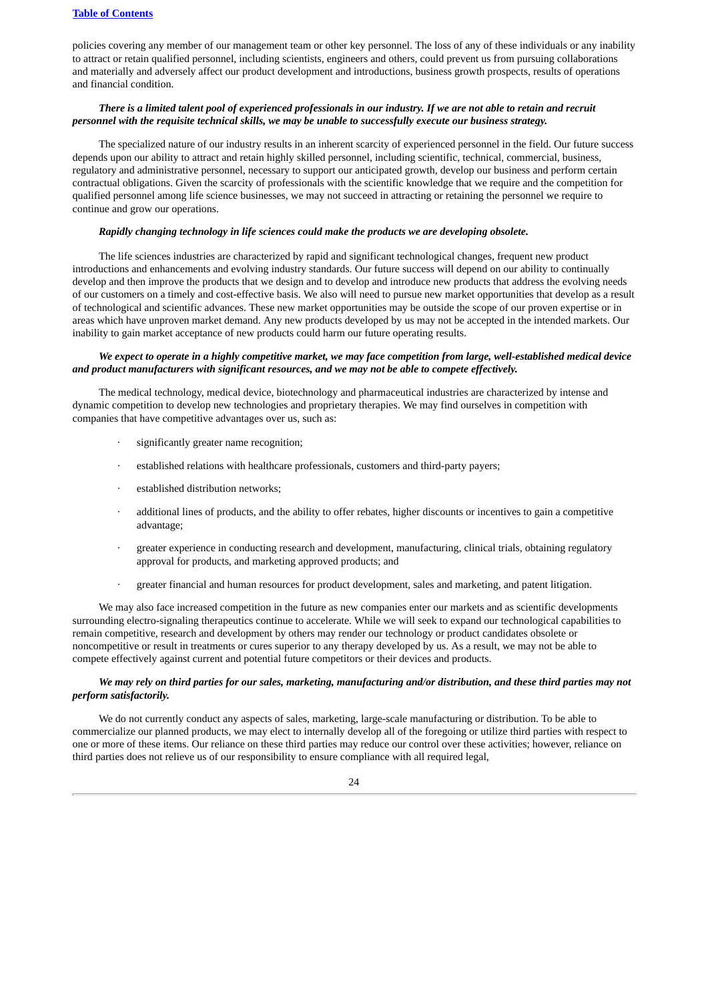policies covering any member of our management team or other key personnel. The loss of any of these individuals or any inability to attract or retain qualified personnel, including scientists, engineers and others, could prevent us from pursuing collaborations and materially and adversely affect our product development and introductions, business growth prospects, results of operations and financial condition.

### There is a limited talent pool of experienced professionals in our industry. If we are not able to retain and recruit *personnel with the requisite technical skills, we may be unable to successfully execute our business strategy.*

The specialized nature of our industry results in an inherent scarcity of experienced personnel in the field. Our future success depends upon our ability to attract and retain highly skilled personnel, including scientific, technical, commercial, business, regulatory and administrative personnel, necessary to support our anticipated growth, develop our business and perform certain contractual obligations. Given the scarcity of professionals with the scientific knowledge that we require and the competition for qualified personnel among life science businesses, we may not succeed in attracting or retaining the personnel we require to continue and grow our operations.

### *Rapidly changing technology in life sciences could make the products we are developing obsolete.*

The life sciences industries are characterized by rapid and significant technological changes, frequent new product introductions and enhancements and evolving industry standards. Our future success will depend on our ability to continually develop and then improve the products that we design and to develop and introduce new products that address the evolving needs of our customers on a timely and cost-effective basis. We also will need to pursue new market opportunities that develop as a result of technological and scientific advances. These new market opportunities may be outside the scope of our proven expertise or in areas which have unproven market demand. Any new products developed by us may not be accepted in the intended markets. Our inability to gain market acceptance of new products could harm our future operating results.

### We expect to operate in a highly competitive market, we may face competition from large, well-established medical device *and product manufacturers with significant resources, and we may not be able to compete effectively.*

The medical technology, medical device, biotechnology and pharmaceutical industries are characterized by intense and dynamic competition to develop new technologies and proprietary therapies. We may find ourselves in competition with companies that have competitive advantages over us, such as:

- significantly greater name recognition;
- established relations with healthcare professionals, customers and third-party payers;
- established distribution networks;
- additional lines of products, and the ability to offer rebates, higher discounts or incentives to gain a competitive advantage;
- greater experience in conducting research and development, manufacturing, clinical trials, obtaining regulatory approval for products, and marketing approved products; and
- · greater financial and human resources for product development, sales and marketing, and patent litigation.

We may also face increased competition in the future as new companies enter our markets and as scientific developments surrounding electro-signaling therapeutics continue to accelerate. While we will seek to expand our technological capabilities to remain competitive, research and development by others may render our technology or product candidates obsolete or noncompetitive or result in treatments or cures superior to any therapy developed by us. As a result, we may not be able to compete effectively against current and potential future competitors or their devices and products.

### We may rely on third parties for our sales, marketing, manufacturing and/or distribution, and these third parties may not *perform satisfactorily.*

We do not currently conduct any aspects of sales, marketing, large-scale manufacturing or distribution. To be able to commercialize our planned products, we may elect to internally develop all of the foregoing or utilize third parties with respect to one or more of these items. Our reliance on these third parties may reduce our control over these activities; however, reliance on third parties does not relieve us of our responsibility to ensure compliance with all required legal,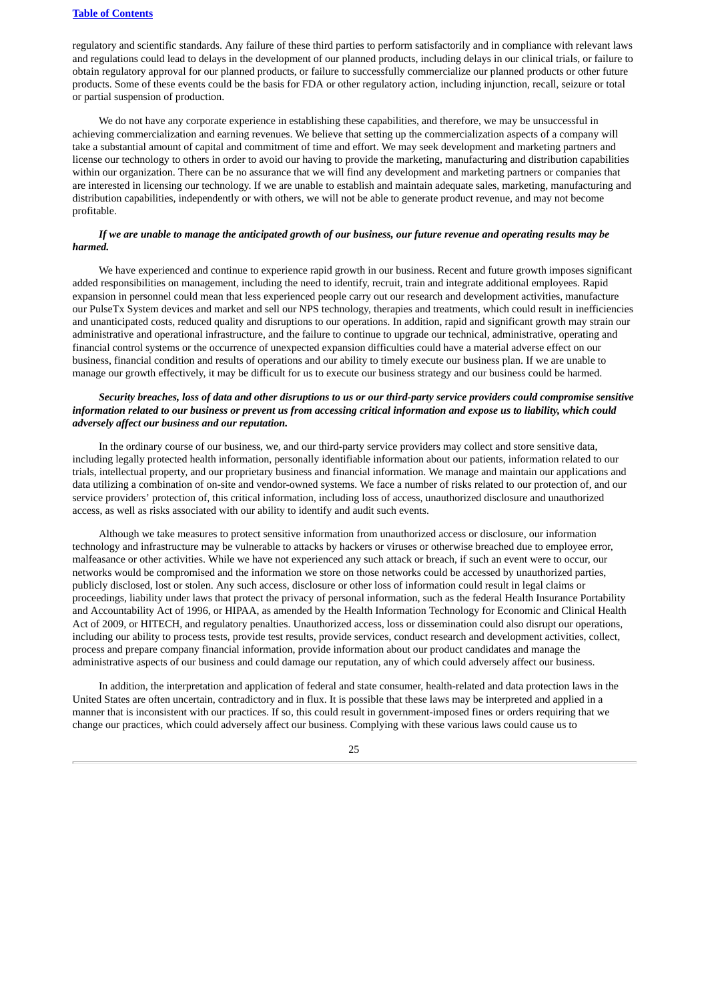regulatory and scientific standards. Any failure of these third parties to perform satisfactorily and in compliance with relevant laws and regulations could lead to delays in the development of our planned products, including delays in our clinical trials, or failure to obtain regulatory approval for our planned products, or failure to successfully commercialize our planned products or other future products. Some of these events could be the basis for FDA or other regulatory action, including injunction, recall, seizure or total or partial suspension of production.

We do not have any corporate experience in establishing these capabilities, and therefore, we may be unsuccessful in achieving commercialization and earning revenues. We believe that setting up the commercialization aspects of a company will take a substantial amount of capital and commitment of time and effort. We may seek development and marketing partners and license our technology to others in order to avoid our having to provide the marketing, manufacturing and distribution capabilities within our organization. There can be no assurance that we will find any development and marketing partners or companies that are interested in licensing our technology. If we are unable to establish and maintain adequate sales, marketing, manufacturing and distribution capabilities, independently or with others, we will not be able to generate product revenue, and may not become profitable.

### If we are unable to manage the anticipated growth of our business, our future revenue and operating results may be *harmed.*

We have experienced and continue to experience rapid growth in our business. Recent and future growth imposes significant added responsibilities on management, including the need to identify, recruit, train and integrate additional employees. Rapid expansion in personnel could mean that less experienced people carry out our research and development activities, manufacture our PulseTx System devices and market and sell our NPS technology, therapies and treatments, which could result in inefficiencies and unanticipated costs, reduced quality and disruptions to our operations. In addition, rapid and significant growth may strain our administrative and operational infrastructure, and the failure to continue to upgrade our technical, administrative, operating and financial control systems or the occurrence of unexpected expansion difficulties could have a material adverse effect on our business, financial condition and results of operations and our ability to timely execute our business plan. If we are unable to manage our growth effectively, it may be difficult for us to execute our business strategy and our business could be harmed.

### Security breaches, loss of data and other disruptions to us or our third-party service providers could compromise sensitive information related to our business or prevent us from accessing critical information and expose us to liability, which could *adversely affect our business and our reputation.*

In the ordinary course of our business, we, and our third-party service providers may collect and store sensitive data, including legally protected health information, personally identifiable information about our patients, information related to our trials, intellectual property, and our proprietary business and financial information. We manage and maintain our applications and data utilizing a combination of on-site and vendor-owned systems. We face a number of risks related to our protection of, and our service providers' protection of, this critical information, including loss of access, unauthorized disclosure and unauthorized access, as well as risks associated with our ability to identify and audit such events.

Although we take measures to protect sensitive information from unauthorized access or disclosure, our information technology and infrastructure may be vulnerable to attacks by hackers or viruses or otherwise breached due to employee error, malfeasance or other activities. While we have not experienced any such attack or breach, if such an event were to occur, our networks would be compromised and the information we store on those networks could be accessed by unauthorized parties, publicly disclosed, lost or stolen. Any such access, disclosure or other loss of information could result in legal claims or proceedings, liability under laws that protect the privacy of personal information, such as the federal Health Insurance Portability and Accountability Act of 1996, or HIPAA, as amended by the Health Information Technology for Economic and Clinical Health Act of 2009, or HITECH, and regulatory penalties. Unauthorized access, loss or dissemination could also disrupt our operations, including our ability to process tests, provide test results, provide services, conduct research and development activities, collect, process and prepare company financial information, provide information about our product candidates and manage the administrative aspects of our business and could damage our reputation, any of which could adversely affect our business.

In addition, the interpretation and application of federal and state consumer, health-related and data protection laws in the United States are often uncertain, contradictory and in flux. It is possible that these laws may be interpreted and applied in a manner that is inconsistent with our practices. If so, this could result in government-imposed fines or orders requiring that we change our practices, which could adversely affect our business. Complying with these various laws could cause us to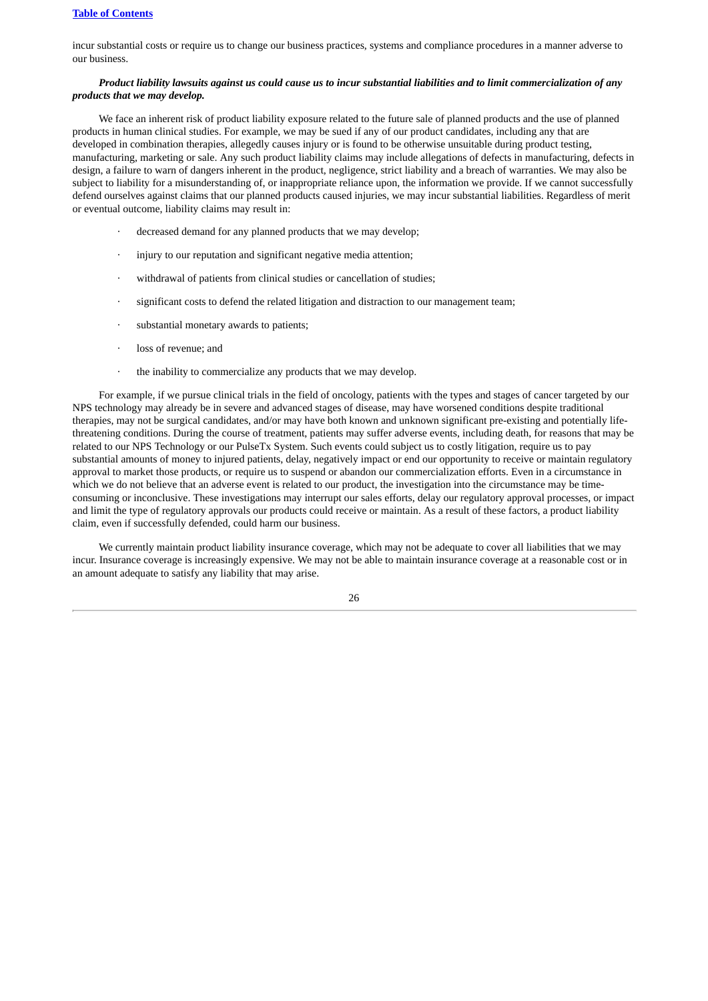incur substantial costs or require us to change our business practices, systems and compliance procedures in a manner adverse to our business.

### Product liability lawsuits against us could cause us to incur substantial liabilities and to limit commercialization of any *products that we may develop.*

We face an inherent risk of product liability exposure related to the future sale of planned products and the use of planned products in human clinical studies. For example, we may be sued if any of our product candidates, including any that are developed in combination therapies, allegedly causes injury or is found to be otherwise unsuitable during product testing, manufacturing, marketing or sale. Any such product liability claims may include allegations of defects in manufacturing, defects in design, a failure to warn of dangers inherent in the product, negligence, strict liability and a breach of warranties. We may also be subject to liability for a misunderstanding of, or inappropriate reliance upon, the information we provide. If we cannot successfully defend ourselves against claims that our planned products caused injuries, we may incur substantial liabilities. Regardless of merit or eventual outcome, liability claims may result in:

- decreased demand for any planned products that we may develop;
- injury to our reputation and significant negative media attention;
- withdrawal of patients from clinical studies or cancellation of studies;
- · significant costs to defend the related litigation and distraction to our management team;
- substantial monetary awards to patients;
- loss of revenue; and
- the inability to commercialize any products that we may develop.

For example, if we pursue clinical trials in the field of oncology, patients with the types and stages of cancer targeted by our NPS technology may already be in severe and advanced stages of disease, may have worsened conditions despite traditional therapies, may not be surgical candidates, and/or may have both known and unknown significant pre-existing and potentially lifethreatening conditions. During the course of treatment, patients may suffer adverse events, including death, for reasons that may be related to our NPS Technology or our PulseTx System. Such events could subject us to costly litigation, require us to pay substantial amounts of money to injured patients, delay, negatively impact or end our opportunity to receive or maintain regulatory approval to market those products, or require us to suspend or abandon our commercialization efforts. Even in a circumstance in which we do not believe that an adverse event is related to our product, the investigation into the circumstance may be timeconsuming or inconclusive. These investigations may interrupt our sales efforts, delay our regulatory approval processes, or impact and limit the type of regulatory approvals our products could receive or maintain. As a result of these factors, a product liability claim, even if successfully defended, could harm our business.

We currently maintain product liability insurance coverage, which may not be adequate to cover all liabilities that we may incur. Insurance coverage is increasingly expensive. We may not be able to maintain insurance coverage at a reasonable cost or in an amount adequate to satisfy any liability that may arise.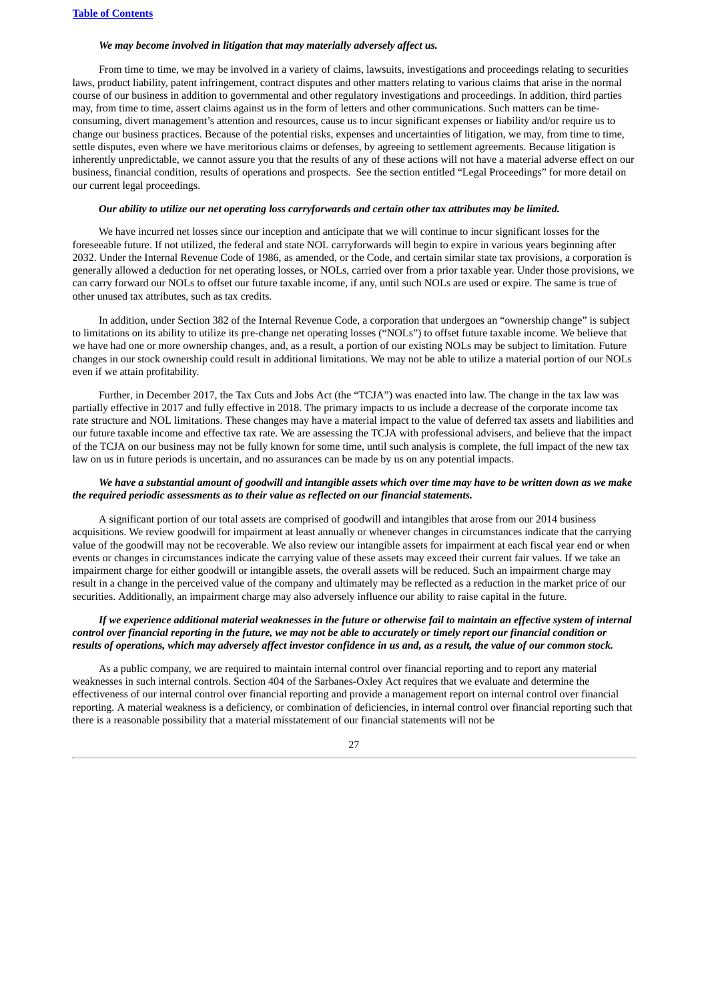#### *We may become involved in litigation that may materially adversely affect us.*

From time to time, we may be involved in a variety of claims, lawsuits, investigations and proceedings relating to securities laws, product liability, patent infringement, contract disputes and other matters relating to various claims that arise in the normal course of our business in addition to governmental and other regulatory investigations and proceedings. In addition, third parties may, from time to time, assert claims against us in the form of letters and other communications. Such matters can be timeconsuming, divert management's attention and resources, cause us to incur significant expenses or liability and/or require us to change our business practices. Because of the potential risks, expenses and uncertainties of litigation, we may, from time to time, settle disputes, even where we have meritorious claims or defenses, by agreeing to settlement agreements. Because litigation is inherently unpredictable, we cannot assure you that the results of any of these actions will not have a material adverse effect on our business, financial condition, results of operations and prospects. See the section entitled "Legal Proceedings" for more detail on our current legal proceedings.

#### Our ability to utilize our net operating loss carryforwards and certain other tax attributes may be limited.

We have incurred net losses since our inception and anticipate that we will continue to incur significant losses for the foreseeable future. If not utilized, the federal and state NOL carryforwards will begin to expire in various years beginning after 2032. Under the Internal Revenue Code of 1986, as amended, or the Code, and certain similar state tax provisions, a corporation is generally allowed a deduction for net operating losses, or NOLs, carried over from a prior taxable year. Under those provisions, we can carry forward our NOLs to offset our future taxable income, if any, until such NOLs are used or expire. The same is true of other unused tax attributes, such as tax credits.

In addition, under Section 382 of the Internal Revenue Code, a corporation that undergoes an "ownership change" is subject to limitations on its ability to utilize its pre-change net operating losses ("NOLs") to offset future taxable income. We believe that we have had one or more ownership changes, and, as a result, a portion of our existing NOLs may be subject to limitation. Future changes in our stock ownership could result in additional limitations. We may not be able to utilize a material portion of our NOLs even if we attain profitability.

Further, in December 2017, the Tax Cuts and Jobs Act (the "TCJA") was enacted into law. The change in the tax law was partially effective in 2017 and fully effective in 2018. The primary impacts to us include a decrease of the corporate income tax rate structure and NOL limitations. These changes may have a material impact to the value of deferred tax assets and liabilities and our future taxable income and effective tax rate. We are assessing the TCJA with professional advisers, and believe that the impact of the TCJA on our business may not be fully known for some time, until such analysis is complete, the full impact of the new tax law on us in future periods is uncertain, and no assurances can be made by us on any potential impacts.

### We have a substantial amount of goodwill and intangible assets which over time may have to be written down as we make *the required periodic assessments as to their value as reflected on our financial statements.*

A significant portion of our total assets are comprised of goodwill and intangibles that arose from our 2014 business acquisitions. We review goodwill for impairment at least annually or whenever changes in circumstances indicate that the carrying value of the goodwill may not be recoverable. We also review our intangible assets for impairment at each fiscal year end or when events or changes in circumstances indicate the carrying value of these assets may exceed their current fair values. If we take an impairment charge for either goodwill or intangible assets, the overall assets will be reduced. Such an impairment charge may result in a change in the perceived value of the company and ultimately may be reflected as a reduction in the market price of our securities. Additionally, an impairment charge may also adversely influence our ability to raise capital in the future.

### If we experience additional material weaknesses in the future or otherwise fail to maintain an effective system of internal control over financial reporting in the future, we may not be able to accurately or timely report our financial condition or results of operations, which may adversely affect investor confidence in us and, as a result, the value of our common stock.

As a public company, we are required to maintain internal control over financial reporting and to report any material weaknesses in such internal controls. Section 404 of the Sarbanes-Oxley Act requires that we evaluate and determine the effectiveness of our internal control over financial reporting and provide a management report on internal control over financial reporting. A material weakness is a deficiency, or combination of deficiencies, in internal control over financial reporting such that there is a reasonable possibility that a material misstatement of our financial statements will not be

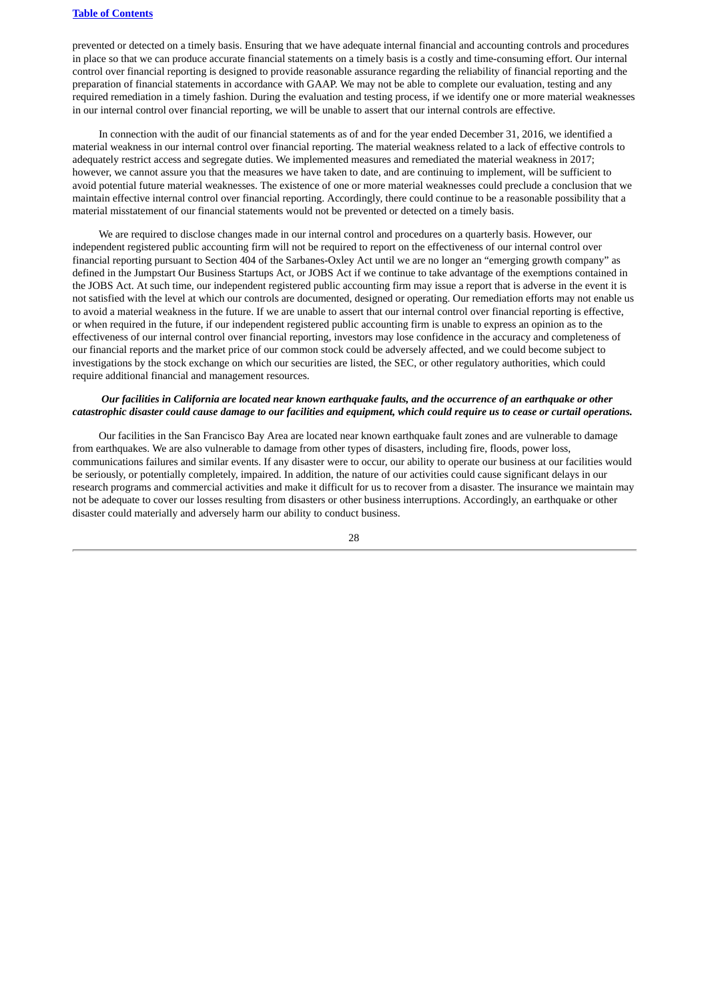prevented or detected on a timely basis. Ensuring that we have adequate internal financial and accounting controls and procedures in place so that we can produce accurate financial statements on a timely basis is a costly and time-consuming effort. Our internal control over financial reporting is designed to provide reasonable assurance regarding the reliability of financial reporting and the preparation of financial statements in accordance with GAAP. We may not be able to complete our evaluation, testing and any required remediation in a timely fashion. During the evaluation and testing process, if we identify one or more material weaknesses in our internal control over financial reporting, we will be unable to assert that our internal controls are effective.

In connection with the audit of our financial statements as of and for the year ended December 31, 2016, we identified a material weakness in our internal control over financial reporting. The material weakness related to a lack of effective controls to adequately restrict access and segregate duties. We implemented measures and remediated the material weakness in 2017; however, we cannot assure you that the measures we have taken to date, and are continuing to implement, will be sufficient to avoid potential future material weaknesses. The existence of one or more material weaknesses could preclude a conclusion that we maintain effective internal control over financial reporting. Accordingly, there could continue to be a reasonable possibility that a material misstatement of our financial statements would not be prevented or detected on a timely basis.

We are required to disclose changes made in our internal control and procedures on a quarterly basis. However, our independent registered public accounting firm will not be required to report on the effectiveness of our internal control over financial reporting pursuant to Section 404 of the Sarbanes-Oxley Act until we are no longer an "emerging growth company" as defined in the Jumpstart Our Business Startups Act, or JOBS Act if we continue to take advantage of the exemptions contained in the JOBS Act. At such time, our independent registered public accounting firm may issue a report that is adverse in the event it is not satisfied with the level at which our controls are documented, designed or operating. Our remediation efforts may not enable us to avoid a material weakness in the future. If we are unable to assert that our internal control over financial reporting is effective, or when required in the future, if our independent registered public accounting firm is unable to express an opinion as to the effectiveness of our internal control over financial reporting, investors may lose confidence in the accuracy and completeness of our financial reports and the market price of our common stock could be adversely affected, and we could become subject to investigations by the stock exchange on which our securities are listed, the SEC, or other regulatory authorities, which could require additional financial and management resources.

### Our facilities in California are located near known earthquake faults, and the occurrence of an earthquake or other catastrophic disaster could cause damage to our facilities and equipment, which could require us to cease or curtail operations.

Our facilities in the San Francisco Bay Area are located near known earthquake fault zones and are vulnerable to damage from earthquakes. We are also vulnerable to damage from other types of disasters, including fire, floods, power loss, communications failures and similar events. If any disaster were to occur, our ability to operate our business at our facilities would be seriously, or potentially completely, impaired. In addition, the nature of our activities could cause significant delays in our research programs and commercial activities and make it difficult for us to recover from a disaster. The insurance we maintain may not be adequate to cover our losses resulting from disasters or other business interruptions. Accordingly, an earthquake or other disaster could materially and adversely harm our ability to conduct business.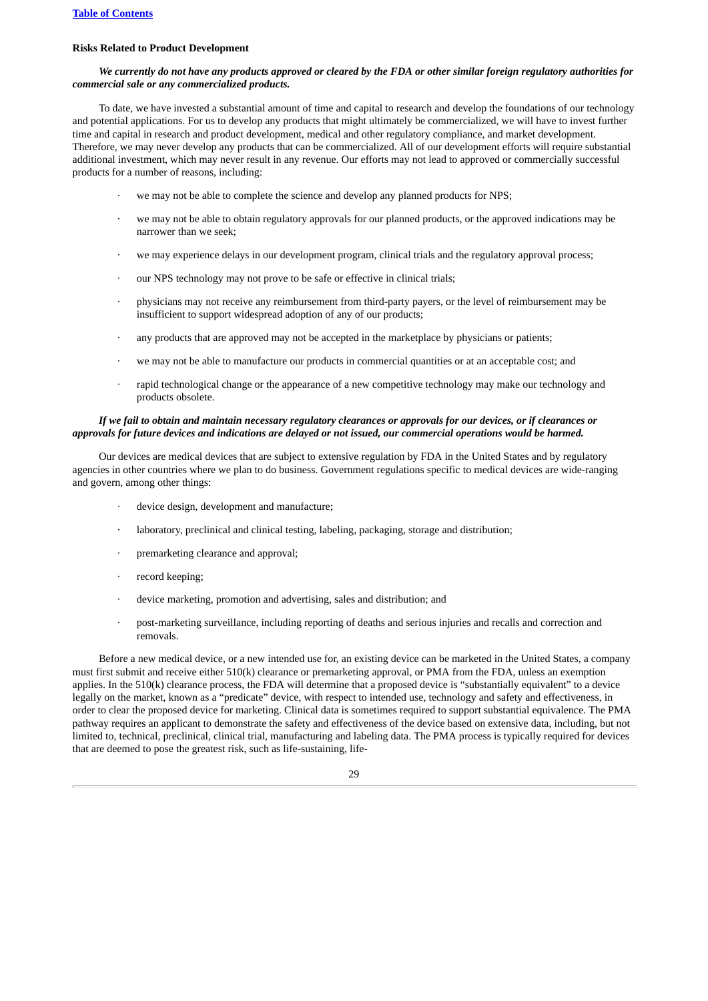### **Risks Related to Product Development**

### We currently do not have any products approved or cleared by the FDA or other similar foreign regulatory authorities for *commercial sale or any commercialized products.*

To date, we have invested a substantial amount of time and capital to research and develop the foundations of our technology and potential applications. For us to develop any products that might ultimately be commercialized, we will have to invest further time and capital in research and product development, medical and other regulatory compliance, and market development. Therefore, we may never develop any products that can be commercialized. All of our development efforts will require substantial additional investment, which may never result in any revenue. Our efforts may not lead to approved or commercially successful products for a number of reasons, including:

- we may not be able to complete the science and develop any planned products for NPS;
- we may not be able to obtain regulatory approvals for our planned products, or the approved indications may be narrower than we seek;
- · we may experience delays in our development program, clinical trials and the regulatory approval process;
- our NPS technology may not prove to be safe or effective in clinical trials;
- · physicians may not receive any reimbursement from third-party payers, or the level of reimbursement may be insufficient to support widespread adoption of any of our products;
- any products that are approved may not be accepted in the marketplace by physicians or patients;
- · we may not be able to manufacture our products in commercial quantities or at an acceptable cost; and
- · rapid technological change or the appearance of a new competitive technology may make our technology and products obsolete.

### If we fail to obtain and maintain necessary regulatory clearances or approvals for our devices, or if clearances or approvals for future devices and indications are delayed or not issued, our commercial operations would be harmed.

Our devices are medical devices that are subject to extensive regulation by FDA in the United States and by regulatory agencies in other countries where we plan to do business. Government regulations specific to medical devices are wide-ranging and govern, among other things:

- device design, development and manufacture;
- laboratory, preclinical and clinical testing, labeling, packaging, storage and distribution;
- premarketing clearance and approval;
- record keeping;
- device marketing, promotion and advertising, sales and distribution; and
- · post-marketing surveillance, including reporting of deaths and serious injuries and recalls and correction and removals.

Before a new medical device, or a new intended use for, an existing device can be marketed in the United States, a company must first submit and receive either 510(k) clearance or premarketing approval, or PMA from the FDA, unless an exemption applies. In the 510(k) clearance process, the FDA will determine that a proposed device is "substantially equivalent" to a device legally on the market, known as a "predicate" device, with respect to intended use, technology and safety and effectiveness, in order to clear the proposed device for marketing. Clinical data is sometimes required to support substantial equivalence. The PMA pathway requires an applicant to demonstrate the safety and effectiveness of the device based on extensive data, including, but not limited to, technical, preclinical, clinical trial, manufacturing and labeling data. The PMA process is typically required for devices that are deemed to pose the greatest risk, such as life-sustaining, life-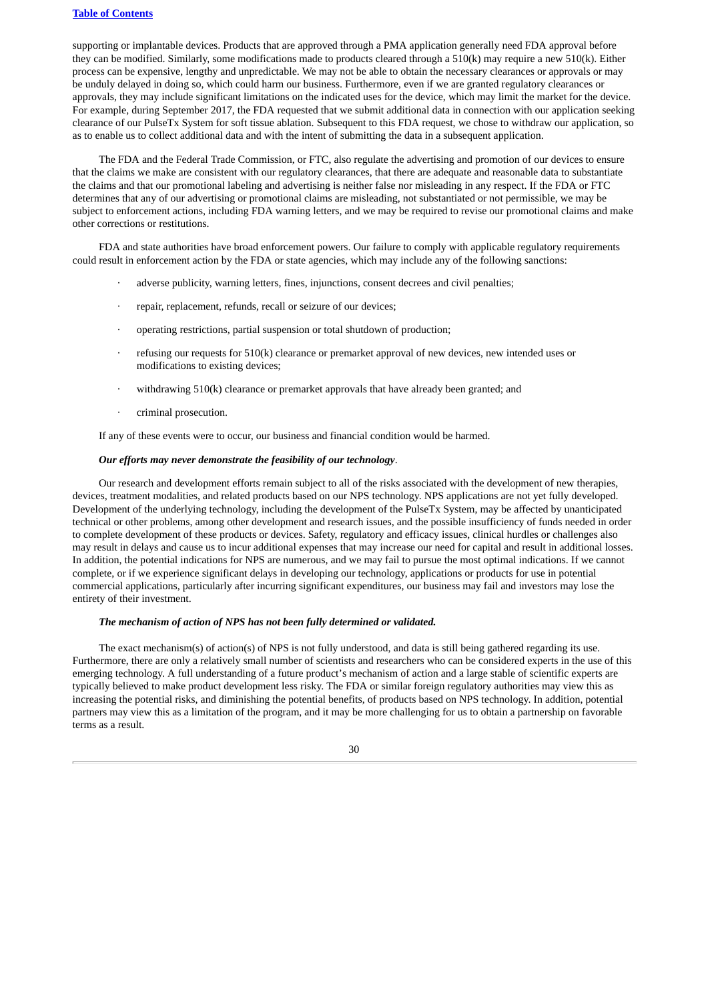supporting or implantable devices. Products that are approved through a PMA application generally need FDA approval before they can be modified. Similarly, some modifications made to products cleared through a 510(k) may require a new 510(k). Either process can be expensive, lengthy and unpredictable. We may not be able to obtain the necessary clearances or approvals or may be unduly delayed in doing so, which could harm our business. Furthermore, even if we are granted regulatory clearances or approvals, they may include significant limitations on the indicated uses for the device, which may limit the market for the device. For example, during September 2017, the FDA requested that we submit additional data in connection with our application seeking clearance of our PulseTx System for soft tissue ablation. Subsequent to this FDA request, we chose to withdraw our application, so as to enable us to collect additional data and with the intent of submitting the data in a subsequent application.

The FDA and the Federal Trade Commission, or FTC, also regulate the advertising and promotion of our devices to ensure that the claims we make are consistent with our regulatory clearances, that there are adequate and reasonable data to substantiate the claims and that our promotional labeling and advertising is neither false nor misleading in any respect. If the FDA or FTC determines that any of our advertising or promotional claims are misleading, not substantiated or not permissible, we may be subject to enforcement actions, including FDA warning letters, and we may be required to revise our promotional claims and make other corrections or restitutions.

FDA and state authorities have broad enforcement powers. Our failure to comply with applicable regulatory requirements could result in enforcement action by the FDA or state agencies, which may include any of the following sanctions:

- · adverse publicity, warning letters, fines, injunctions, consent decrees and civil penalties;
- repair, replacement, refunds, recall or seizure of our devices;
- · operating restrictions, partial suspension or total shutdown of production;
- refusing our requests for 510(k) clearance or premarket approval of new devices, new intended uses or modifications to existing devices;
- withdrawing  $510(k)$  clearance or premarket approvals that have already been granted; and
- · criminal prosecution.

If any of these events were to occur, our business and financial condition would be harmed.

### *Our efforts may never demonstrate the feasibility of our technology*.

Our research and development efforts remain subject to all of the risks associated with the development of new therapies, devices, treatment modalities, and related products based on our NPS technology. NPS applications are not yet fully developed. Development of the underlying technology, including the development of the PulseTx System, may be affected by unanticipated technical or other problems, among other development and research issues, and the possible insufficiency of funds needed in order to complete development of these products or devices. Safety, regulatory and efficacy issues, clinical hurdles or challenges also may result in delays and cause us to incur additional expenses that may increase our need for capital and result in additional losses. In addition, the potential indications for NPS are numerous, and we may fail to pursue the most optimal indications. If we cannot complete, or if we experience significant delays in developing our technology, applications or products for use in potential commercial applications, particularly after incurring significant expenditures, our business may fail and investors may lose the entirety of their investment.

### *The mechanism of action of NPS has not been fully determined or validated.*

The exact mechanism(s) of action(s) of NPS is not fully understood, and data is still being gathered regarding its use. Furthermore, there are only a relatively small number of scientists and researchers who can be considered experts in the use of this emerging technology. A full understanding of a future product's mechanism of action and a large stable of scientific experts are typically believed to make product development less risky. The FDA or similar foreign regulatory authorities may view this as increasing the potential risks, and diminishing the potential benefits, of products based on NPS technology. In addition, potential partners may view this as a limitation of the program, and it may be more challenging for us to obtain a partnership on favorable terms as a result.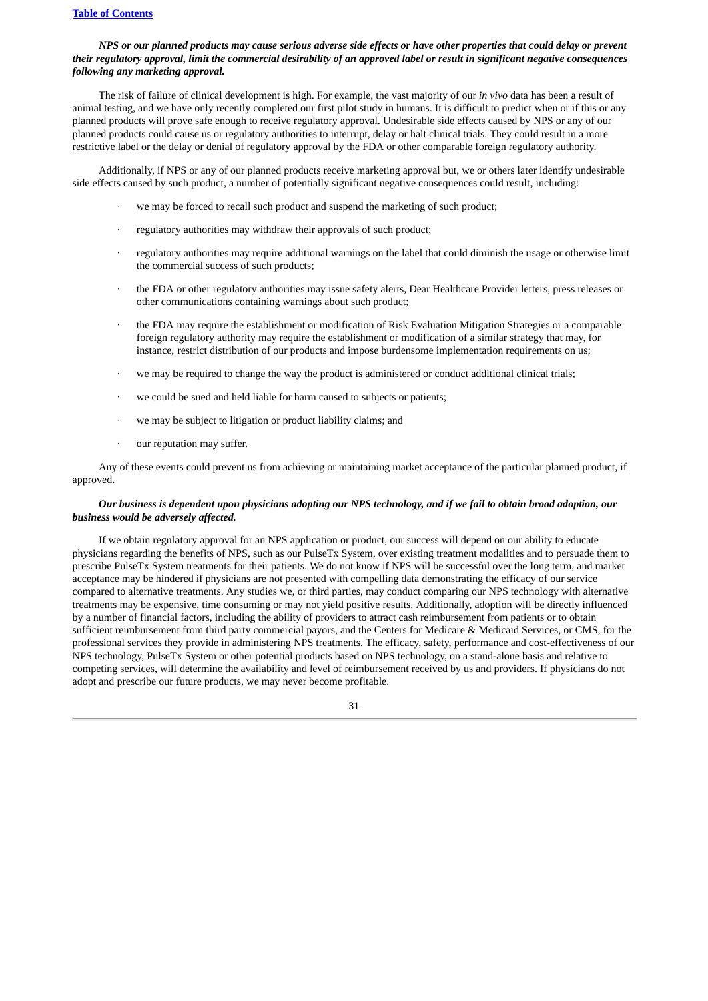### NPS or our planned products may cause serious adverse side effects or have other properties that could delay or prevent their regulatory approval, limit the commercial desirability of an approved label or result in significant negative consequences *following any marketing approval.*

The risk of failure of clinical development is high. For example, the vast majority of our *in vivo* data has been a result of animal testing, and we have only recently completed our first pilot study in humans. It is difficult to predict when or if this or any planned products will prove safe enough to receive regulatory approval. Undesirable side effects caused by NPS or any of our planned products could cause us or regulatory authorities to interrupt, delay or halt clinical trials. They could result in a more restrictive label or the delay or denial of regulatory approval by the FDA or other comparable foreign regulatory authority.

Additionally, if NPS or any of our planned products receive marketing approval but, we or others later identify undesirable side effects caused by such product, a number of potentially significant negative consequences could result, including:

- we may be forced to recall such product and suspend the marketing of such product;
- · regulatory authorities may withdraw their approvals of such product;
- · regulatory authorities may require additional warnings on the label that could diminish the usage or otherwise limit the commercial success of such products;
- the FDA or other regulatory authorities may issue safety alerts, Dear Healthcare Provider letters, press releases or other communications containing warnings about such product;
- the FDA may require the establishment or modification of Risk Evaluation Mitigation Strategies or a comparable foreign regulatory authority may require the establishment or modification of a similar strategy that may, for instance, restrict distribution of our products and impose burdensome implementation requirements on us;
- we may be required to change the way the product is administered or conduct additional clinical trials;
- we could be sued and held liable for harm caused to subjects or patients;
- we may be subject to litigation or product liability claims; and
- · our reputation may suffer.

Any of these events could prevent us from achieving or maintaining market acceptance of the particular planned product, if approved.

## Our business is dependent upon physicians adopting our NPS technology, and if we fail to obtain broad adoption, our *business would be adversely affected.*

If we obtain regulatory approval for an NPS application or product, our success will depend on our ability to educate physicians regarding the benefits of NPS, such as our PulseTx System, over existing treatment modalities and to persuade them to prescribe PulseTx System treatments for their patients. We do not know if NPS will be successful over the long term, and market acceptance may be hindered if physicians are not presented with compelling data demonstrating the efficacy of our service compared to alternative treatments. Any studies we, or third parties, may conduct comparing our NPS technology with alternative treatments may be expensive, time consuming or may not yield positive results. Additionally, adoption will be directly influenced by a number of financial factors, including the ability of providers to attract cash reimbursement from patients or to obtain sufficient reimbursement from third party commercial payors, and the Centers for Medicare & Medicaid Services, or CMS, for the professional services they provide in administering NPS treatments. The efficacy, safety, performance and cost-effectiveness of our NPS technology, PulseTx System or other potential products based on NPS technology, on a stand-alone basis and relative to competing services, will determine the availability and level of reimbursement received by us and providers. If physicians do not adopt and prescribe our future products, we may never become profitable.

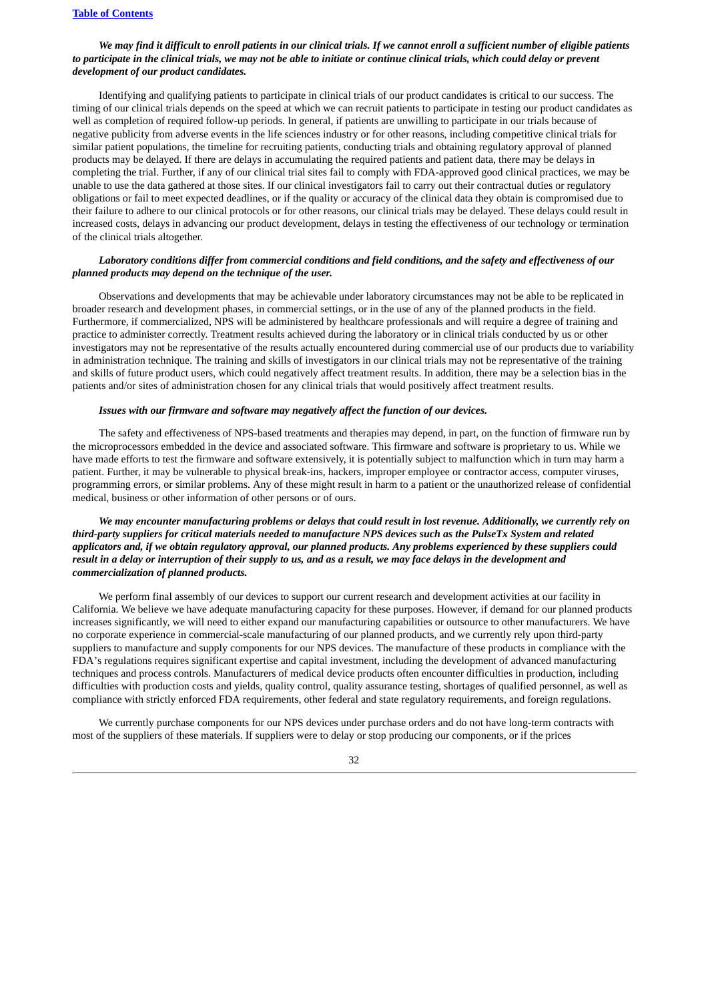### We may find it difficult to enroll patients in our clinical trials. If we cannot enroll a sufficient number of eligible patients to participate in the clinical trials, we may not be able to initiate or continue clinical trials, which could delay or prevent *development of our product candidates.*

Identifying and qualifying patients to participate in clinical trials of our product candidates is critical to our success. The timing of our clinical trials depends on the speed at which we can recruit patients to participate in testing our product candidates as well as completion of required follow-up periods. In general, if patients are unwilling to participate in our trials because of negative publicity from adverse events in the life sciences industry or for other reasons, including competitive clinical trials for similar patient populations, the timeline for recruiting patients, conducting trials and obtaining regulatory approval of planned products may be delayed. If there are delays in accumulating the required patients and patient data, there may be delays in completing the trial. Further, if any of our clinical trial sites fail to comply with FDA-approved good clinical practices, we may be unable to use the data gathered at those sites. If our clinical investigators fail to carry out their contractual duties or regulatory obligations or fail to meet expected deadlines, or if the quality or accuracy of the clinical data they obtain is compromised due to their failure to adhere to our clinical protocols or for other reasons, our clinical trials may be delayed. These delays could result in increased costs, delays in advancing our product development, delays in testing the effectiveness of our technology or termination of the clinical trials altogether.

### Laboratory conditions differ from commercial conditions and field conditions, and the safety and effectiveness of our *planned products may depend on the technique of the user.*

Observations and developments that may be achievable under laboratory circumstances may not be able to be replicated in broader research and development phases, in commercial settings, or in the use of any of the planned products in the field. Furthermore, if commercialized, NPS will be administered by healthcare professionals and will require a degree of training and practice to administer correctly. Treatment results achieved during the laboratory or in clinical trials conducted by us or other investigators may not be representative of the results actually encountered during commercial use of our products due to variability in administration technique. The training and skills of investigators in our clinical trials may not be representative of the training and skills of future product users, which could negatively affect treatment results. In addition, there may be a selection bias in the patients and/or sites of administration chosen for any clinical trials that would positively affect treatment results.

#### *Issues with our firmware and software may negatively affect the function of our devices.*

The safety and effectiveness of NPS-based treatments and therapies may depend, in part, on the function of firmware run by the microprocessors embedded in the device and associated software. This firmware and software is proprietary to us. While we have made efforts to test the firmware and software extensively, it is potentially subject to malfunction which in turn may harm a patient. Further, it may be vulnerable to physical break-ins, hackers, improper employee or contractor access, computer viruses, programming errors, or similar problems. Any of these might result in harm to a patient or the unauthorized release of confidential medical, business or other information of other persons or of ours.

We may encounter manufacturing problems or delays that could result in lost revenue. Additionally, we currently rely on third-party suppliers for critical materials needed to manufacture NPS devices such as the PulseTx System and related applicators and, if we obtain regulatory approval, our planned products. Any problems experienced by these suppliers could result in a delay or interruption of their supply to us, and as a result, we may face delays in the development and *commercialization of planned products.*

We perform final assembly of our devices to support our current research and development activities at our facility in California. We believe we have adequate manufacturing capacity for these purposes. However, if demand for our planned products increases significantly, we will need to either expand our manufacturing capabilities or outsource to other manufacturers. We have no corporate experience in commercial-scale manufacturing of our planned products, and we currently rely upon third-party suppliers to manufacture and supply components for our NPS devices. The manufacture of these products in compliance with the FDA's regulations requires significant expertise and capital investment, including the development of advanced manufacturing techniques and process controls. Manufacturers of medical device products often encounter difficulties in production, including difficulties with production costs and yields, quality control, quality assurance testing, shortages of qualified personnel, as well as compliance with strictly enforced FDA requirements, other federal and state regulatory requirements, and foreign regulations.

We currently purchase components for our NPS devices under purchase orders and do not have long-term contracts with most of the suppliers of these materials. If suppliers were to delay or stop producing our components, or if the prices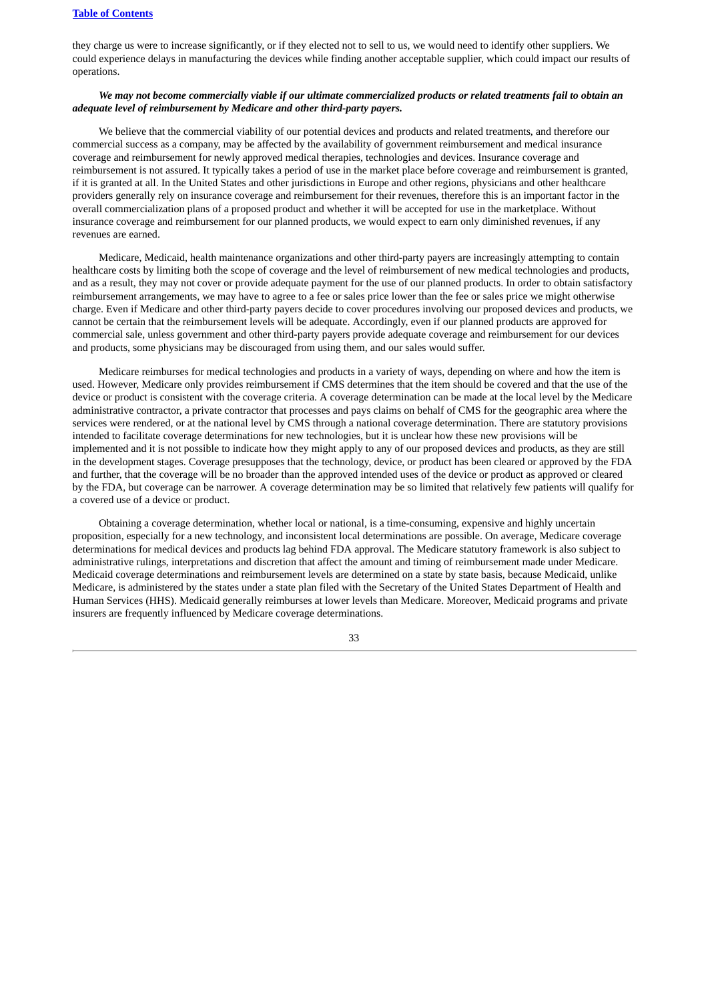they charge us were to increase significantly, or if they elected not to sell to us, we would need to identify other suppliers. We could experience delays in manufacturing the devices while finding another acceptable supplier, which could impact our results of operations.

### We may not become commercially viable if our ultimate commercialized products or related treatments fail to obtain an *adequate level of reimbursement by Medicare and other third-party payers.*

We believe that the commercial viability of our potential devices and products and related treatments, and therefore our commercial success as a company, may be affected by the availability of government reimbursement and medical insurance coverage and reimbursement for newly approved medical therapies, technologies and devices. Insurance coverage and reimbursement is not assured. It typically takes a period of use in the market place before coverage and reimbursement is granted, if it is granted at all. In the United States and other jurisdictions in Europe and other regions, physicians and other healthcare providers generally rely on insurance coverage and reimbursement for their revenues, therefore this is an important factor in the overall commercialization plans of a proposed product and whether it will be accepted for use in the marketplace. Without insurance coverage and reimbursement for our planned products, we would expect to earn only diminished revenues, if any revenues are earned.

Medicare, Medicaid, health maintenance organizations and other third-party payers are increasingly attempting to contain healthcare costs by limiting both the scope of coverage and the level of reimbursement of new medical technologies and products, and as a result, they may not cover or provide adequate payment for the use of our planned products. In order to obtain satisfactory reimbursement arrangements, we may have to agree to a fee or sales price lower than the fee or sales price we might otherwise charge. Even if Medicare and other third-party payers decide to cover procedures involving our proposed devices and products, we cannot be certain that the reimbursement levels will be adequate. Accordingly, even if our planned products are approved for commercial sale, unless government and other third-party payers provide adequate coverage and reimbursement for our devices and products, some physicians may be discouraged from using them, and our sales would suffer.

Medicare reimburses for medical technologies and products in a variety of ways, depending on where and how the item is used. However, Medicare only provides reimbursement if CMS determines that the item should be covered and that the use of the device or product is consistent with the coverage criteria. A coverage determination can be made at the local level by the Medicare administrative contractor, a private contractor that processes and pays claims on behalf of CMS for the geographic area where the services were rendered, or at the national level by CMS through a national coverage determination. There are statutory provisions intended to facilitate coverage determinations for new technologies, but it is unclear how these new provisions will be implemented and it is not possible to indicate how they might apply to any of our proposed devices and products, as they are still in the development stages. Coverage presupposes that the technology, device, or product has been cleared or approved by the FDA and further, that the coverage will be no broader than the approved intended uses of the device or product as approved or cleared by the FDA, but coverage can be narrower. A coverage determination may be so limited that relatively few patients will qualify for a covered use of a device or product.

Obtaining a coverage determination, whether local or national, is a time-consuming, expensive and highly uncertain proposition, especially for a new technology, and inconsistent local determinations are possible. On average, Medicare coverage determinations for medical devices and products lag behind FDA approval. The Medicare statutory framework is also subject to administrative rulings, interpretations and discretion that affect the amount and timing of reimbursement made under Medicare. Medicaid coverage determinations and reimbursement levels are determined on a state by state basis, because Medicaid, unlike Medicare, is administered by the states under a state plan filed with the Secretary of the United States Department of Health and Human Services (HHS). Medicaid generally reimburses at lower levels than Medicare. Moreover, Medicaid programs and private insurers are frequently influenced by Medicare coverage determinations.

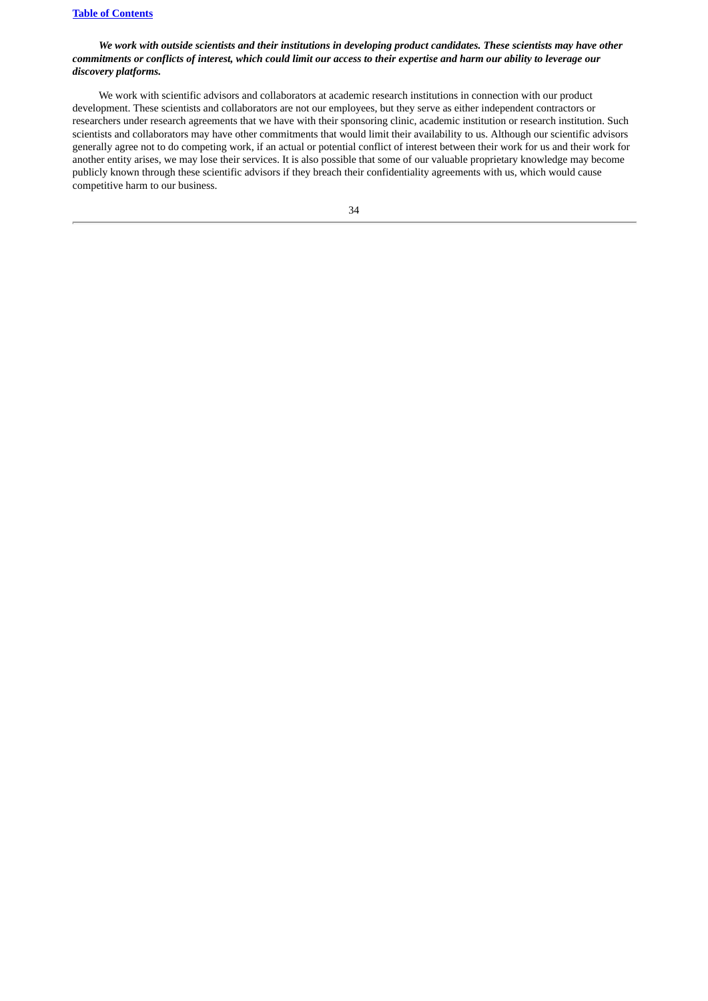### We work with outside scientists and their institutions in developing product candidates. These scientists may have other commitments or conflicts of interest, which could limit our access to their expertise and harm our ability to leverage our *discovery platforms.*

We work with scientific advisors and collaborators at academic research institutions in connection with our product development. These scientists and collaborators are not our employees, but they serve as either independent contractors or researchers under research agreements that we have with their sponsoring clinic, academic institution or research institution. Such scientists and collaborators may have other commitments that would limit their availability to us. Although our scientific advisors generally agree not to do competing work, if an actual or potential conflict of interest between their work for us and their work for another entity arises, we may lose their services. It is also possible that some of our valuable proprietary knowledge may become publicly known through these scientific advisors if they breach their confidentiality agreements with us, which would cause competitive harm to our business.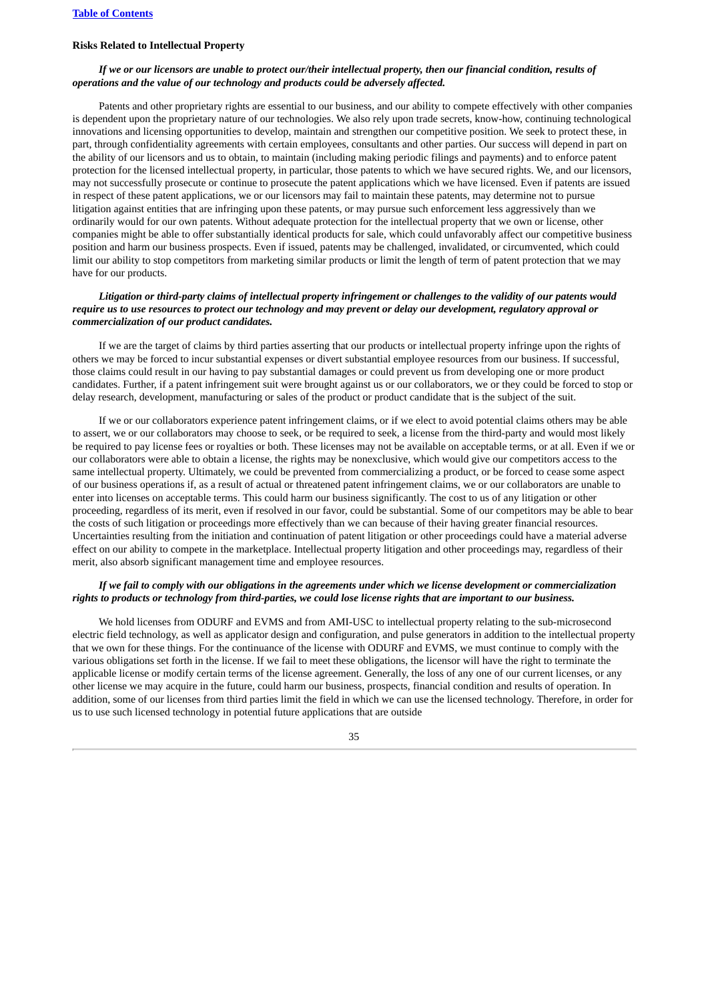### **Risks Related to Intellectual Property**

### If we or our licensors are unable to protect our/their intellectual property, then our financial condition, results of *operations and the value of our technology and products could be adversely affected.*

Patents and other proprietary rights are essential to our business, and our ability to compete effectively with other companies is dependent upon the proprietary nature of our technologies. We also rely upon trade secrets, know-how, continuing technological innovations and licensing opportunities to develop, maintain and strengthen our competitive position. We seek to protect these, in part, through confidentiality agreements with certain employees, consultants and other parties. Our success will depend in part on the ability of our licensors and us to obtain, to maintain (including making periodic filings and payments) and to enforce patent protection for the licensed intellectual property, in particular, those patents to which we have secured rights. We, and our licensors, may not successfully prosecute or continue to prosecute the patent applications which we have licensed. Even if patents are issued in respect of these patent applications, we or our licensors may fail to maintain these patents, may determine not to pursue litigation against entities that are infringing upon these patents, or may pursue such enforcement less aggressively than we ordinarily would for our own patents. Without adequate protection for the intellectual property that we own or license, other companies might be able to offer substantially identical products for sale, which could unfavorably affect our competitive business position and harm our business prospects. Even if issued, patents may be challenged, invalidated, or circumvented, which could limit our ability to stop competitors from marketing similar products or limit the length of term of patent protection that we may have for our products.

### Litigation or third-party claims of intellectual property infringement or challenges to the validity of our patents would require us to use resources to protect our technology and may prevent or delay our development, requiatory approval or *commercialization of our product candidates.*

If we are the target of claims by third parties asserting that our products or intellectual property infringe upon the rights of others we may be forced to incur substantial expenses or divert substantial employee resources from our business. If successful, those claims could result in our having to pay substantial damages or could prevent us from developing one or more product candidates. Further, if a patent infringement suit were brought against us or our collaborators, we or they could be forced to stop or delay research, development, manufacturing or sales of the product or product candidate that is the subject of the suit.

If we or our collaborators experience patent infringement claims, or if we elect to avoid potential claims others may be able to assert, we or our collaborators may choose to seek, or be required to seek, a license from the third-party and would most likely be required to pay license fees or royalties or both. These licenses may not be available on acceptable terms, or at all. Even if we or our collaborators were able to obtain a license, the rights may be nonexclusive, which would give our competitors access to the same intellectual property. Ultimately, we could be prevented from commercializing a product, or be forced to cease some aspect of our business operations if, as a result of actual or threatened patent infringement claims, we or our collaborators are unable to enter into licenses on acceptable terms. This could harm our business significantly. The cost to us of any litigation or other proceeding, regardless of its merit, even if resolved in our favor, could be substantial. Some of our competitors may be able to bear the costs of such litigation or proceedings more effectively than we can because of their having greater financial resources. Uncertainties resulting from the initiation and continuation of patent litigation or other proceedings could have a material adverse effect on our ability to compete in the marketplace. Intellectual property litigation and other proceedings may, regardless of their merit, also absorb significant management time and employee resources.

### If we fail to comply with our obligations in the agreements under which we license development or commercialization rights to products or technology from third-parties, we could lose license rights that are important to our business.

We hold licenses from ODURF and EVMS and from AMI-USC to intellectual property relating to the sub-microsecond electric field technology, as well as applicator design and configuration, and pulse generators in addition to the intellectual property that we own for these things. For the continuance of the license with ODURF and EVMS, we must continue to comply with the various obligations set forth in the license. If we fail to meet these obligations, the licensor will have the right to terminate the applicable license or modify certain terms of the license agreement. Generally, the loss of any one of our current licenses, or any other license we may acquire in the future, could harm our business, prospects, financial condition and results of operation. In addition, some of our licenses from third parties limit the field in which we can use the licensed technology. Therefore, in order for us to use such licensed technology in potential future applications that are outside

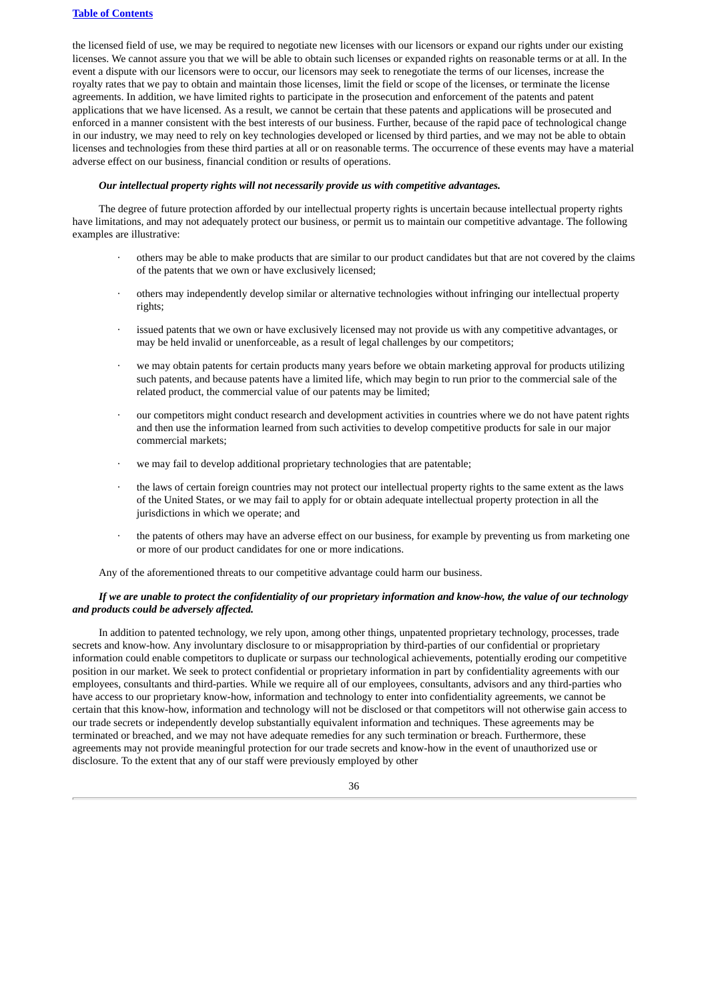the licensed field of use, we may be required to negotiate new licenses with our licensors or expand our rights under our existing licenses. We cannot assure you that we will be able to obtain such licenses or expanded rights on reasonable terms or at all. In the event a dispute with our licensors were to occur, our licensors may seek to renegotiate the terms of our licenses, increase the royalty rates that we pay to obtain and maintain those licenses, limit the field or scope of the licenses, or terminate the license agreements. In addition, we have limited rights to participate in the prosecution and enforcement of the patents and patent applications that we have licensed. As a result, we cannot be certain that these patents and applications will be prosecuted and enforced in a manner consistent with the best interests of our business. Further, because of the rapid pace of technological change in our industry, we may need to rely on key technologies developed or licensed by third parties, and we may not be able to obtain licenses and technologies from these third parties at all or on reasonable terms. The occurrence of these events may have a material adverse effect on our business, financial condition or results of operations.

#### *Our intellectual property rights will not necessarily provide us with competitive advantages.*

The degree of future protection afforded by our intellectual property rights is uncertain because intellectual property rights have limitations, and may not adequately protect our business, or permit us to maintain our competitive advantage. The following examples are illustrative:

- · others may be able to make products that are similar to our product candidates but that are not covered by the claims of the patents that we own or have exclusively licensed;
- · others may independently develop similar or alternative technologies without infringing our intellectual property rights;
- issued patents that we own or have exclusively licensed may not provide us with any competitive advantages, or may be held invalid or unenforceable, as a result of legal challenges by our competitors;
- we may obtain patents for certain products many years before we obtain marketing approval for products utilizing such patents, and because patents have a limited life, which may begin to run prior to the commercial sale of the related product, the commercial value of our patents may be limited;
- our competitors might conduct research and development activities in countries where we do not have patent rights and then use the information learned from such activities to develop competitive products for sale in our major commercial markets;
- we may fail to develop additional proprietary technologies that are patentable;
- the laws of certain foreign countries may not protect our intellectual property rights to the same extent as the laws of the United States, or we may fail to apply for or obtain adequate intellectual property protection in all the jurisdictions in which we operate; and
- the patents of others may have an adverse effect on our business, for example by preventing us from marketing one or more of our product candidates for one or more indications.

Any of the aforementioned threats to our competitive advantage could harm our business.

### If we are unable to protect the confidentiality of our proprietary information and know-how, the value of our technology *and products could be adversely affected.*

In addition to patented technology, we rely upon, among other things, unpatented proprietary technology, processes, trade secrets and know-how. Any involuntary disclosure to or misappropriation by third-parties of our confidential or proprietary information could enable competitors to duplicate or surpass our technological achievements, potentially eroding our competitive position in our market. We seek to protect confidential or proprietary information in part by confidentiality agreements with our employees, consultants and third-parties. While we require all of our employees, consultants, advisors and any third-parties who have access to our proprietary know-how, information and technology to enter into confidentiality agreements, we cannot be certain that this know-how, information and technology will not be disclosed or that competitors will not otherwise gain access to our trade secrets or independently develop substantially equivalent information and techniques. These agreements may be terminated or breached, and we may not have adequate remedies for any such termination or breach. Furthermore, these agreements may not provide meaningful protection for our trade secrets and know-how in the event of unauthorized use or disclosure. To the extent that any of our staff were previously employed by other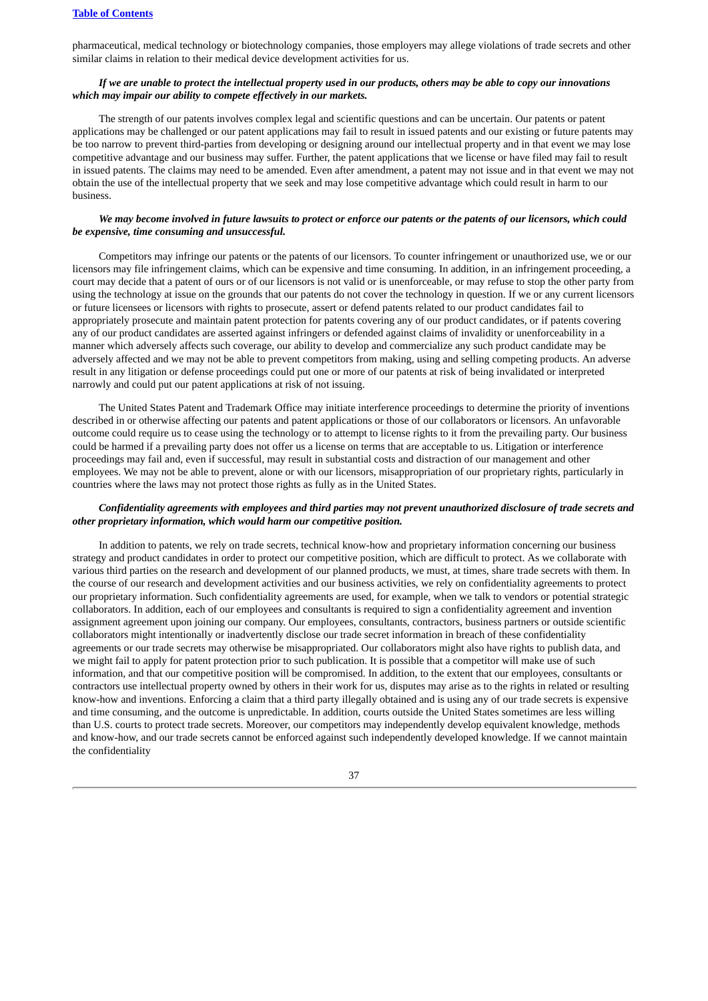pharmaceutical, medical technology or biotechnology companies, those employers may allege violations of trade secrets and other similar claims in relation to their medical device development activities for us.

### If we are unable to protect the intellectual property used in our products, others may be able to copy our innovations *which may impair our ability to compete effectively in our markets.*

The strength of our patents involves complex legal and scientific questions and can be uncertain. Our patents or patent applications may be challenged or our patent applications may fail to result in issued patents and our existing or future patents may be too narrow to prevent third-parties from developing or designing around our intellectual property and in that event we may lose competitive advantage and our business may suffer. Further, the patent applications that we license or have filed may fail to result in issued patents. The claims may need to be amended. Even after amendment, a patent may not issue and in that event we may not obtain the use of the intellectual property that we seek and may lose competitive advantage which could result in harm to our business.

### We may become involved in future lawsuits to protect or enforce our patents or the patents of our licensors, which could *be expensive, time consuming and unsuccessful.*

Competitors may infringe our patents or the patents of our licensors. To counter infringement or unauthorized use, we or our licensors may file infringement claims, which can be expensive and time consuming. In addition, in an infringement proceeding, a court may decide that a patent of ours or of our licensors is not valid or is unenforceable, or may refuse to stop the other party from using the technology at issue on the grounds that our patents do not cover the technology in question. If we or any current licensors or future licensees or licensors with rights to prosecute, assert or defend patents related to our product candidates fail to appropriately prosecute and maintain patent protection for patents covering any of our product candidates, or if patents covering any of our product candidates are asserted against infringers or defended against claims of invalidity or unenforceability in a manner which adversely affects such coverage, our ability to develop and commercialize any such product candidate may be adversely affected and we may not be able to prevent competitors from making, using and selling competing products. An adverse result in any litigation or defense proceedings could put one or more of our patents at risk of being invalidated or interpreted narrowly and could put our patent applications at risk of not issuing.

The United States Patent and Trademark Office may initiate interference proceedings to determine the priority of inventions described in or otherwise affecting our patents and patent applications or those of our collaborators or licensors. An unfavorable outcome could require us to cease using the technology or to attempt to license rights to it from the prevailing party. Our business could be harmed if a prevailing party does not offer us a license on terms that are acceptable to us. Litigation or interference proceedings may fail and, even if successful, may result in substantial costs and distraction of our management and other employees. We may not be able to prevent, alone or with our licensors, misappropriation of our proprietary rights, particularly in countries where the laws may not protect those rights as fully as in the United States.

### Confidentiality agreements with employees and third parties may not prevent unauthorized disclosure of trade secrets and *other proprietary information, which would harm our competitive position.*

In addition to patents, we rely on trade secrets, technical know-how and proprietary information concerning our business strategy and product candidates in order to protect our competitive position, which are difficult to protect. As we collaborate with various third parties on the research and development of our planned products, we must, at times, share trade secrets with them. In the course of our research and development activities and our business activities, we rely on confidentiality agreements to protect our proprietary information. Such confidentiality agreements are used, for example, when we talk to vendors or potential strategic collaborators. In addition, each of our employees and consultants is required to sign a confidentiality agreement and invention assignment agreement upon joining our company. Our employees, consultants, contractors, business partners or outside scientific collaborators might intentionally or inadvertently disclose our trade secret information in breach of these confidentiality agreements or our trade secrets may otherwise be misappropriated. Our collaborators might also have rights to publish data, and we might fail to apply for patent protection prior to such publication. It is possible that a competitor will make use of such information, and that our competitive position will be compromised. In addition, to the extent that our employees, consultants or contractors use intellectual property owned by others in their work for us, disputes may arise as to the rights in related or resulting know-how and inventions. Enforcing a claim that a third party illegally obtained and is using any of our trade secrets is expensive and time consuming, and the outcome is unpredictable. In addition, courts outside the United States sometimes are less willing than U.S. courts to protect trade secrets. Moreover, our competitors may independently develop equivalent knowledge, methods and know-how, and our trade secrets cannot be enforced against such independently developed knowledge. If we cannot maintain the confidentiality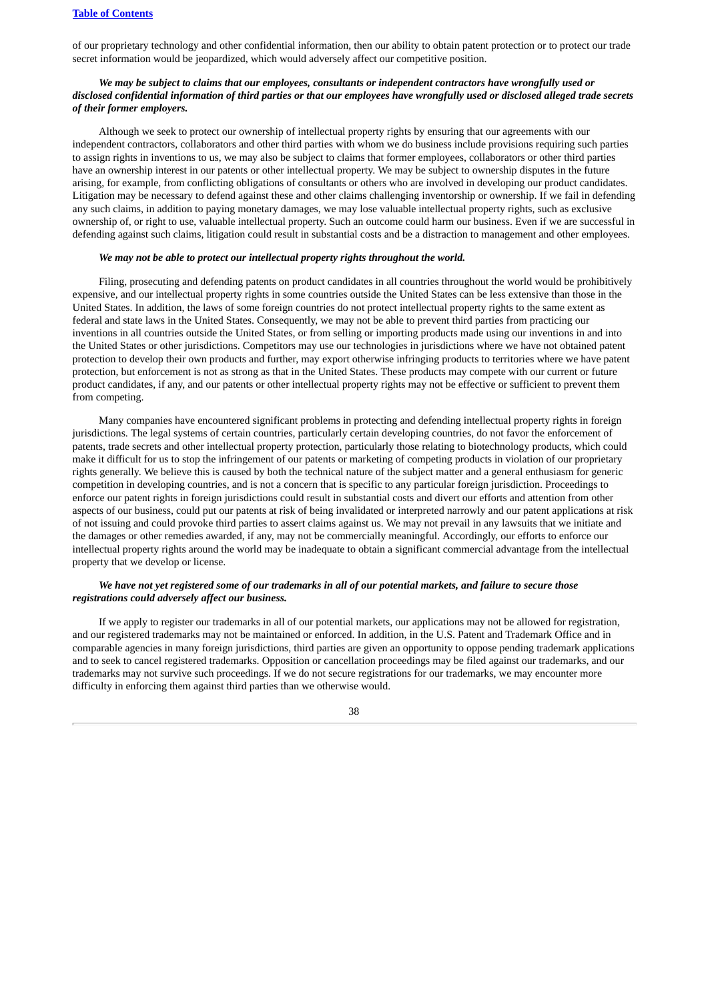of our proprietary technology and other confidential information, then our ability to obtain patent protection or to protect our trade secret information would be jeopardized, which would adversely affect our competitive position.

### We may be subject to claims that our employees, consultants or independent contractors have wrongfully used or disclosed confidential information of third parties or that our employees have wrongfully used or disclosed alleged trade secrets *of their former employers.*

Although we seek to protect our ownership of intellectual property rights by ensuring that our agreements with our independent contractors, collaborators and other third parties with whom we do business include provisions requiring such parties to assign rights in inventions to us, we may also be subject to claims that former employees, collaborators or other third parties have an ownership interest in our patents or other intellectual property. We may be subject to ownership disputes in the future arising, for example, from conflicting obligations of consultants or others who are involved in developing our product candidates. Litigation may be necessary to defend against these and other claims challenging inventorship or ownership. If we fail in defending any such claims, in addition to paying monetary damages, we may lose valuable intellectual property rights, such as exclusive ownership of, or right to use, valuable intellectual property. Such an outcome could harm our business. Even if we are successful in defending against such claims, litigation could result in substantial costs and be a distraction to management and other employees.

### *We may not be able to protect our intellectual property rights throughout the world.*

Filing, prosecuting and defending patents on product candidates in all countries throughout the world would be prohibitively expensive, and our intellectual property rights in some countries outside the United States can be less extensive than those in the United States. In addition, the laws of some foreign countries do not protect intellectual property rights to the same extent as federal and state laws in the United States. Consequently, we may not be able to prevent third parties from practicing our inventions in all countries outside the United States, or from selling or importing products made using our inventions in and into the United States or other jurisdictions. Competitors may use our technologies in jurisdictions where we have not obtained patent protection to develop their own products and further, may export otherwise infringing products to territories where we have patent protection, but enforcement is not as strong as that in the United States. These products may compete with our current or future product candidates, if any, and our patents or other intellectual property rights may not be effective or sufficient to prevent them from competing.

Many companies have encountered significant problems in protecting and defending intellectual property rights in foreign jurisdictions. The legal systems of certain countries, particularly certain developing countries, do not favor the enforcement of patents, trade secrets and other intellectual property protection, particularly those relating to biotechnology products, which could make it difficult for us to stop the infringement of our patents or marketing of competing products in violation of our proprietary rights generally. We believe this is caused by both the technical nature of the subject matter and a general enthusiasm for generic competition in developing countries, and is not a concern that is specific to any particular foreign jurisdiction. Proceedings to enforce our patent rights in foreign jurisdictions could result in substantial costs and divert our efforts and attention from other aspects of our business, could put our patents at risk of being invalidated or interpreted narrowly and our patent applications at risk of not issuing and could provoke third parties to assert claims against us. We may not prevail in any lawsuits that we initiate and the damages or other remedies awarded, if any, may not be commercially meaningful. Accordingly, our efforts to enforce our intellectual property rights around the world may be inadequate to obtain a significant commercial advantage from the intellectual property that we develop or license.

### We have not yet registered some of our trademarks in all of our potential markets, and failure to secure those *registrations could adversely affect our business.*

If we apply to register our trademarks in all of our potential markets, our applications may not be allowed for registration, and our registered trademarks may not be maintained or enforced. In addition, in the U.S. Patent and Trademark Office and in comparable agencies in many foreign jurisdictions, third parties are given an opportunity to oppose pending trademark applications and to seek to cancel registered trademarks. Opposition or cancellation proceedings may be filed against our trademarks, and our trademarks may not survive such proceedings. If we do not secure registrations for our trademarks, we may encounter more difficulty in enforcing them against third parties than we otherwise would.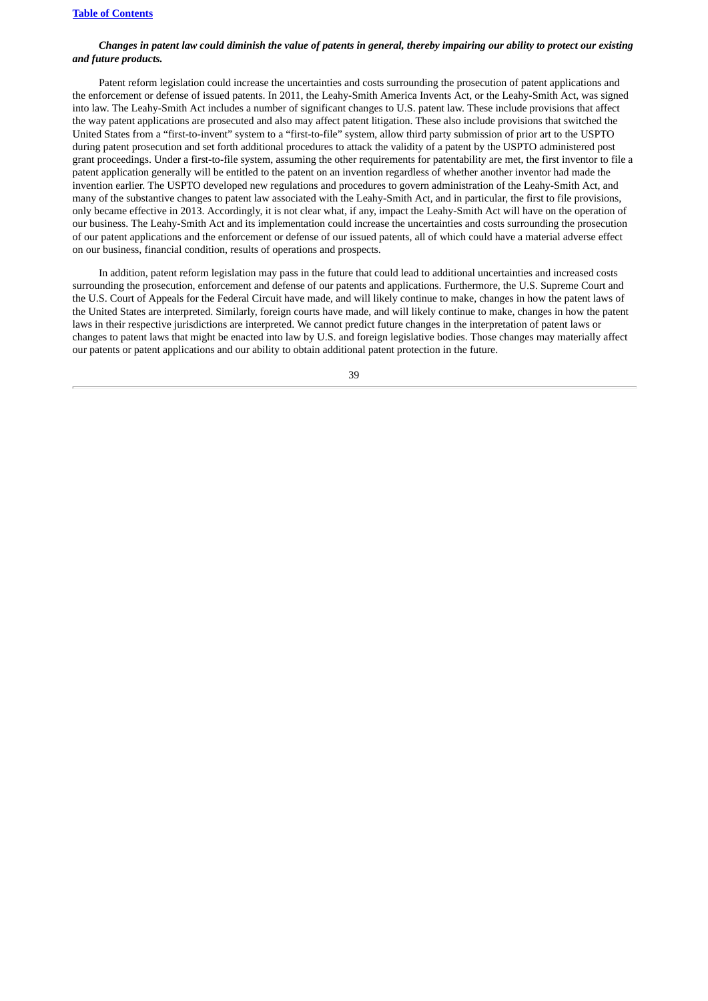### Changes in patent law could diminish the value of patents in general, thereby impairing our ability to protect our existing *and future products.*

Patent reform legislation could increase the uncertainties and costs surrounding the prosecution of patent applications and the enforcement or defense of issued patents. In 2011, the Leahy-Smith America Invents Act, or the Leahy-Smith Act, was signed into law. The Leahy-Smith Act includes a number of significant changes to U.S. patent law. These include provisions that affect the way patent applications are prosecuted and also may affect patent litigation. These also include provisions that switched the United States from a "first-to-invent" system to a "first-to-file" system, allow third party submission of prior art to the USPTO during patent prosecution and set forth additional procedures to attack the validity of a patent by the USPTO administered post grant proceedings. Under a first-to-file system, assuming the other requirements for patentability are met, the first inventor to file a patent application generally will be entitled to the patent on an invention regardless of whether another inventor had made the invention earlier. The USPTO developed new regulations and procedures to govern administration of the Leahy-Smith Act, and many of the substantive changes to patent law associated with the Leahy-Smith Act, and in particular, the first to file provisions, only became effective in 2013. Accordingly, it is not clear what, if any, impact the Leahy-Smith Act will have on the operation of our business. The Leahy-Smith Act and its implementation could increase the uncertainties and costs surrounding the prosecution of our patent applications and the enforcement or defense of our issued patents, all of which could have a material adverse effect on our business, financial condition, results of operations and prospects.

In addition, patent reform legislation may pass in the future that could lead to additional uncertainties and increased costs surrounding the prosecution, enforcement and defense of our patents and applications. Furthermore, the U.S. Supreme Court and the U.S. Court of Appeals for the Federal Circuit have made, and will likely continue to make, changes in how the patent laws of the United States are interpreted. Similarly, foreign courts have made, and will likely continue to make, changes in how the patent laws in their respective jurisdictions are interpreted. We cannot predict future changes in the interpretation of patent laws or changes to patent laws that might be enacted into law by U.S. and foreign legislative bodies. Those changes may materially affect our patents or patent applications and our ability to obtain additional patent protection in the future.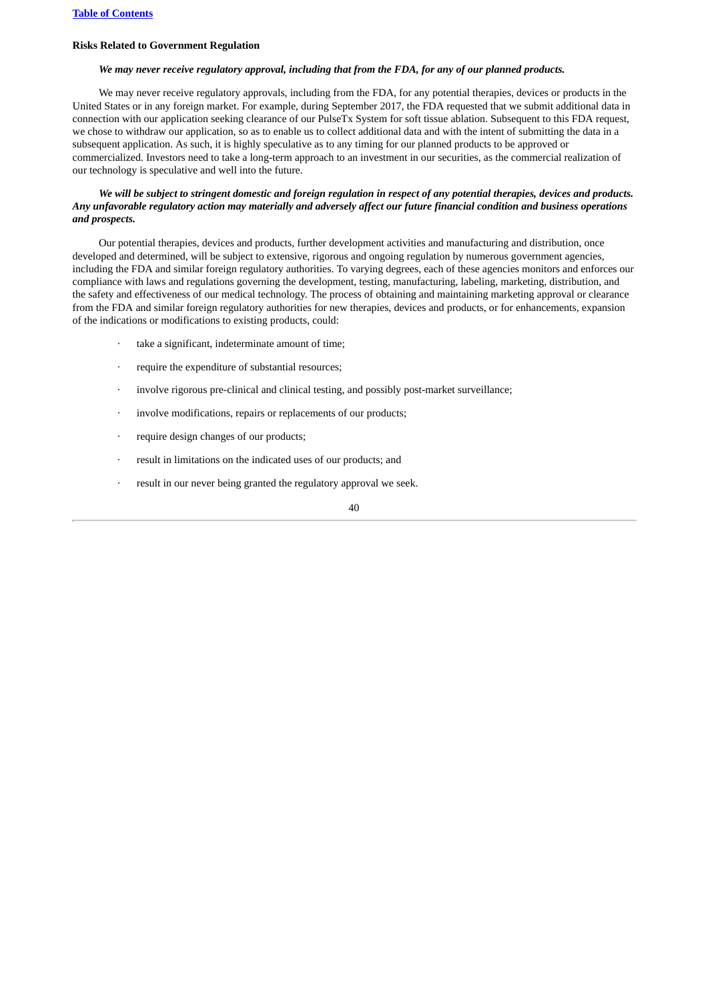### **Risks Related to Government Regulation**

### *We may never receive regulatory approval, including that from the FDA, for any of our planned products.*

We may never receive regulatory approvals, including from the FDA, for any potential therapies, devices or products in the United States or in any foreign market. For example, during September 2017, the FDA requested that we submit additional data in connection with our application seeking clearance of our PulseTx System for soft tissue ablation. Subsequent to this FDA request, we chose to withdraw our application, so as to enable us to collect additional data and with the intent of submitting the data in a subsequent application. As such, it is highly speculative as to any timing for our planned products to be approved or commercialized. Investors need to take a long-term approach to an investment in our securities, as the commercial realization of our technology is speculative and well into the future.

### We will be subject to stringent domestic and foreign regulation in respect of any potential therapies, devices and products. Any unfavorable regulatory action may materially and adversely affect our future financial condition and business operations *and prospects.*

Our potential therapies, devices and products, further development activities and manufacturing and distribution, once developed and determined, will be subject to extensive, rigorous and ongoing regulation by numerous government agencies, including the FDA and similar foreign regulatory authorities. To varying degrees, each of these agencies monitors and enforces our compliance with laws and regulations governing the development, testing, manufacturing, labeling, marketing, distribution, and the safety and effectiveness of our medical technology. The process of obtaining and maintaining marketing approval or clearance from the FDA and similar foreign regulatory authorities for new therapies, devices and products, or for enhancements, expansion of the indications or modifications to existing products, could:

- take a significant, indeterminate amount of time;
- require the expenditure of substantial resources;
- involve rigorous pre-clinical and clinical testing, and possibly post-market surveillance;
- involve modifications, repairs or replacements of our products;
- require design changes of our products;
- · result in limitations on the indicated uses of our products; and
- result in our never being granted the regulatory approval we seek.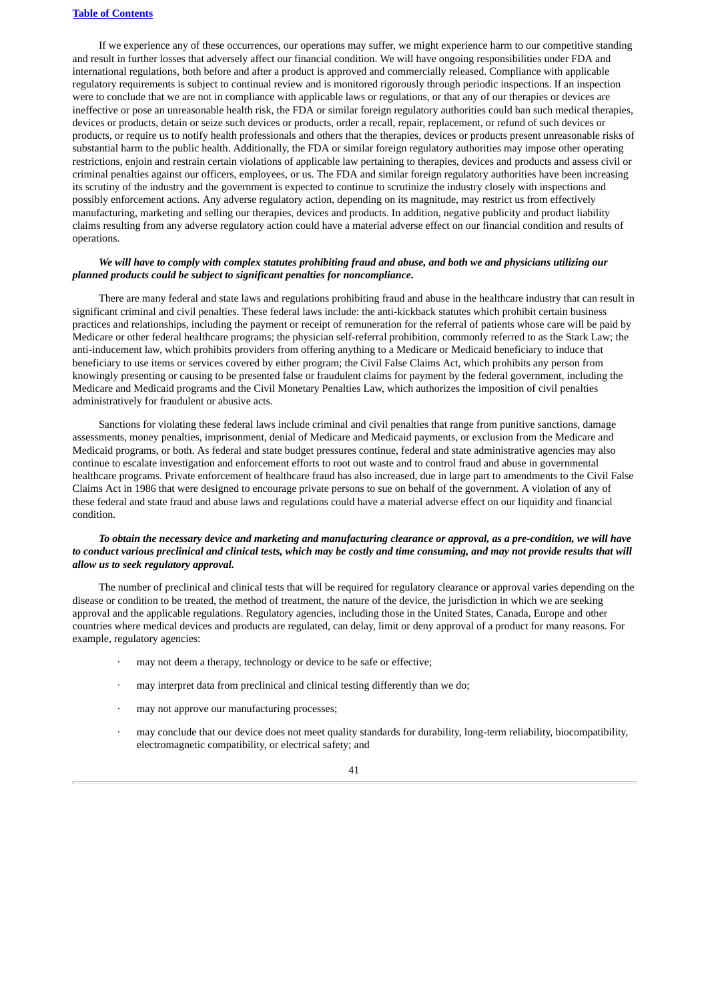If we experience any of these occurrences, our operations may suffer, we might experience harm to our competitive standing and result in further losses that adversely affect our financial condition. We will have ongoing responsibilities under FDA and international regulations, both before and after a product is approved and commercially released. Compliance with applicable regulatory requirements is subject to continual review and is monitored rigorously through periodic inspections. If an inspection were to conclude that we are not in compliance with applicable laws or regulations, or that any of our therapies or devices are ineffective or pose an unreasonable health risk, the FDA or similar foreign regulatory authorities could ban such medical therapies, devices or products, detain or seize such devices or products, order a recall, repair, replacement, or refund of such devices or products, or require us to notify health professionals and others that the therapies, devices or products present unreasonable risks of substantial harm to the public health. Additionally, the FDA or similar foreign regulatory authorities may impose other operating restrictions, enjoin and restrain certain violations of applicable law pertaining to therapies, devices and products and assess civil or criminal penalties against our officers, employees, or us. The FDA and similar foreign regulatory authorities have been increasing its scrutiny of the industry and the government is expected to continue to scrutinize the industry closely with inspections and possibly enforcement actions. Any adverse regulatory action, depending on its magnitude, may restrict us from effectively manufacturing, marketing and selling our therapies, devices and products. In addition, negative publicity and product liability claims resulting from any adverse regulatory action could have a material adverse effect on our financial condition and results of operations.

### We will have to comply with complex statutes prohibiting fraud and abuse, and both we and physicians utilizing our *planned products could be subject to significant penalties for noncompliance.*

There are many federal and state laws and regulations prohibiting fraud and abuse in the healthcare industry that can result in significant criminal and civil penalties. These federal laws include: the anti-kickback statutes which prohibit certain business practices and relationships, including the payment or receipt of remuneration for the referral of patients whose care will be paid by Medicare or other federal healthcare programs; the physician self-referral prohibition, commonly referred to as the Stark Law; the anti-inducement law, which prohibits providers from offering anything to a Medicare or Medicaid beneficiary to induce that beneficiary to use items or services covered by either program; the Civil False Claims Act, which prohibits any person from knowingly presenting or causing to be presented false or fraudulent claims for payment by the federal government, including the Medicare and Medicaid programs and the Civil Monetary Penalties Law, which authorizes the imposition of civil penalties administratively for fraudulent or abusive acts.

Sanctions for violating these federal laws include criminal and civil penalties that range from punitive sanctions, damage assessments, money penalties, imprisonment, denial of Medicare and Medicaid payments, or exclusion from the Medicare and Medicaid programs, or both. As federal and state budget pressures continue, federal and state administrative agencies may also continue to escalate investigation and enforcement efforts to root out waste and to control fraud and abuse in governmental healthcare programs. Private enforcement of healthcare fraud has also increased, due in large part to amendments to the Civil False Claims Act in 1986 that were designed to encourage private persons to sue on behalf of the government. A violation of any of these federal and state fraud and abuse laws and regulations could have a material adverse effect on our liquidity and financial condition.

### To obtain the necessary device and marketing and manufacturing clearance or approval, as a pre-condition, we will have to conduct various preclinical and clinical tests, which may be costly and time consuming, and may not provide results that will *allow us to seek regulatory approval.*

The number of preclinical and clinical tests that will be required for regulatory clearance or approval varies depending on the disease or condition to be treated, the method of treatment, the nature of the device, the jurisdiction in which we are seeking approval and the applicable regulations. Regulatory agencies, including those in the United States, Canada, Europe and other countries where medical devices and products are regulated, can delay, limit or deny approval of a product for many reasons. For example, regulatory agencies:

- may not deem a therapy, technology or device to be safe or effective;
- may interpret data from preclinical and clinical testing differently than we do;
- may not approve our manufacturing processes;
- may conclude that our device does not meet quality standards for durability, long-term reliability, biocompatibility, electromagnetic compatibility, or electrical safety; and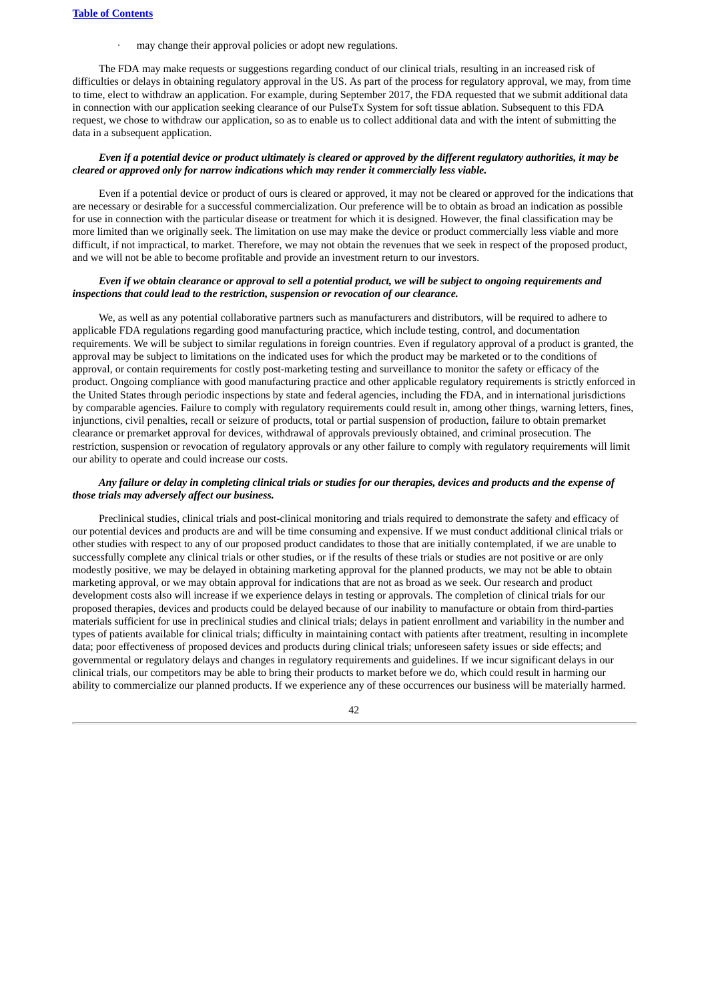may change their approval policies or adopt new regulations.

The FDA may make requests or suggestions regarding conduct of our clinical trials, resulting in an increased risk of difficulties or delays in obtaining regulatory approval in the US. As part of the process for regulatory approval, we may, from time to time, elect to withdraw an application. For example, during September 2017, the FDA requested that we submit additional data in connection with our application seeking clearance of our PulseTx System for soft tissue ablation. Subsequent to this FDA request, we chose to withdraw our application, so as to enable us to collect additional data and with the intent of submitting the data in a subsequent application.

### Even if a potential device or product ultimately is cleared or approved by the different reaulatory authorities, it may be *cleared or approved only for narrow indications which may render it commercially less viable.*

Even if a potential device or product of ours is cleared or approved, it may not be cleared or approved for the indications that are necessary or desirable for a successful commercialization. Our preference will be to obtain as broad an indication as possible for use in connection with the particular disease or treatment for which it is designed. However, the final classification may be more limited than we originally seek. The limitation on use may make the device or product commercially less viable and more difficult, if not impractical, to market. Therefore, we may not obtain the revenues that we seek in respect of the proposed product, and we will not be able to become profitable and provide an investment return to our investors.

### Even if we obtain clearance or approval to sell a potential product, we will be subject to ongoing requirements and *inspections that could lead to the restriction, suspension or revocation of our clearance.*

We, as well as any potential collaborative partners such as manufacturers and distributors, will be required to adhere to applicable FDA regulations regarding good manufacturing practice, which include testing, control, and documentation requirements. We will be subject to similar regulations in foreign countries. Even if regulatory approval of a product is granted, the approval may be subject to limitations on the indicated uses for which the product may be marketed or to the conditions of approval, or contain requirements for costly post-marketing testing and surveillance to monitor the safety or efficacy of the product. Ongoing compliance with good manufacturing practice and other applicable regulatory requirements is strictly enforced in the United States through periodic inspections by state and federal agencies, including the FDA, and in international jurisdictions by comparable agencies. Failure to comply with regulatory requirements could result in, among other things, warning letters, fines, injunctions, civil penalties, recall or seizure of products, total or partial suspension of production, failure to obtain premarket clearance or premarket approval for devices, withdrawal of approvals previously obtained, and criminal prosecution. The restriction, suspension or revocation of regulatory approvals or any other failure to comply with regulatory requirements will limit our ability to operate and could increase our costs.

### Any failure or delay in completing clinical trials or studies for our therapies, devices and products and the expense of *those trials may adversely affect our business.*

Preclinical studies, clinical trials and post-clinical monitoring and trials required to demonstrate the safety and efficacy of our potential devices and products are and will be time consuming and expensive. If we must conduct additional clinical trials or other studies with respect to any of our proposed product candidates to those that are initially contemplated, if we are unable to successfully complete any clinical trials or other studies, or if the results of these trials or studies are not positive or are only modestly positive, we may be delayed in obtaining marketing approval for the planned products, we may not be able to obtain marketing approval, or we may obtain approval for indications that are not as broad as we seek. Our research and product development costs also will increase if we experience delays in testing or approvals. The completion of clinical trials for our proposed therapies, devices and products could be delayed because of our inability to manufacture or obtain from third-parties materials sufficient for use in preclinical studies and clinical trials; delays in patient enrollment and variability in the number and types of patients available for clinical trials; difficulty in maintaining contact with patients after treatment, resulting in incomplete data; poor effectiveness of proposed devices and products during clinical trials; unforeseen safety issues or side effects; and governmental or regulatory delays and changes in regulatory requirements and guidelines. If we incur significant delays in our clinical trials, our competitors may be able to bring their products to market before we do, which could result in harming our ability to commercialize our planned products. If we experience any of these occurrences our business will be materially harmed.

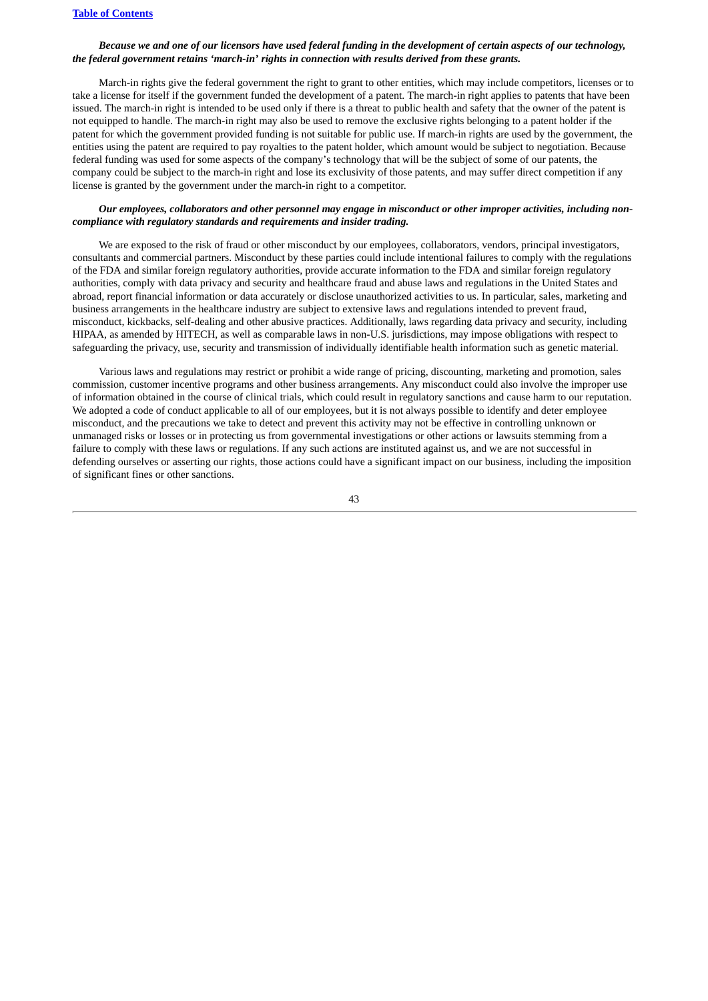### Because we and one of our licensors have used federal funding in the development of certain aspects of our technology, *the federal government retains 'march-in' rights in connection with results derived from these grants.*

March-in rights give the federal government the right to grant to other entities, which may include competitors, licenses or to take a license for itself if the government funded the development of a patent. The march-in right applies to patents that have been issued. The march-in right is intended to be used only if there is a threat to public health and safety that the owner of the patent is not equipped to handle. The march-in right may also be used to remove the exclusive rights belonging to a patent holder if the patent for which the government provided funding is not suitable for public use. If march-in rights are used by the government, the entities using the patent are required to pay royalties to the patent holder, which amount would be subject to negotiation. Because federal funding was used for some aspects of the company's technology that will be the subject of some of our patents, the company could be subject to the march-in right and lose its exclusivity of those patents, and may suffer direct competition if any license is granted by the government under the march-in right to a competitor.

### Our employees, collaborators and other personnel may engage in misconduct or other improper activities, including non*compliance with regulatory standards and requirements and insider trading.*

We are exposed to the risk of fraud or other misconduct by our employees, collaborators, vendors, principal investigators, consultants and commercial partners. Misconduct by these parties could include intentional failures to comply with the regulations of the FDA and similar foreign regulatory authorities, provide accurate information to the FDA and similar foreign regulatory authorities, comply with data privacy and security and healthcare fraud and abuse laws and regulations in the United States and abroad, report financial information or data accurately or disclose unauthorized activities to us. In particular, sales, marketing and business arrangements in the healthcare industry are subject to extensive laws and regulations intended to prevent fraud, misconduct, kickbacks, self-dealing and other abusive practices. Additionally, laws regarding data privacy and security, including HIPAA, as amended by HITECH, as well as comparable laws in non-U.S. jurisdictions, may impose obligations with respect to safeguarding the privacy, use, security and transmission of individually identifiable health information such as genetic material.

Various laws and regulations may restrict or prohibit a wide range of pricing, discounting, marketing and promotion, sales commission, customer incentive programs and other business arrangements. Any misconduct could also involve the improper use of information obtained in the course of clinical trials, which could result in regulatory sanctions and cause harm to our reputation. We adopted a code of conduct applicable to all of our employees, but it is not always possible to identify and deter employee misconduct, and the precautions we take to detect and prevent this activity may not be effective in controlling unknown or unmanaged risks or losses or in protecting us from governmental investigations or other actions or lawsuits stemming from a failure to comply with these laws or regulations. If any such actions are instituted against us, and we are not successful in defending ourselves or asserting our rights, those actions could have a significant impact on our business, including the imposition of significant fines or other sanctions.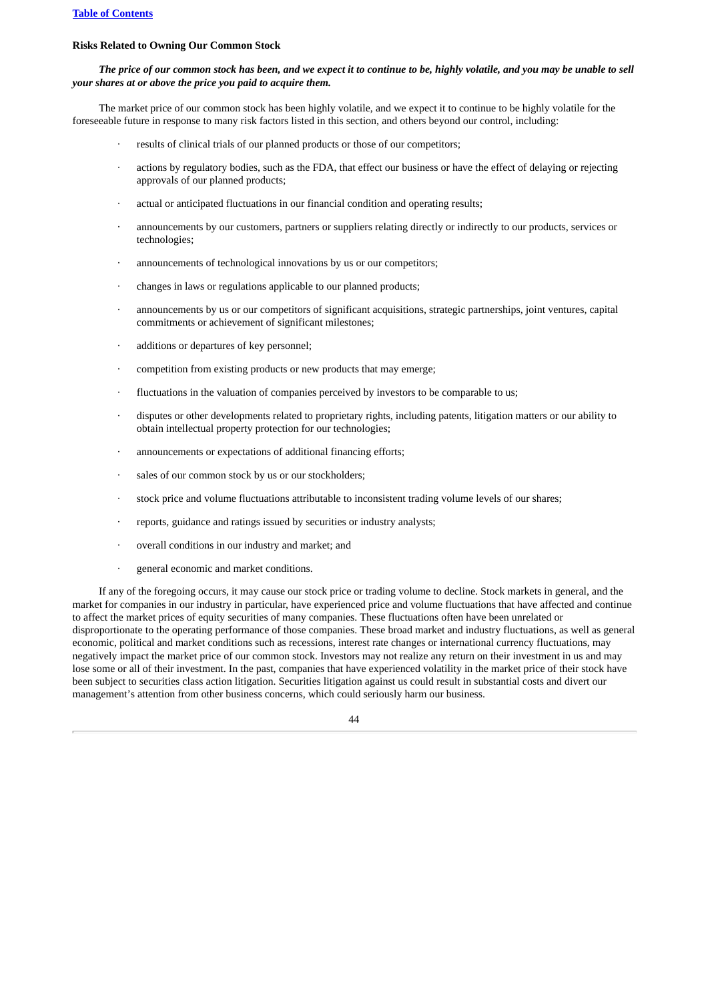### **Risks Related to Owning Our Common Stock**

### The price of our common stock has been, and we expect it to continue to be, highly volatile, and you may be unable to sell *your shares at or above the price you paid to acquire them.*

The market price of our common stock has been highly volatile, and we expect it to continue to be highly volatile for the foreseeable future in response to many risk factors listed in this section, and others beyond our control, including:

- results of clinical trials of our planned products or those of our competitors;
- actions by regulatory bodies, such as the FDA, that effect our business or have the effect of delaying or rejecting approvals of our planned products;
- actual or anticipated fluctuations in our financial condition and operating results;
- · announcements by our customers, partners or suppliers relating directly or indirectly to our products, services or technologies;
- announcements of technological innovations by us or our competitors;
- · changes in laws or regulations applicable to our planned products;
- · announcements by us or our competitors of significant acquisitions, strategic partnerships, joint ventures, capital commitments or achievement of significant milestones;
- additions or departures of key personnel;
- · competition from existing products or new products that may emerge;
- fluctuations in the valuation of companies perceived by investors to be comparable to us;
- · disputes or other developments related to proprietary rights, including patents, litigation matters or our ability to obtain intellectual property protection for our technologies;
- announcements or expectations of additional financing efforts;
- sales of our common stock by us or our stockholders;
- stock price and volume fluctuations attributable to inconsistent trading volume levels of our shares;
- reports, guidance and ratings issued by securities or industry analysts;
- overall conditions in our industry and market; and
- · general economic and market conditions.

If any of the foregoing occurs, it may cause our stock price or trading volume to decline. Stock markets in general, and the market for companies in our industry in particular, have experienced price and volume fluctuations that have affected and continue to affect the market prices of equity securities of many companies. These fluctuations often have been unrelated or disproportionate to the operating performance of those companies. These broad market and industry fluctuations, as well as general economic, political and market conditions such as recessions, interest rate changes or international currency fluctuations, may negatively impact the market price of our common stock. Investors may not realize any return on their investment in us and may lose some or all of their investment. In the past, companies that have experienced volatility in the market price of their stock have been subject to securities class action litigation. Securities litigation against us could result in substantial costs and divert our management's attention from other business concerns, which could seriously harm our business.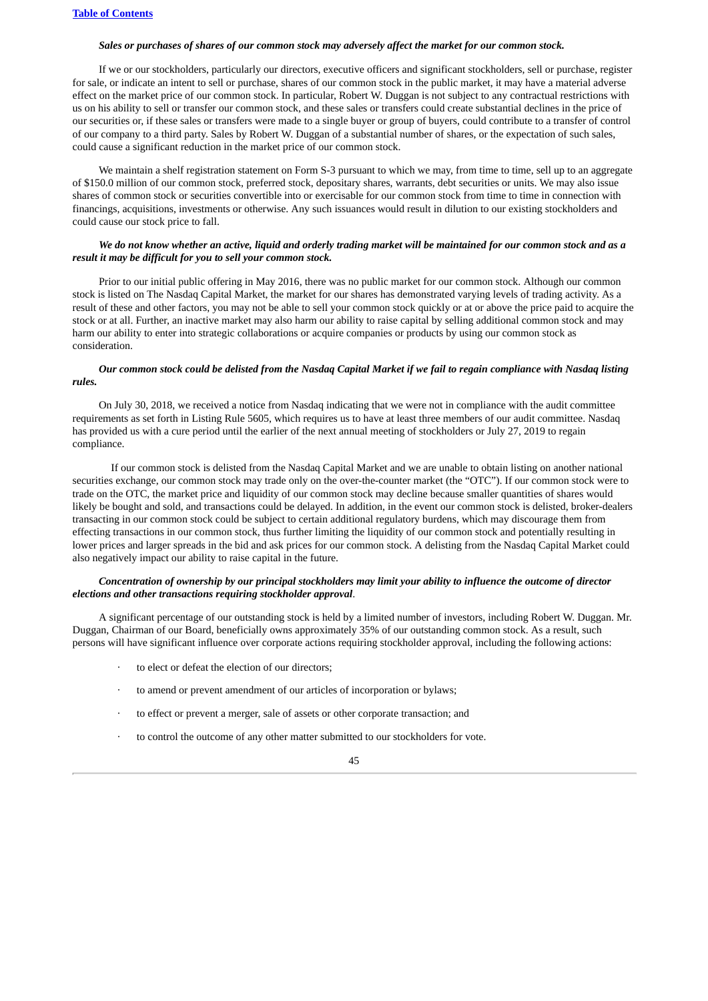#### Sales or purchases of shares of our common stock may adversely affect the market for our common stock.

If we or our stockholders, particularly our directors, executive officers and significant stockholders, sell or purchase, register for sale, or indicate an intent to sell or purchase, shares of our common stock in the public market, it may have a material adverse effect on the market price of our common stock. In particular, Robert W. Duggan is not subject to any contractual restrictions with us on his ability to sell or transfer our common stock, and these sales or transfers could create substantial declines in the price of our securities or, if these sales or transfers were made to a single buyer or group of buyers, could contribute to a transfer of control of our company to a third party. Sales by Robert W. Duggan of a substantial number of shares, or the expectation of such sales, could cause a significant reduction in the market price of our common stock.

We maintain a shelf registration statement on Form S-3 pursuant to which we may, from time to time, sell up to an aggregate of \$150.0 million of our common stock, preferred stock, depositary shares, warrants, debt securities or units. We may also issue shares of common stock or securities convertible into or exercisable for our common stock from time to time in connection with financings, acquisitions, investments or otherwise. Any such issuances would result in dilution to our existing stockholders and could cause our stock price to fall.

### We do not know whether an active, liquid and orderly trading market will be maintained for our common stock and as a *result it may be difficult for you to sell your common stock.*

Prior to our initial public offering in May 2016, there was no public market for our common stock. Although our common stock is listed on The Nasdaq Capital Market, the market for our shares has demonstrated varying levels of trading activity. As a result of these and other factors, you may not be able to sell your common stock quickly or at or above the price paid to acquire the stock or at all. Further, an inactive market may also harm our ability to raise capital by selling additional common stock and may harm our ability to enter into strategic collaborations or acquire companies or products by using our common stock as consideration.

### Our common stock could be delisted from the Nasdaq Capital Market if we fail to regain compliance with Nasdaq listing *rules.*

On July 30, 2018, we received a notice from Nasdaq indicating that we were not in compliance with the audit committee requirements as set forth in Listing Rule 5605, which requires us to have at least three members of our audit committee. Nasdaq has provided us with a cure period until the earlier of the next annual meeting of stockholders or July 27, 2019 to regain compliance.

If our common stock is delisted from the Nasdaq Capital Market and we are unable to obtain listing on another national securities exchange, our common stock may trade only on the over-the-counter market (the "OTC"). If our common stock were to trade on the OTC, the market price and liquidity of our common stock may decline because smaller quantities of shares would likely be bought and sold, and transactions could be delayed. In addition, in the event our common stock is delisted, broker-dealers transacting in our common stock could be subject to certain additional regulatory burdens, which may discourage them from effecting transactions in our common stock, thus further limiting the liquidity of our common stock and potentially resulting in lower prices and larger spreads in the bid and ask prices for our common stock. A delisting from the Nasdaq Capital Market could also negatively impact our ability to raise capital in the future.

### Concentration of ownership by our principal stockholders may limit your ability to influence the outcome of director *elections and other transactions requiring stockholder approval*.

A significant percentage of our outstanding stock is held by a limited number of investors, including Robert W. Duggan. Mr. Duggan, Chairman of our Board, beneficially owns approximately 35% of our outstanding common stock. As a result, such persons will have significant influence over corporate actions requiring stockholder approval, including the following actions:

- to elect or defeat the election of our directors:
- to amend or prevent amendment of our articles of incorporation or bylaws;
- to effect or prevent a merger, sale of assets or other corporate transaction; and
- to control the outcome of any other matter submitted to our stockholders for vote.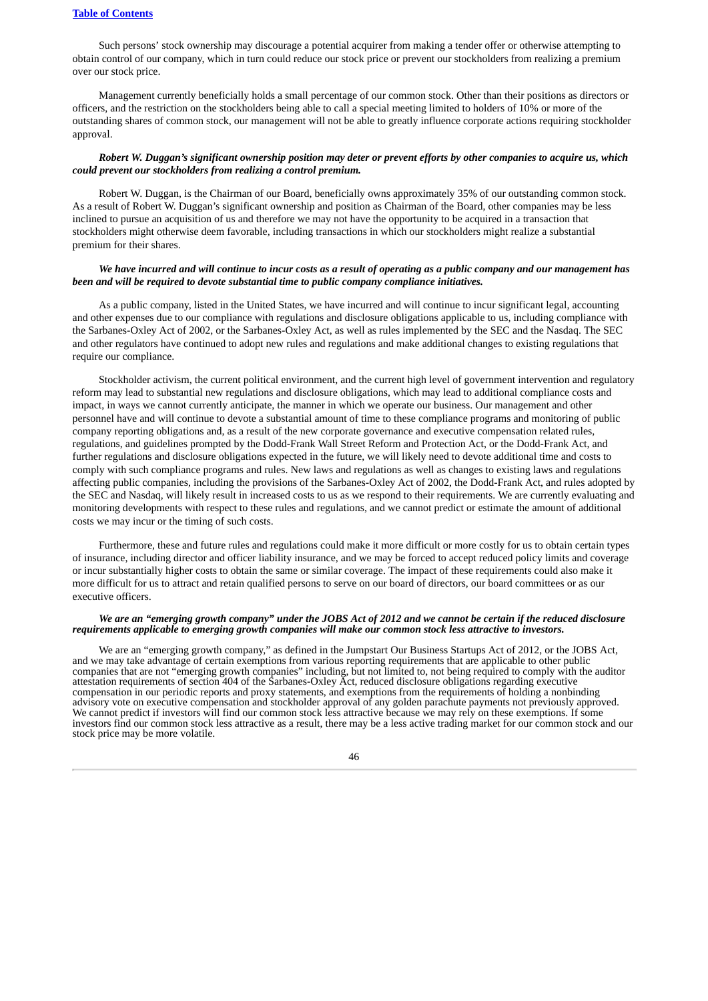Such persons' stock ownership may discourage a potential acquirer from making a tender offer or otherwise attempting to obtain control of our company, which in turn could reduce our stock price or prevent our stockholders from realizing a premium over our stock price.

Management currently beneficially holds a small percentage of our common stock. Other than their positions as directors or officers, and the restriction on the stockholders being able to call a special meeting limited to holders of 10% or more of the outstanding shares of common stock, our management will not be able to greatly influence corporate actions requiring stockholder approval.

### Robert W. Duggan's significant ownership position may deter or prevent efforts by other companies to acquire us, which *could prevent our stockholders from realizing a control premium.*

Robert W. Duggan, is the Chairman of our Board, beneficially owns approximately 35% of our outstanding common stock. As a result of Robert W. Duggan's significant ownership and position as Chairman of the Board, other companies may be less inclined to pursue an acquisition of us and therefore we may not have the opportunity to be acquired in a transaction that stockholders might otherwise deem favorable, including transactions in which our stockholders might realize a substantial premium for their shares.

#### We have incurred and will continue to incur costs as a result of operating as a public company and our management has *been and will be required to devote substantial time to public company compliance initiatives.*

As a public company, listed in the United States, we have incurred and will continue to incur significant legal, accounting and other expenses due to our compliance with regulations and disclosure obligations applicable to us, including compliance with the Sarbanes-Oxley Act of 2002, or the Sarbanes-Oxley Act, as well as rules implemented by the SEC and the Nasdaq. The SEC and other regulators have continued to adopt new rules and regulations and make additional changes to existing regulations that require our compliance.

Stockholder activism, the current political environment, and the current high level of government intervention and regulatory reform may lead to substantial new regulations and disclosure obligations, which may lead to additional compliance costs and impact, in ways we cannot currently anticipate, the manner in which we operate our business. Our management and other personnel have and will continue to devote a substantial amount of time to these compliance programs and monitoring of public company reporting obligations and, as a result of the new corporate governance and executive compensation related rules, regulations, and guidelines prompted by the Dodd-Frank Wall Street Reform and Protection Act, or the Dodd-Frank Act, and further regulations and disclosure obligations expected in the future, we will likely need to devote additional time and costs to comply with such compliance programs and rules. New laws and regulations as well as changes to existing laws and regulations affecting public companies, including the provisions of the Sarbanes-Oxley Act of 2002, the Dodd-Frank Act, and rules adopted by the SEC and Nasdaq, will likely result in increased costs to us as we respond to their requirements. We are currently evaluating and monitoring developments with respect to these rules and regulations, and we cannot predict or estimate the amount of additional costs we may incur or the timing of such costs.

Furthermore, these and future rules and regulations could make it more difficult or more costly for us to obtain certain types of insurance, including director and officer liability insurance, and we may be forced to accept reduced policy limits and coverage or incur substantially higher costs to obtain the same or similar coverage. The impact of these requirements could also make it more difficult for us to attract and retain qualified persons to serve on our board of directors, our board committees or as our executive officers.

#### We are an "emerging growth company" under the JOBS Act of 2012 and we cannot be certain if the reduced disclosure *requirements applicable to emerging growth companies will make our common stock less attractive to investors.*

We are an "emerging growth company," as defined in the Jumpstart Our Business Startups Act of 2012, or the JOBS Act, and we may take advantage of certain exemptions from various reporting requirements that are applicable to other public companies that are not "emerging growth companies" including, but not limited to, not being required to comply with the auditor attestation requirements of section 404 of the Sarbanes-Oxley Act, reduced disclosure obligations regarding executive compensation in our periodic reports and proxy statements, and exemptions from the requirements of holding a nonbinding advisory vote on executive compensation and stockholder approval of any golden parachute payments not previously approved.<br>We cannot predict if investors will find our common stock less attractive because we may rely on th investors find our common stock less attractive as a result, there may be a less active trading market for our common stock and our stock price may be more volatile.

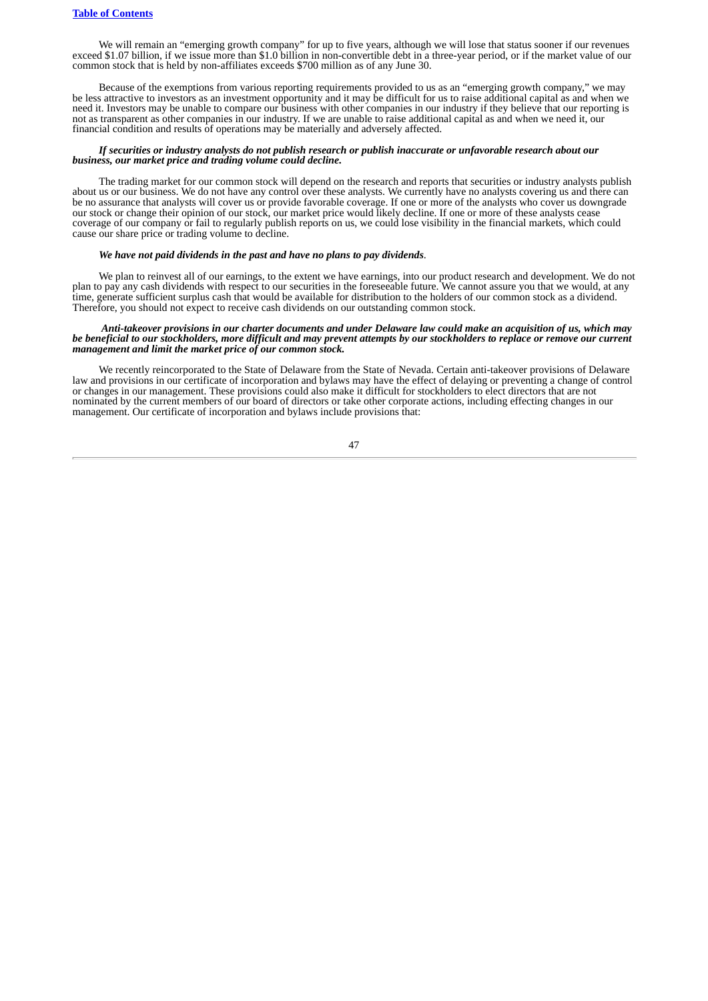We will remain an "emerging growth company" for up to five years, although we will lose that status sooner if our revenues exceed \$1.07 billion, if we issue more than \$1.0 billion in non-convertible debt in a three-year period, or if the market value of our common stock that is held by non-affiliates exceeds \$700 million as of any June 30.

Because of the exemptions from various reporting requirements provided to us as an "emerging growth company," we may be less attractive to investors as an investment opportunity and it may be difficult for us to raise additional capital as and when we need it. Investors may be unable to compare our business with other companies in our industry if they believe that our reporting is not as transparent as other companies in our industry. If we are unable to raise additional capital as and when we need it, our financial condition and results of operations may be materially and adversely affected.

#### If securities or industry analysts do not publish research or publish inaccurate or unfavorable research about our *business, our market price and trading volume could decline.*

The trading market for our common stock will depend on the research and reports that securities or industry analysts publish about us or our business. We do not have any control over these analysts. We currently have no analysts covering us and there can be no assurance that analysts will cover us or provide favorable coverage. If one or more of the analysts who cover us downgrade our stock or change their opinion of our stock, our market price would likely decline. If one or more of these analysts cease coverage of our company or fail to regularly publish reports on us, we could lose visibility in the financial markets, which could cause our share price or trading volume to decline.

#### *We have not paid dividends in the past and have no plans to pay dividends*.

We plan to reinvest all of our earnings, to the extent we have earnings, into our product research and development. We do not plan to pay any cash dividends with respect to our securities in the foreseeable future. We cannot assure you that we would, at any time, generate sufficient surplus cash that would be available for distribution to the holders of our common stock as a dividend. Therefore, you should not expect to receive cash dividends on our outstanding common stock.

#### Anti-takeover provisions in our charter documents and under Delaware law could make an acquisition of us, which may be beneficial to our stockholders, more difficult and may prevent attempts by our stockholders to replace or remove our current *management and limit the market price of our common stock.*

We recently reincorporated to the State of Delaware from the State of Nevada. Certain anti-takeover provisions of Delaware law and provisions in our certificate of incorporation and bylaws may have the effect of delaying or preventing a change of control or changes in our management. These provisions could also make it difficult for stockholders to elect directors that are not nominated by the current members of our board of directors or take other corporate actions, including effecting changes in our management. Our certificate of incorporation and bylaws include provisions that: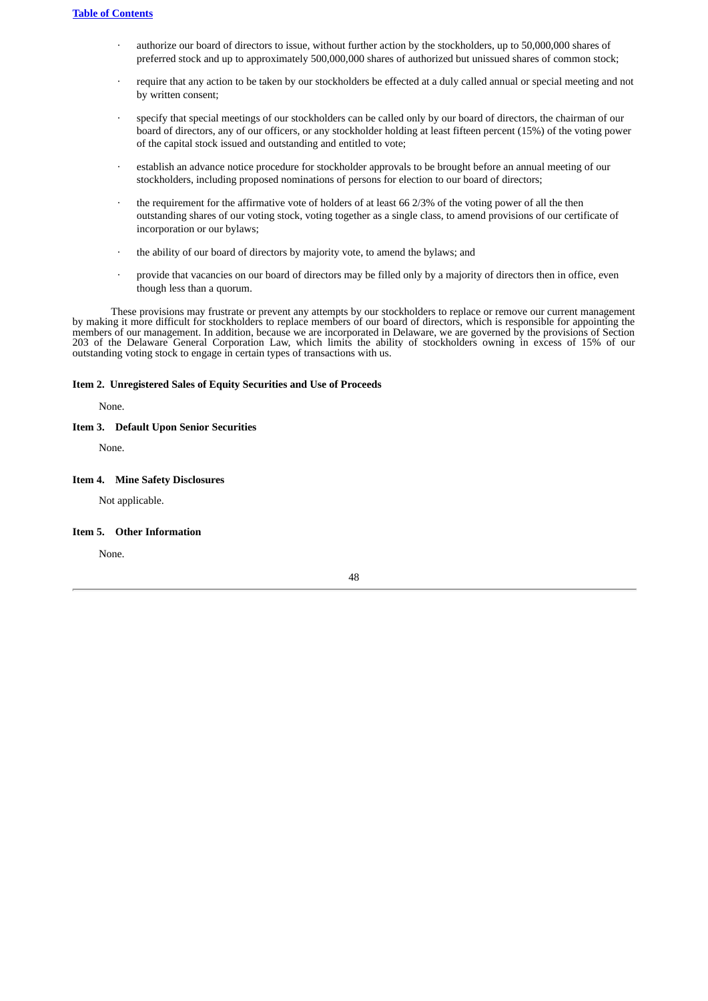- authorize our board of directors to issue, without further action by the stockholders, up to 50,000,000 shares of preferred stock and up to approximately 500,000,000 shares of authorized but unissued shares of common stock;
- require that any action to be taken by our stockholders be effected at a duly called annual or special meeting and not by written consent;
- specify that special meetings of our stockholders can be called only by our board of directors, the chairman of our board of directors, any of our officers, or any stockholder holding at least fifteen percent (15%) of the voting power of the capital stock issued and outstanding and entitled to vote;
- · establish an advance notice procedure for stockholder approvals to be brought before an annual meeting of our stockholders, including proposed nominations of persons for election to our board of directors;
- the requirement for the affirmative vote of holders of at least 66 2/3% of the voting power of all the then outstanding shares of our voting stock, voting together as a single class, to amend provisions of our certificate of incorporation or our bylaws;
- the ability of our board of directors by majority vote, to amend the bylaws; and
- provide that vacancies on our board of directors may be filled only by a majority of directors then in office, even though less than a quorum.

These provisions may frustrate or prevent any attempts by our stockholders to replace or remove our current management by making it more difficult for stockholders to replace members of our board of directors, which is responsible for appointing the members of our management. In addition, because we are incorporated in Delaware, we are governed by the provisions of Section 203 of the Delaware General Corporation Law, which limits the ability of stockholders owning in excess of 15% of our outstanding voting stock to engage in certain types of transactions with us.

### **Item 2. Unregistered Sales of Equity Securities and Use of Proceeds**

<span id="page-47-1"></span><span id="page-47-0"></span>None.

### **Item 3. Default Upon Senior Securities**

None.

#### **Item 4. Mine Safety Disclosures**

<span id="page-47-2"></span>Not applicable.

### **Item 5. Other Information**

<span id="page-47-3"></span>None.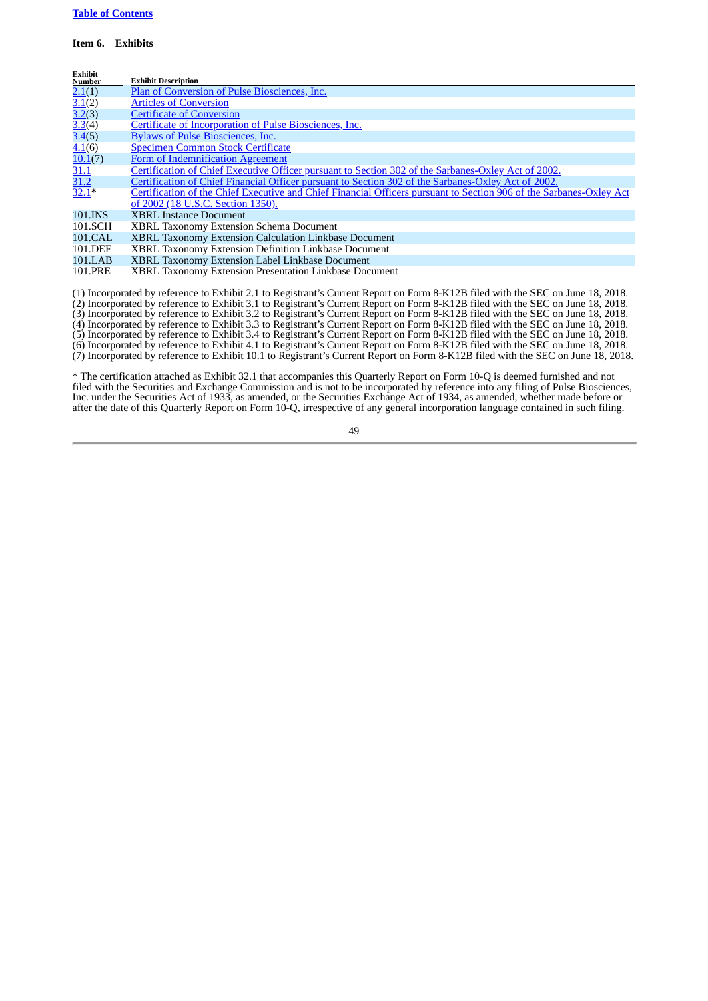### <span id="page-48-0"></span>**Item 6. Exhibits**

| Exhibit<br>Number | <b>Exhibit Description</b>                                                                                          |
|-------------------|---------------------------------------------------------------------------------------------------------------------|
| 2.1(1)            | Plan of Conversion of Pulse Biosciences, Inc.                                                                       |
| 3.1(2)            | <b>Articles of Conversion</b>                                                                                       |
| 3.2(3)            | <b>Certificate of Conversion</b>                                                                                    |
| 3.3(4)            | Certificate of Incorporation of Pulse Biosciences, Inc.                                                             |
| 3.4(5)            | <b>Bylaws of Pulse Biosciences, Inc.</b>                                                                            |
| 4.1(6)            | <b>Specimen Common Stock Certificate</b>                                                                            |
| 10.1(7)           | Form of Indemnification Agreement                                                                                   |
| 31.1              | Certification of Chief Executive Officer pursuant to Section 302 of the Sarbanes-Oxley Act of 2002.                 |
| 31.2              | Certification of Chief Financial Officer pursuant to Section 302 of the Sarbanes-Oxley Act of 2002.                 |
| $32.1*$           | Certification of the Chief Executive and Chief Financial Officers pursuant to Section 906 of the Sarbanes-Oxley Act |
|                   | of 2002 (18 U.S.C. Section 1350).                                                                                   |
| 101.INS           | <b>XBRL Instance Document</b>                                                                                       |
| 101.SCH           | <b>XBRL Taxonomy Extension Schema Document</b>                                                                      |
| 101.CAL           | XBRL Taxonomy Extension Calculation Linkbase Document                                                               |
| 101.DEF           | XBRL Taxonomy Extension Definition Linkbase Document                                                                |
| 101.LAB           | XBRL Taxonomy Extension Label Linkbase Document                                                                     |
| 101.PRE           | XBRL Taxonomy Extension Presentation Linkbase Document                                                              |

(1) Incorporated by reference to Exhibit 2.1 to Registrant's Current Report on Form 8-K12B filed with the SEC on June 18, 2018. (2) Incorporated by reference to Exhibit 3.1 to Registrant's Current Report on Form 8-K12B filed with the SEC on June 18, 2018. (3) Incorporated by reference to Exhibit 3.2 to Registrant's Current Report on Form 8-K12B filed with the SEC on June 18, 2018. (4) Incorporated by reference to Exhibit 3.3 to Registrant's Current Report on Form 8-K12B filed with the SEC on June 18, 2018. (5) Incorporated by reference to Exhibit 3.4 to Registrant's Current Report on Form 8-K12B filed with the SEC on June 18, 2018. (6) Incorporated by reference to Exhibit 4.1 to Registrant's Current Report on Form 8-K12B filed with the SEC on June 18, 2018. (7) Incorporated by reference to Exhibit 10.1 to Registrant's Current Report on Form 8-K12B filed with the SEC on June 18, 2018.

\* The certification attached as Exhibit 32.1 that accompanies this Quarterly Report on Form 10-Q is deemed furnished and not filed with the Securities and Exchange Commission and is not to be incorporated by reference into any filing of Pulse Biosciences, Inc. under the Securities Act of 1933, as amended, or the Securities Exchange Act of 1934, as amended, whether made before or after the date of this Quarterly Report on Form 10-Q, irrespective of any general incorporation language contained in such filing.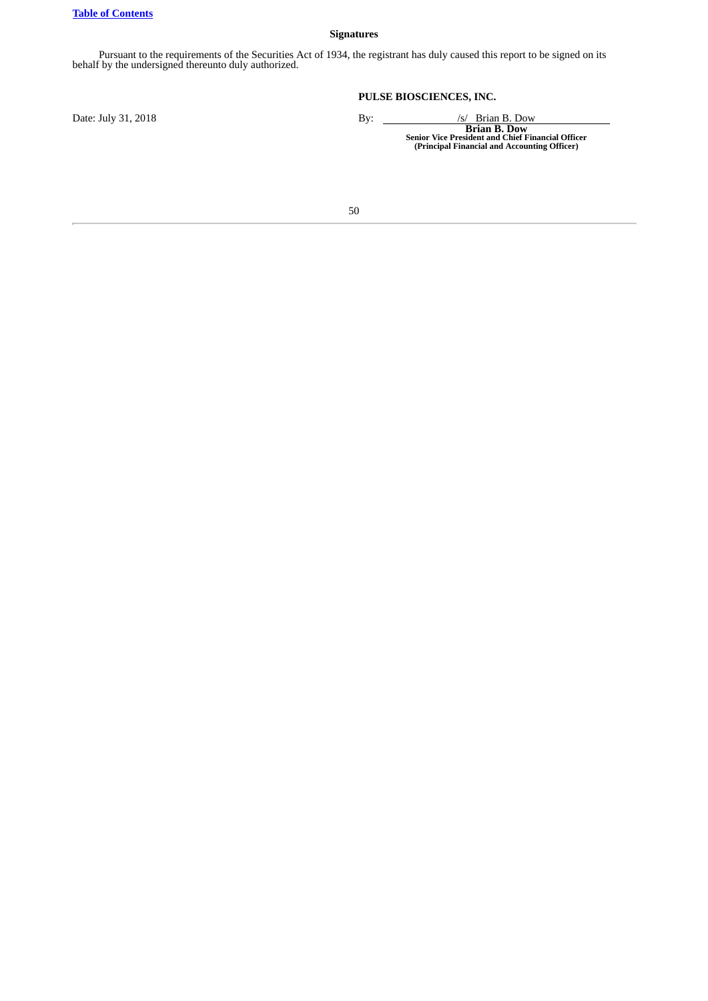### <span id="page-49-0"></span>**Signatures**

Pursuant to the requirements of the Securities Act of 1934, the registrant has duly caused this report to be signed on its behalf by the undersigned thereunto duly authorized.

### **PULSE BIOSCIENCES, INC.**

Date: July 31, 2018 By: <u>By:</u> *S*/ Brian B. Dow **Brian B. Dow Senior Vice President and Chief Financial Officer (Principal Financial and Accounting Officer)**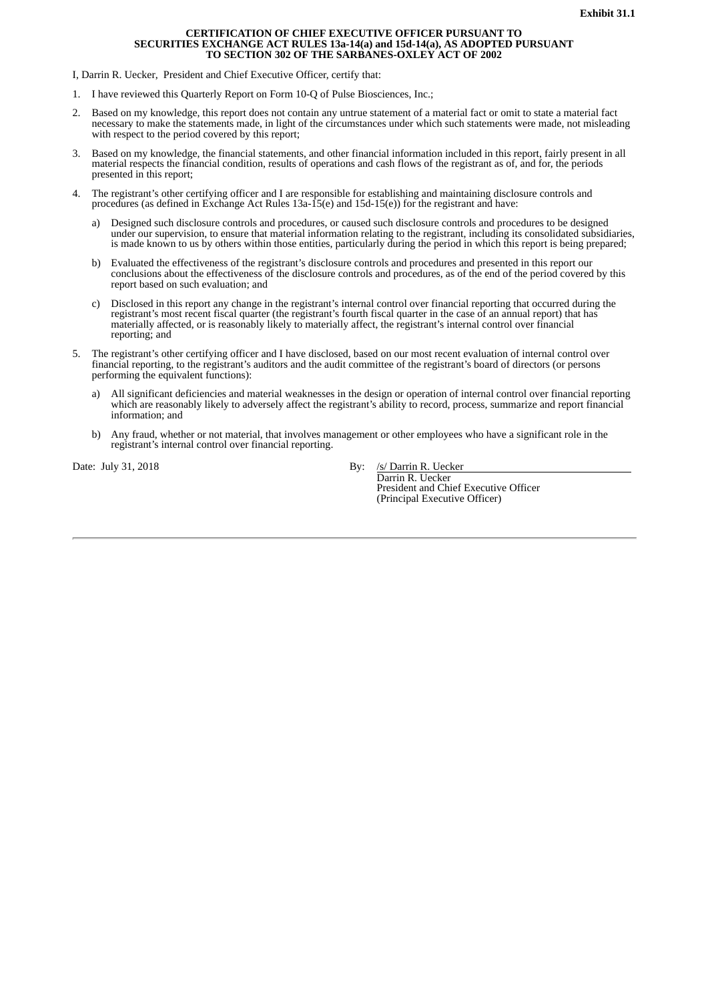#### **CERTIFICATION OF CHIEF EXECUTIVE OFFICER PURSUANT TO SECURITIES EXCHANGE ACT RULES 13a-14(a) and 15d-14(a), AS ADOPTED PURSUANT TO SECTION 302 OF THE SARBANES-OXLEY ACT OF 2002**

<span id="page-50-0"></span>I, Darrin R. Uecker, President and Chief Executive Officer, certify that:

- 1. I have reviewed this Quarterly Report on Form 10-Q of Pulse Biosciences, Inc.;
- 2. Based on my knowledge, this report does not contain any untrue statement of a material fact or omit to state a material fact necessary to make the statements made, in light of the circumstances under which such statements were made, not misleading with respect to the period covered by this report;
- 3. Based on my knowledge, the financial statements, and other financial information included in this report, fairly present in all material respects the financial condition, results of operations and cash flows of the registrant as of, and for, the periods presented in this report;
- 4. The registrant's other certifying officer and I are responsible for establishing and maintaining disclosure controls and procedures (as defined in Exchange Act Rules 13a-15(e) and 15d-15(e)) for the registrant and have:
	- a) Designed such disclosure controls and procedures, or caused such disclosure controls and procedures to be designed under our supervision, to ensure that material information relating to the registrant, including its consolidated subsidiaries, is made known to us by others within those entities, particularly during the period in which this report is being prepared;
	- b) Evaluated the effectiveness of the registrant's disclosure controls and procedures and presented in this report our conclusions about the effectiveness of the disclosure controls and procedures, as of the end of the period covered by this report based on such evaluation; and
	- c) Disclosed in this report any change in the registrant's internal control over financial reporting that occurred during the registrant's most recent fiscal quarter (the registrant's fourth fiscal quarter in the case of an annual report) that has materially affected, or is reasonably likely to materially affect, the registrant's internal control over financial reporting; and
- 5. The registrant's other certifying officer and I have disclosed, based on our most recent evaluation of internal control over financial reporting, to the registrant's auditors and the audit committee of the registrant's board of directors (or persons performing the equivalent functions):
	- a) All significant deficiencies and material weaknesses in the design or operation of internal control over financial reporting which are reasonably likely to adversely affect the registrant's ability to record, process, summarize and report financial information; and
	- b) Any fraud, whether or not material, that involves management or other employees who have a significant role in the registrant's internal control over financial reporting.

Date: July 31, 2018 **By:** /s/ Darrin R. Uecker

Darrin R. Uecker President and Chief Executive Officer (Principal Executive Officer)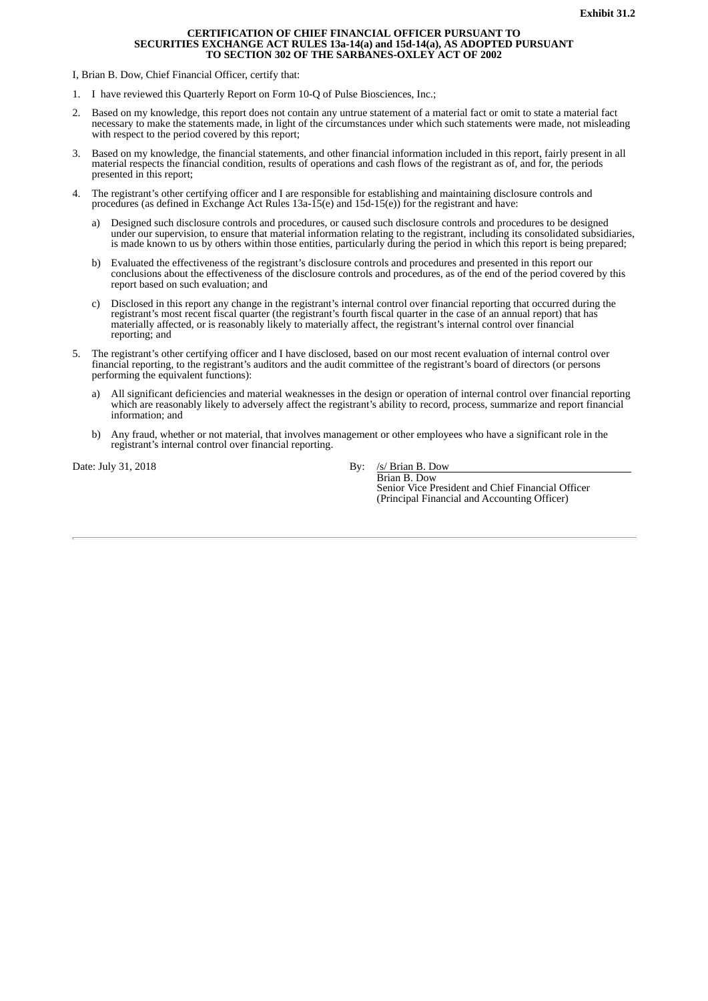#### **CERTIFICATION OF CHIEF FINANCIAL OFFICER PURSUANT TO SECURITIES EXCHANGE ACT RULES 13a-14(a) and 15d-14(a), AS ADOPTED PURSUANT TO SECTION 302 OF THE SARBANES-OXLEY ACT OF 2002**

<span id="page-51-0"></span>I, Brian B. Dow, Chief Financial Officer, certify that:

- 1. I have reviewed this Quarterly Report on Form 10-Q of Pulse Biosciences, Inc.;
- 2. Based on my knowledge, this report does not contain any untrue statement of a material fact or omit to state a material fact necessary to make the statements made, in light of the circumstances under which such statements were made, not misleading with respect to the period covered by this report;
- 3. Based on my knowledge, the financial statements, and other financial information included in this report, fairly present in all material respects the financial condition, results of operations and cash flows of the registrant as of, and for, the periods presented in this report;
- 4. The registrant's other certifying officer and I are responsible for establishing and maintaining disclosure controls and procedures (as defined in Exchange Act Rules 13a-15(e) and 15d-15(e)) for the registrant and have:
	- a) Designed such disclosure controls and procedures, or caused such disclosure controls and procedures to be designed under our supervision, to ensure that material information relating to the registrant, including its consolidated subsidiaries, is made known to us by others within those entities, particularly during the period in which this report is being prepared;
	- b) Evaluated the effectiveness of the registrant's disclosure controls and procedures and presented in this report our conclusions about the effectiveness of the disclosure controls and procedures, as of the end of the period covered by this report based on such evaluation; and
	- c) Disclosed in this report any change in the registrant's internal control over financial reporting that occurred during the registrant's most recent fiscal quarter (the registrant's fourth fiscal quarter in the case of an annual report) that has materially affected, or is reasonably likely to materially affect, the registrant's internal control over financial reporting; and
- 5. The registrant's other certifying officer and I have disclosed, based on our most recent evaluation of internal control over financial reporting, to the registrant's auditors and the audit committee of the registrant's board of directors (or persons performing the equivalent functions):
	- a) All significant deficiencies and material weaknesses in the design or operation of internal control over financial reporting which are reasonably likely to adversely affect the registrant's ability to record, process, summarize and report financial information; and
	- b) Any fraud, whether or not material, that involves management or other employees who have a significant role in the registrant's internal control over financial reporting.

Date: July 31, 2018 By: /s/ Brian B. Dow

Brian B. Dow Senior Vice President and Chief Financial Officer (Principal Financial and Accounting Officer)